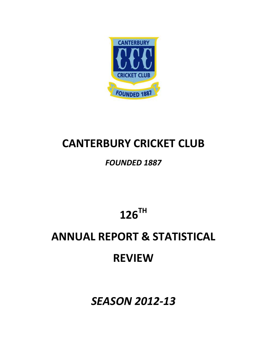

## **CANTERBURY CRICKET CLUB**

## *FOUNDED 1887*

**126TH** 

# **ANNUAL REPORT & STATISTICAL**

## **REVIEW**

*SEASON 2012‐13*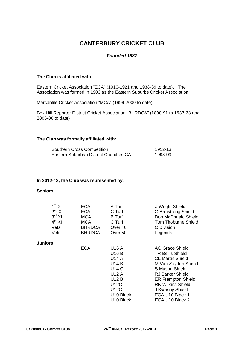## **CANTERBURY CRICKET CLUB**

#### *Founded 1887*

#### **The Club is affiliated with:**

Eastern Cricket Association "ECA" (1910-1921 and 1938-39 to date). The Association was formed in 1903 as the Eastern Suburbs Cricket Association.

Mercantile Cricket Association "MCA" (1999-2000 to date).

Box Hill Reporter District Cricket Association "BHRDCA" (1890-91 to 1937-38 and 2005-06 to date)

#### **The Club was formally affiliated with:**

| Southern Cross Competition            | 1912-13 |
|---------------------------------------|---------|
| Eastern Suburban District Churches CA | 1998-99 |

#### **In 2012-13, the Club was represented by:**

#### **Seniors**

| 1 <sup>st</sup> XI<br>$2^{nd}$ XI<br>$3^{\text{rd}}$ XI<br>$4^{th}$ XI<br>Vets<br>Vets | <b>ECA</b><br>ECA.<br><b>MCA</b><br><b>MCA</b><br><b>BHRDCA</b><br><b>BHRDCA</b> | A Turf<br>C Turf<br><b>B</b> Turf<br>C Turf<br>Over 40<br>Over <sub>50</sub>              | J Wright Shield<br><b>G Armstrong Shield</b><br>Don McDonald Shield<br><b>Tom Thoburne Shield</b><br>C Division<br>Legends                                  |
|----------------------------------------------------------------------------------------|----------------------------------------------------------------------------------|-------------------------------------------------------------------------------------------|-------------------------------------------------------------------------------------------------------------------------------------------------------------|
| Juniors                                                                                | <b>ECA</b>                                                                       | U16 A<br>U16 B<br>U14 A<br><b>U14 B</b>                                                   | AG Grace Shield<br><b>TR Bellis Shield</b><br><b>CL Martin Shield</b><br>M Van Zuyden Shield                                                                |
|                                                                                        |                                                                                  | U14 C<br>U12 A<br>U12 B<br>U12C<br>U12C<br>U <sub>10</sub> Black<br>U <sub>10</sub> Black | S Mason Shield<br><b>RJ Barker Shield</b><br><b>ER Frampton Shield</b><br><b>RK Wilkins Shield</b><br>J Kwasny Shield<br>ECA U10 Black 1<br>ECA U10 Black 2 |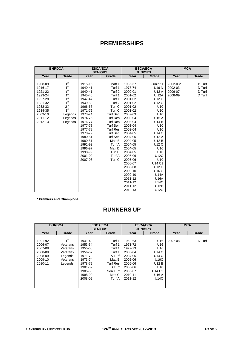## **PREMIERSHIPS**

| <b>BHRDCA</b> |                 |         | <b>ESCA/ECA</b><br><b>SENIORS</b> |         | <b>ESCA/ECA</b><br><b>JUNIORS</b> |          | <b>MCA</b>    |
|---------------|-----------------|---------|-----------------------------------|---------|-----------------------------------|----------|---------------|
| Year          | Grade           | Year    | Grade                             | Year    | Grade                             | Year     | Grade         |
|               |                 |         |                                   |         |                                   |          |               |
| 1908-09       | 1 <sup>st</sup> | 1915-16 | Matt 1                            | 1966-67 | Junior 1                          | 2002-03* | <b>B</b> Turf |
| 1916-17       | 1 <sup>st</sup> | 1940-41 | Turf 1                            | 1973-74 | U16 N                             | 2002-03  | D Turf        |
| 1921-22       | 1 <sup>st</sup> | 1940-41 | Turf 2                            | 2000-01 | U12 A                             | 2006-07  | D Turf        |
| 1923-24       | 1 <sup>st</sup> | 1945-46 | Turf 1                            | 2001-02 | <b>U 12A</b>                      | 2008-09  | D Turf        |
| 1927-28       | 1 <sup>st</sup> | 1947-47 | Turf 1                            | 2001-02 | U12 C                             |          |               |
| 1931-32       | 1 <sup>st</sup> | 1949-50 | Turf 2                            | 2001-02 | U12 C                             |          |               |
| 1932-33       | 2 <sup>nd</sup> | 1966-67 | Turf C                            | 2001-02 | U <sub>10</sub>                   |          |               |
| 1934-35       | 1 <sup>st</sup> | 1971-72 | Turf C                            | 2001-02 | U <sub>10</sub>                   |          |               |
| 2009-10       | Legends         | 1973-74 | <b>Turf Sen</b>                   | 2002-03 | U <sub>10</sub>                   |          |               |
| 2011-12       | Legends         | 1974-75 | <b>Turf Res</b>                   | 2003-04 | U16 A                             |          |               |
| 2012-13       | Legends         | 1976-77 | <b>Turf Res</b>                   | 2003-04 | <b>U14 B</b>                      |          |               |
|               |                 | 1977-78 | <b>Turf Sen</b>                   | 2003-04 | U <sub>10</sub>                   |          |               |
|               |                 | 1977-78 | <b>Turf Res</b>                   | 2003-04 | U10                               |          |               |
|               |                 | 1978-79 | <b>Turf Sen</b>                   | 2004-05 | <b>U14 C</b>                      |          |               |
|               |                 | 1980-81 | <b>Turf Sen</b>                   | 2004-05 | U12 A                             |          |               |
|               |                 | 1980-81 | Matt B                            | 2004-05 | U12 B                             |          |               |
|               |                 | 1992-93 | Turf A                            | 2004-05 | U12 C                             |          |               |
|               |                 | 1996-97 | Matt D                            | 2004-05 | U <sub>10</sub>                   |          |               |
|               |                 | 1998-99 | Turf D                            | 2004-05 | U <sub>10</sub>                   |          |               |
|               |                 | 2001-02 | Turf A                            | 2005-06 | <b>U12C</b>                       |          |               |
|               |                 | 2007-08 | Turf C                            | 2005-06 | U10                               |          |               |
|               |                 |         |                                   | 2006-07 | U14 C1                            |          |               |
|               |                 |         |                                   | 2008-08 | U12 C                             |          |               |
|               |                 |         |                                   | 2009-10 | U16 C                             |          |               |
|               |                 |         |                                   | 2009-10 | <b>U14A</b>                       |          |               |
|               |                 |         |                                   | 2011-12 | U16A                              |          |               |
|               |                 |         |                                   | 2011-12 | U14C                              |          |               |
|               |                 |         |                                   | 2011-12 | U12B                              |          |               |
|               |                 |         |                                   | 2012-13 | U12C                              |          |               |

**\* Premiers and Champions** 

## **RUNNERS UP**

|                                                                           | <b>BHRDCA</b>                                                                         | <b>ESCA/ECA</b><br><b>SENIORS</b>                                                                          |                                                                                                                    |                                                                                                            | <b>ESCA/ECA</b><br><b>JUNIORS</b>                                                                                              |         | <b>MCA</b> |
|---------------------------------------------------------------------------|---------------------------------------------------------------------------------------|------------------------------------------------------------------------------------------------------------|--------------------------------------------------------------------------------------------------------------------|------------------------------------------------------------------------------------------------------------|--------------------------------------------------------------------------------------------------------------------------------|---------|------------|
| Year                                                                      | Grade                                                                                 | Year                                                                                                       | Grade                                                                                                              | Year                                                                                                       | Grade                                                                                                                          | Year    | Grade      |
| 1891-92<br>2006-07<br>2007-08<br>2008-09<br>2008-09<br>2009-10<br>2010-11 | 1 <sup>st</sup><br>Veterans<br>Veterans<br>Veterans<br>Legends<br>Veterans<br>Legends | 1941-42<br>1953-54<br>1955-56<br>1956-57<br>1971-72<br>1973-74<br>1978-79<br>1981-82<br>1985-86<br>1998-99 | Turf 1<br>Turf 1<br>Turf 1<br>Turf 1<br>A Turf<br>Matt B<br><b>Turf Res</b><br><b>B</b> Turf<br>Sen Turf<br>Matt C | 1962-63<br>1971-72<br>1972-73<br>2003-04<br>2004-05<br>2005-06<br>2005-06<br>2005-06<br>2006-07<br>2010-11 | U <sub>16</sub><br>U16<br>U <sub>16</sub><br>U14 C<br>U14 C<br>U16C<br>U12 B<br>U <sub>10</sub><br>U14 C <sub>2</sub><br>U16 A | 2007-08 | D Turf     |
|                                                                           |                                                                                       | 2008-09                                                                                                    | Turf A                                                                                                             | 2011-12                                                                                                    | U14C                                                                                                                           |         |            |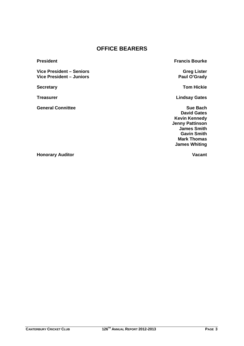## **OFFICE BEARERS**

**Vice President – Seniors Greg Lister Vice President – Juniors Paul O'Grady** 

**General Connittee Sue Bach** Sue Bach

**President President Francis Bourke** 

**Secretary Tom Hickie**

**Treasurer Lindsay Gates** 

 **David Gates Kevin Kennedy Jenny Pattinson James Smith Gavin Smith Mark Thomas James Whiting**

**Honorary Auditor Community Community Community Community Community Community Community Community Community Community Community Community Community Community Community Community Community Community Community Community Comm**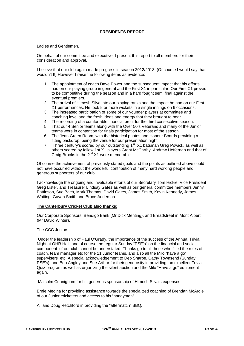#### **PRESIDENTS REPORT**

Ladies and Gentlemen,

On behalf of our committee and executive, I present this report to all members for their consideration and approval.

I believe that our club again made progress in season 2012/2013. (Of course I would say that wouldn't !!) However I raise the following items as evidence:

- 1. The appointment of coach Dave Power and the subsequent impact that his efforts had on our playing group in general and the First X1 in particular. Our First X1 proved to be competitive during the season and in a hard fought semi final against the eventual premiers.
- 2. The arrival of Himesh Silva into our playing ranks and the impact he had on our First X1 performances. He took 5 or more wickets in a single innings on 6 occasions.
- 3. The increased participation of some of our younger players at committee and coaching level and the fresh ideas and energy that they brought to bear.
- 4. The recording of a comfortable financial profit for the third consecutive season.
- 5. That our 4 Senior teams along with the Over 50's Veterans and many of the Junior teams were in contention for finals participation for most of the season.
- 6. The Jean Green Room, with the historical photos and Honour Boards providing a fitting backdrop, being the venue for our presentation night.
- 7. Three century's scored by our outstanding 1<sup>st</sup> X1 batsman Greg Powick, as well as others scored by fellow 1st X1 players Grant McCarthy, Andrew Heffernan and that of Craig Brooks in the  $2^{nd}$  X1 were memorable.

Of course the achievement of previously stated goals and the points as outlined above could not have occurred without the wonderful contribution of many hard working people and generous supporters of our club.

I acknowledge the ongoing and invaluable efforts of our Secretary Tom Hickie, Vice President Greg Lister, and Treasurer Lindsay Gates as well as our general committee members Jenny Pattinson, Sue Bach, Mark Thomas, David Gates, James Smith, Kevin Kennedy, James Whiting, Gavan Smith and Bruce Anderson.

#### **The Canterbury Cricket Club also thanks;**

Our Corporate Sponsors, Bendigo Bank (Mr Dick Menting), and Breadstreet in Mont Albert (Mr David Winter).

#### The CCC Juniors.

 Under the leadership of Paul O'Grady, the importance of the success of the Annual Trivia Night at OHR Hall, and of course the regular Sunday "PSE's" on the financial and social component of our club cannot be understated. Thanks go to all those who filled the roles of coach, team manager etc for the 11 Junior teams, and also all the Milo "have a go" supervisers etc. A special acknowledgement to Deb Sharpe, Cathy Townsend (Sunday PSE's) and Bob Angley and Sue Arthur for their generosity in providing an excellent Trivia Quiz program as well as organizing the silent auction and the Milo "Have a go" equipment again.

Malcolm Cunnigham for his generous sponsorship of Himesh Silva's expenses.

Ernie Medina for providing assistance towards the specialized coaching of Brendan McArdle of our Junior cricketers and access to his "handyman".

Ali and Doug Retchford in providing the "aftermatch" BBQ.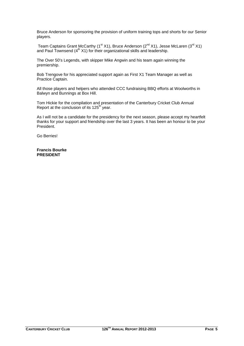Bruce Anderson for sponsoring the provision of uniform training tops and shorts for our Senior players.

Team Captains Grant McCarthy (1<sup>st</sup> X1), Bruce Anderson (2<sup>nd</sup> X1), Jesse McLaren (3<sup>rd</sup> X1) and Paul Townsend  $(4<sup>th</sup> X1)$  for their organizational skills and leadership.

The Over 50's Legends, with skipper Mike Angwin and his team again winning the premiership.

Bob Trengove for his appreciated support again as First X1 Team Manager as well as Practice Captain.

All those players and helpers who attended CCC fundraising BBQ efforts at Woolworths in Balwyn and Bunnings at Box Hill.

Tom Hickie for the compilation and presentation of the Canterbury Cricket Club Annual Report at the conclusion of its  $125<sup>th</sup>$  year.

As I will not be a candidate for the presidency for the next season, please accept my heartfelt thanks for your support and friendship over the last 3 years. It has been an honour to be your President.

Go Berries!

**Francis Bourke PRESIDENT**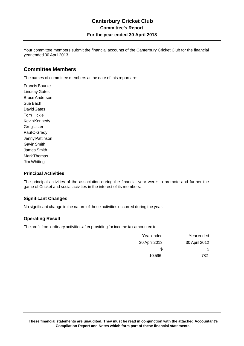Your committee members submit the financial accounts of the Canterbury Cricket Club for the financial year ended 30 April 2013.

### **Committee Members**

The names of committee members at the date of this report are:

Francis Bourke Lindsay Gates Bruce Anderson Sue Bach David Gates Tom Hickie Kevin Kennedy Greg Lister Paul O'Grady Jenny Pattinson Gavin Smith James Smith Mark Thomas Jim Whiting

#### **Principal Activities**

The principal activities of the association during the financial year were: to promote and further the game of Cricket and social acivities in the interest of its members.

#### **Significant Changes**

No significant change in the nature of these activities occurred during the year.

#### **Operating Result**

The profit from ordinary activities after providing for income tax amounted to

| Yearended     | Yearended     |
|---------------|---------------|
| 30 April 2013 | 30 April 2012 |
| S             | S             |
| 10.596        | 782           |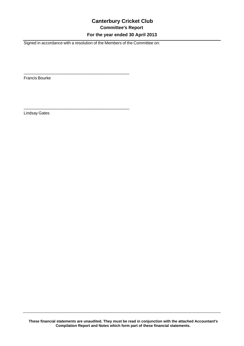## **Canterbury Cricket Club Committee's Report For the year ended 30 April 2013**

Signed in accordance with a resolution of the Members of the Committee on:

 $\overline{\phantom{a}}$  , and the contract of the contract of the contract of the contract of the contract of the contract of the contract of the contract of the contract of the contract of the contract of the contract of the contrac

\_\_\_\_\_\_\_\_\_\_\_\_\_\_\_\_\_\_\_\_\_\_\_\_\_\_\_\_\_\_\_\_\_\_\_\_\_\_\_\_\_\_\_\_\_\_\_\_\_

Francis Bourke

Lindsay Gates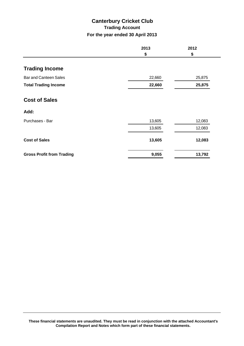## **Canterbury Cricket Club Trading Account For the year ended 30 April 2013**

|                                  | 2013<br>\$ | 2012<br>\$ |
|----------------------------------|------------|------------|
|                                  |            |            |
| <b>Trading Income</b>            |            |            |
| <b>Bar and Canteen Sales</b>     | 22,660     | 25,875     |
| <b>Total Trading Income</b>      | 22,660     | 25,875     |
| <b>Cost of Sales</b>             |            |            |
| Add:                             |            |            |
| Purchases - Bar                  | 13,605     | 12,083     |
|                                  | 13,605     | 12,083     |
| <b>Cost of Sales</b>             | 13,605     | 12,083     |
| <b>Gross Profit from Trading</b> | 9,055      | 13,792     |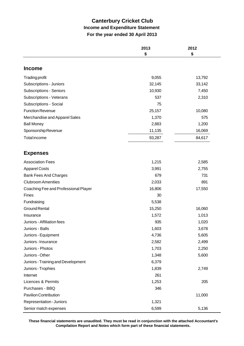## **Canterbury Cricket Club Income and Expenditure Statement For the year ended 30 April 2013**

|                                      | 2013<br>\$ | 2012<br>\$ |
|--------------------------------------|------------|------------|
|                                      |            |            |
| <b>Income</b>                        |            |            |
| <b>Trading profit</b>                | 9,055      | 13,792     |
| Subscriptions - Juniors              | 32,145     | 33,142     |
| <b>Subscriptions - Seniors</b>       | 10,930     | 7,450      |
| Subscriptions - Veterans             | 537        | 2,310      |
| Subscriptions - Social               | 75         |            |
| <b>Function Revenue</b>              | 25,157     | 10,080     |
| Merchandise and Apparel Sales        | 1,370      | 575        |
| <b>Ball Money</b>                    | 2,883      | 1,200      |
| Sponsorship Revenue                  | 11,135     | 16,069     |
| <b>Total income</b>                  | 93,287     | 84,617     |
|                                      |            |            |
| <b>Expenses</b>                      |            |            |
| <b>Association Fees</b>              | 1,215      | 2,585      |
| <b>Apparel Costs</b>                 | 3,991      | 2,755      |
| <b>Bank Fees And Charges</b>         | 679        | 731        |
| <b>Clubroom Amenities</b>            | 2,033      | 891        |
| Coaching Fee and Professional Player | 16,806     | 17,550     |
| Fines                                | 30         |            |
| Fundraising                          | 5,538      |            |
| <b>Ground Rental</b>                 | 15,250     | 16,060     |
| Insurance                            | 1,572      | 1,013      |
| Juniors - Affiliation fees           | 935        | 1,020      |
| Juniors - Balls                      | 1,603      | 3,678      |
| Juniors - Equipment                  | 4,736      | 5,605      |
| Juniors - Insurance                  | 2,582      | 2,499      |
| Juniors - Photos                     | 1,703      | 2,250      |
| Juniors - Other                      | 1,348      | 5,600      |
| Juniors - Training and Development   | 6,379      |            |
| Juniors - Trophies                   | 1,839      | 2,749      |
| Internet                             | 261        |            |
| <b>Licences &amp; Permits</b>        | 1,253      | 205        |
| Purchases - BBQ                      | 346        |            |
| <b>Pavilion Contribution</b>         |            | 11,000     |
| Representation - Juniors             | 1,321      |            |
| Senior match expenses                | 6,599      | 5,136      |

**These financial statements are unaudited. They must be read in conjunction with the attached Accountant's Compilation Report and Notes which form part of these financial statements.**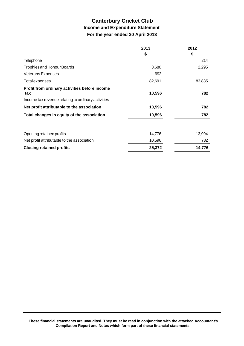## **Canterbury Cricket Club Income and Expenditure Statement For the year ended 30 April 2013**

|                                                      | 2013   | 2012   |
|------------------------------------------------------|--------|--------|
|                                                      | \$     | \$     |
| Telephone                                            |        | 214    |
| <b>Trophies and Honour Boards</b>                    | 3,680  | 2,295  |
| <b>Veterans Expenses</b>                             | 992    |        |
| <b>Total expenses</b>                                | 82,691 | 83,835 |
| Profit from ordinary activities before income<br>tax | 10,596 | 782    |
| Income tax revenue relating to ordinary activities   |        |        |
| Net profit attributable to the association           | 10,596 | 782    |
| Total changes in equity of the association           | 10,596 | 782    |
| Opening retained profits                             | 14,776 | 13,994 |
| Net profit attributable to the association           | 10,596 | 782    |
| <b>Closing retained profits</b>                      | 25,372 | 14,776 |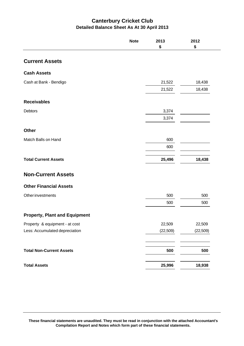## **Canterbury Cricket Club Detailed Balance Sheet As At 30 April 2013**

|                                      | <b>Note</b> | 2013<br>\$ | 2012<br>\$ |
|--------------------------------------|-------------|------------|------------|
| <b>Current Assets</b>                |             |            |            |
| <b>Cash Assets</b>                   |             |            |            |
| Cash at Bank - Bendigo               |             | 21,522     | 18,438     |
|                                      |             | 21,522     | 18,438     |
| <b>Receivables</b>                   |             |            |            |
| Debtors                              |             | 3,374      |            |
|                                      |             | 3,374      |            |
| <b>Other</b>                         |             |            |            |
| Match Balls on Hand                  |             | 600        |            |
|                                      |             | 600        |            |
| <b>Total Current Assets</b>          |             | 25,496     | 18,438     |
| <b>Non-Current Assets</b>            |             |            |            |
| <b>Other Financial Assets</b>        |             |            |            |
| <b>Other investments</b>             |             | 500        | 500        |
|                                      |             | 500        | 500        |
| <b>Property, Plant and Equipment</b> |             |            |            |
| Property & equipment - at cost       |             | 22,509     | 22,509     |
| Less: Accumulated depreciation       |             | (22, 509)  | (22, 509)  |
| <b>Total Non-Current Assets</b>      |             | 500        | 500        |
| <b>Total Assets</b>                  |             | 25,996     | 18,938     |

**These financial statements are unaudited. They must be read in conjunction with the attached Accountant's Compilation Report and Notes which form part of these financial statements.**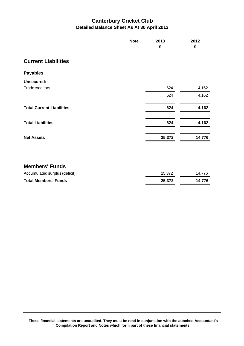## **Canterbury Cricket Club Detailed Balance Sheet As At 30 April 2013**

|                                  | <b>Note</b> | 2013   | 2012   |
|----------------------------------|-------------|--------|--------|
|                                  |             | \$     | \$     |
| <b>Current Liabilities</b>       |             |        |        |
| <b>Payables</b>                  |             |        |        |
| <b>Unsecured:</b>                |             |        |        |
| Trade creditors                  |             | 624    | 4,162  |
|                                  |             | 624    | 4,162  |
| <b>Total Current Liabilities</b> |             | 624    | 4,162  |
| <b>Total Liabilities</b>         |             | 624    | 4,162  |
| <b>Net Assets</b>                |             | 25,372 | 14,776 |
|                                  |             |        |        |
| <b>Members' Funds</b>            |             |        |        |
| Accumulated surplus (deficit)    |             | 25,372 | 14,776 |
| <b>Total Members' Funds</b>      |             | 25,372 | 14,776 |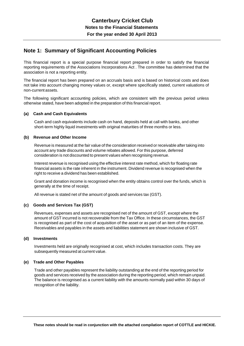### **Note 1: Summary of Significant Accounting Policies**

This financial report is a special purpose financial report prepared in order to satisfy the financial reporting requirements of the Associations Incorporations Act . The committee has determined that the association is not a reporting entity.

The financial report has been prepared on an accruals basis and is based on historical costs and does not take into account changing money values or, except where specifically stated, current valuations of non-current assets.

The following significant accounting policies, which are consistent with the previous period unless otherwise stated, have been adopted in the preparation of this financial report.

#### **(a) Cash and Cash Equivalents**

Cash and cash equivalents include cash on hand, deposits held at call with banks, and other short-term highly liquid investments with original maturities of three months or less.

#### **(b) Revenue and Other Income**

Revenue is measured at the fair value of the consideration received or receivable after taking into account any trade discounts and volume rebates allowed. For this purpose, deferred consideration is not discounted to present values when recognising revenue.

Interest revenue is recognised using the effective interest rate method, which for floating rate financial assets is the rate inherent in the instrument. Dividend revenue is recognised when the right to receive a dividend has been established.

Grant and donation income is recognised when the entity obtains control over the funds, which is generally at the time of receipt.

All revenue is stated net of the amount of goods and services tax (GST).

#### **(c) Goods and Services Tax (GST)**

Revenues, expenses and assets are recognised net of the amount of GST, except where the amount of GST incurred is not recoverable from the Tax Office. In these circumstances, the GST is recognised as part of the cost of acquisition of the asset or as part of an item of the expense. Receivables and payables in the assets and liabilities statement are shown inclusive of GST.

#### **(d) Investments**

Investments held are originally recognised at cost, which includes transaction costs. They are subsequently measured at current value.

#### **(e) Trade and Other Payables**

Trade and other payables represent the liability outstanding at the end of the reporting period for goods and services received by the association during the reporting period, which remain unpaid. The balance is recognised as a current liability with the amounts normally paid within 30 days of recognition of the liability.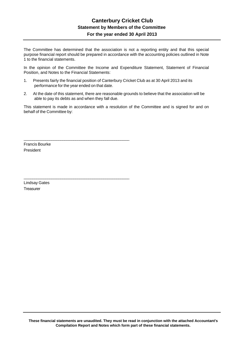### **Canterbury Cricket Club Statement by Members of the Committee For the year ended 30 April 2013**

The Committee has determined that the association is not a reporting entity and that this special purpose financial report should be prepared in accordance with the accounting policies outlined in Note 1 to the financial statements.

In the opinion of the Committee the Income and Expenditure Statement, Statement of Financial Position, and Notes to the Financial Statements:

1. Presents fairly the financial position of Canterbury Cricket Club as at 30 April 2013 and its performance for the year ended on that date.

\_\_\_\_\_\_\_\_\_\_\_\_\_\_\_\_\_\_\_\_\_\_\_\_\_\_\_\_\_\_\_\_\_\_\_\_\_\_\_\_\_\_\_\_\_\_\_\_\_

\_\_\_\_\_\_\_\_\_\_\_\_\_\_\_\_\_\_\_\_\_\_\_\_\_\_\_\_\_\_\_\_\_\_\_\_\_\_\_\_\_\_\_\_\_\_\_\_\_

2. At the date of this statement, there are reasonable grounds to believe that the association will be able to pay its debts as and when they fall due.

This statement is made in accordance with a resolution of the Committee and is signed for and on behalf of the Committee by:

Francis Bourke President

Lindsay Gates **Treasurer**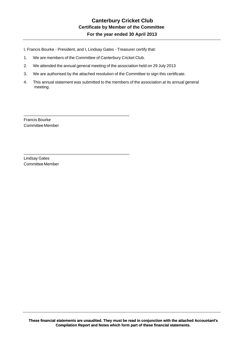I, Francis Bourke - President, and I, Lindsay Gates - Treasurer certify that:

1. We are members of the Committee of Canterbury Cricket Club.

\_\_\_\_\_\_\_\_\_\_\_\_\_\_\_\_\_\_\_\_\_\_\_\_\_\_\_\_\_\_\_\_\_\_\_\_\_\_\_\_\_\_\_\_\_\_\_\_\_

\_\_\_\_\_\_\_\_\_\_\_\_\_\_\_\_\_\_\_\_\_\_\_\_\_\_\_\_\_\_\_\_\_\_\_\_\_\_\_\_\_\_\_\_\_\_\_\_\_

- 2. We attended the annual general meeting of the association held on 29 July 2013
- 3. We are authorised by the attached resolution of the Committee to sign this certificate.
- 4. This annual statement was submitted to the members of the association at its annual general meeting.

Francis Bourke Committee Member

Lindsay Gates Committee Member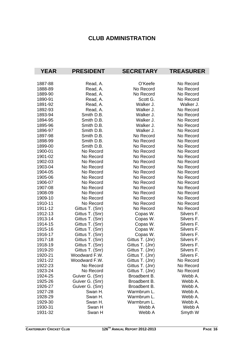## **CLUB ADMINISTRATION**

| <b>YEAR</b> | <b>PRESIDENT</b> | <b>SECRETARY</b> | <b>TREASURER</b> |
|-------------|------------------|------------------|------------------|
|             |                  |                  |                  |
| 1887-88     | Read, A.         | O'Keefe          | No Record        |
| 1888-89     | Read, A.         | No Record        | No Record        |
| 1889-90     | Read, A.         | No Record        | No Record        |
| 1890-91     | Read, A.         | Scott G.         | No Record        |
| 1891-92     | Read, A.         | Walker J.        | Walker J.        |
| 1892-93     | Read, A.         | Walker J.        | No Record        |
| 1893-94     | Smith D.B.       | Walker J.        | No Record        |
| 1894-95     | Smith D.B.       | Walker J.        | No Record        |
| 1895-96     | Smith D.B.       | Walker J.        | No Record        |
| 1896-97     | Smith D.B.       | Walker J.        | No Record        |
| 1897-98     | Smith D.B.       | No Record        | No Record        |
| 1898-99     | Smith D.B.       | No Record        | No Record        |
| 1899-00     | Smith D.B.       | No Record        | No Record        |
| 1900-01     | No Record        | No Record        | No Record        |
| 1901-02     | No Record        | No Record        | No Record        |
| 1902-03     | No Record        | No Record        | No Record        |
| 1903-04     | No Record        | No Record        | No Record        |
| 1904-05     | No Record        | No Record        | No Record        |
| 1905-06     | No Record        | No Record        | No Record        |
| 1906-07     | No Record        | No Record        | No Record        |
| 1907-08     | No Record        | No Record        | No Record        |
| 1908-09     | No Record        | No Record        | No Record        |
| 1909-10     | No Record        | No Record        | No Record        |
| 1910-11     | No Record        | No Record        | No Record        |
| 1911-12     | Gittus T. (Snr)  | No Record        | No Record        |
| 1912-13     | Gittus T. (Snr)  | Copas W.         | Silvers F.       |
| 1913-14     | Gittus T. (Snr)  | Copas W.         | Silvers F.       |
| 1914-15     | Gittus T. (Snr)  | Copas W.         | Silvers F.       |
| 1915-16     | Gittus T. (Snr)  | Copas W.         | Silvers F.       |
| 1916-17     | Gittus T. (Snr)  | Copas W.         | Silvers F.       |
| 1917-18     | Gittus T. (Snr)  | Gittus T. (Jnr)  | Silvers F.       |
| 1918-19     | Gittus T. (Snr)  | Gittus T. (Jnr)  | Silvers F.       |
| 1919-20     | Gittus T. (Snr)  | Gittus T. (Jnr)  | <b>Silvers F</b> |
| 1920-21     | Woodward F.W.    | Gittus T. (Jnr)  | Silvers F.       |
| 1921-22     | Woodward F.W.    | Gittus T. (Jnr)  | No Record        |
| 1922-23     | No Record        | Gittus T. (Jnr)  | No Record        |
| 1923-24     | No Record        | Gittus T. (Jnr)  | No Record        |
| 1924-25     | Guiver G. (Snr)  | Broadbent B.     | Webb A.          |
| 1925-26     | Guiver G. (Snr)  | Broadbent B.     | Webb A.          |
| 1926-27     | Guiver G. (Snr)  | Broadbent B.     | Webb A.          |
| 1927-28     | Swan H.          | Warmbrum L.      | Webb A.          |
| 1928-29     | Swan H.          | Warmbrum L.      | Webb A.          |
| 1929-30     | Swan H.          | Warmbrum L.      | Webb A.          |
| 1930-31     | Swan H           | Webb A           | Webb A           |
| 1931-32     | Swan H           | Webb A           | Smyth W          |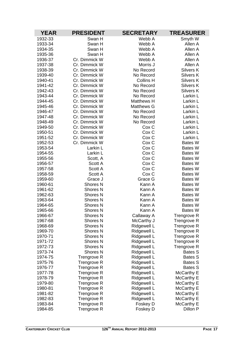| <b>YEAR</b> | <b>PRESIDENT</b>    | <b>SECRETARY</b>  | <b>TREASURER</b> |
|-------------|---------------------|-------------------|------------------|
| 1932-33     | Swan H              | Webb A            | Smyth W          |
| 1933-34     | Swan H              | Webb A            | Allen A          |
| 1934-35     | Swan H              | Webb A            | Allen A          |
| 1935-36     | Swan H              | Webb A            | Allen A          |
| 1936-37     | Cr. Dimmick W       | Webb A            | Allen A          |
| 1937-38     | Cr. Dimmick W       | Morris J          | Allen A          |
| 1938-39     | Cr. Dimmick W       | No Record         | <b>Silvers K</b> |
| 1939-40     | Cr. Dimmick W       | No Record         | <b>Silvers K</b> |
| 1940-41     | Cr. Dimmick W       | <b>Collins H</b>  | <b>Silvers K</b> |
| 1941-42     | Cr. Dimmick W       | No Record         | Silvers K        |
| 1942-43     | Cr. Dimmick W       | No Record         | <b>Silvers K</b> |
| 1943-44     | Cr. Dimmick W       | No Record         | Larkin L         |
| 1944-45     | Cr. Dimmick W       | <b>Matthews H</b> | Larkin L         |
| 1945-46     | Cr. Dimmick W       | <b>Matthews G</b> | Larkin L         |
| 1946-47     | Cr. Dimmick W       | No Record         | Larkin L         |
| 1947-48     | Cr. Dimmick W       | No Record         | Larkin L         |
| 1948-49     | Cr. Dimmick W       | No Record         | Larkin L         |
| 1949-50     | Cr. Dimmick W       | Cox <sub>C</sub>  | Larkin L         |
| 1950-51     | Cr. Dimmick W       | Cox <sub>C</sub>  | Larkin L         |
| 1951-52     | Cr. Dimmick W       | Cox <sub>C</sub>  | Larkin L         |
| 1952-53     | Cr. Dimmick W       | Cox C             | <b>Bates W</b>   |
| 1953-54     | Larkin L            | Cox C             | Bates W          |
| 1954-55     | Larkin L            | Cox C             | Bates W          |
| 1955-56     | Scott, A            | Cox C             | Bates W          |
| 1956-57     | Scott A             | Cox C             | Bates W          |
| 1957-58     | Scott A             | Cox C             | Bates W          |
| 1958-59     | Scott A             | Cox C             | Bates W          |
| 1959-60     | Grace J             | Grace G           | <b>Bates W</b>   |
| 1960-61     | Shores <sub>N</sub> | Kann A            | Bates W          |
| 1961-62     | Shores <sub>N</sub> | Kann A            | Bates W          |
| 1962-63     | Shores <sub>N</sub> | Kann A            | Bates W          |
| 1963-64     | Shores <sub>N</sub> | Kann A            | Bates W          |
| 1964-65     | Shores <sub>N</sub> | Kann A            | Bates W          |
| 1965-66     | Shores <sub>N</sub> | Kann A            | <b>Bates W</b>   |
| 1966-67     | Shores N            | Callaway A        | Trengrove R      |
| 1967-68     | Shores <sub>N</sub> | McCarthy J        | Trengrove R      |
| 1968-69     | <b>Shores N</b>     | Ridgewell L       | Trengrove R      |
| 1969-70     | Shores <sub>N</sub> | Ridgewell L       | Trengrove R      |
| 1970-71     | Shores <sub>N</sub> | Ridgewell L       | Trengrove R      |
| 1971-72     | Shores <sub>N</sub> | Ridgewell L       | Trengrove R      |
| 1972-73     | Shores <sub>N</sub> | Ridgewell L       | Trengrove R      |
| 1973-74     | Shores <sub>N</sub> | Ridgewell L       | <b>Bates S</b>   |
| 1974-75     | Trengrove R         | Ridgewell L       | <b>Bates S</b>   |
| 1975-76     | Trengrove R         | Ridgewell L       | <b>Bates S</b>   |
| 1976-77     | Trengrove R         | Ridgewell L       | <b>Bates S</b>   |
| 1977-78     | Trengrove R         | Ridgewell L       | McCarthy E       |
| 1978-79     | Trengrove R         | Ridgewell L       | McCarthy E       |
| 1979-80     | Trengrove R         | Ridgewell L       | McCarthy E       |
| 1980-81     | Trengrove R         | Ridgewell L       | McCarthy E       |
| 1981-82     | <b>Trengrove R</b>  | Ridgewell L       | McCarthy E       |
| 1982-83     | <b>Trengrove R</b>  | Ridgewell L       | McCarthy E       |
| 1983-84     | Trengrove R         | Foskey D          | McCarthy E       |
| 1984-85     | Trengrove R         | Foskey D          | Dillon P         |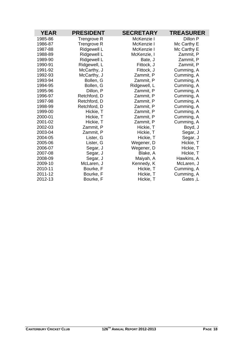| <b>YEAR</b> | <b>PRESIDENT</b> | <b>SECRETARY</b> | <b>TREASURER</b> |
|-------------|------------------|------------------|------------------|
| 1985-86     | Trengrove R      | McKenzie I       | Dillon P         |
| 1986-87     | Trengrove R      | McKenzie I       | Mc Carthy E      |
| 1987-88     | Ridgewell L      | McKenzie I       | Mc Carthy E      |
| 1988-89     | Ridgewell L      | McKenzie, I      | Zammit, P        |
| 1989-90     | Ridgewell L      | Bate, J          | Zammit, P        |
| 1990-91     | Ridgewell, L     | Fittock, J       | Zammit, P        |
| 1991-92     | McCarthy, J      | Fittock, J       | Cumming, A       |
| 1992-93     | McCarthy, J      | Zammit, P        | Cumming, A       |
| 1993-94     | Bollen, G        | Zammit, P        | Cumming, A       |
| 1994-95     | Bollen, G        | Ridgewell, L     | Cumming, A       |
| 1995-96     | Dillon, P        | Zammit, P        | Cumming, A       |
| 1996-97     | Retchford, D     | Zammit, P        | Cumming, A       |
| 1997-98     | Retchford, D     | Zammit, P        | Cumming, A       |
| 1998-99     | Retchford, D     | Zammit, P        | Cumming, A       |
| 1999-00     | Hickie, T        | Zammit, P        | Cumming, A       |
| 2000-01     | Hickie, T        | Zammit, P        | Cumming, A       |
| 2001-02     | Hickie, T        | Zammit, P        | Cumming, A       |
| 2002-03     | Zammit, P        | Hickie, T        | Boyd, J          |
| 2003-04     | Zammit, P        | Hickie, T        | Segar, J         |
| 2004-05     | Lister, G        | Hickie, T        | Segar, J         |
| 2005-06     | Lister, G        | Wegener, D       | Hickie, T        |
| 2006-07     | Segar, J         | Wegener, D       | Hickie, T        |
| 2007-08     | Segar, J         | Blake, A         | Hickie, T        |
| 2008-09     | Segar, J         | Maiyah, A        | Hawkins, A       |
| 2009-10     | McLaren, J       | Kennedy, K       | McLaren, J       |
| 2010-11     | Bourke, F        | Hickie, T        | Cumming, A       |
| 2011-12     | Bourke, F        | Hickie, T        | Cumming, A       |
| 2012-13     | Bourke, F        | Hickie, T        | Gates, L         |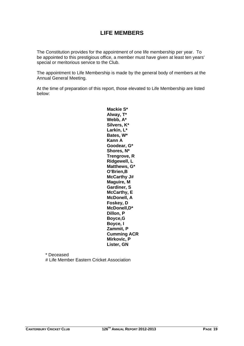## **LIFE MEMBERS**

The Constitution provides for the appointment of one life membership per year. To be appointed to this prestigious office, a member must have given at least ten years' special or meritorious service to the Club.

The appointment to Life Membership is made by the general body of members at the Annual General Meeting.

At the time of preparation of this report, those elevated to Life Membership are listed below:

> **Mackie S\* Alway, T\* Webb, A\* Silvers, K\* Larkin, L\* Bates, W\* Kann A Goodear, G\* Shores, N\* Trengrove, R Ridgewell, L Matthews, G\* O'Brien,B McCarthy J# Maguire, M Gardiner, S McCarthy, E McDonell, A Foskey, D McDonell,D\* Dillon, P Boyce,G Boyce, I Zammit, P Cumming ACR Mirkovic, P Lister, GN**

 \* Deceased # Life Member Eastern Cricket Association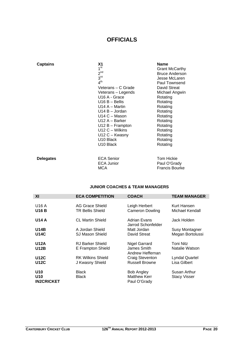## **OFFICIALS**

| <b>Captains</b>  | Χ1<br>1 <sup>st</sup><br>$2^{nd}$<br>3 <sup>rd</sup><br>$4^{\text{th}}$<br>Veterans – C Grade<br>Veterans – Legends<br>U <sub>16</sub> A - Grace<br>$U16 B -$ Bellis<br>U14 A – Martin<br>$U14 B - Jordan$<br>$U14C - Mason$<br>$U12 A - Barker$<br>$U12 B - Frampton$<br>$U12 C - Wilkins$<br>$U12C - Kwasny$<br>U <sub>10</sub> Black<br>U <sub>10</sub> Black | <b>Name</b><br><b>Grant McCarthy</b><br><b>Bruce Anderson</b><br>Jesse McLaren<br>Paul Townsend<br><b>David Streat</b><br>Michael Angwin<br>Rotating<br>Rotating<br>Rotating<br>Rotating<br>Rotating<br>Rotating<br>Rotating<br>Rotating<br>Rotating<br>Rotating<br>Rotating |
|------------------|------------------------------------------------------------------------------------------------------------------------------------------------------------------------------------------------------------------------------------------------------------------------------------------------------------------------------------------------------------------|------------------------------------------------------------------------------------------------------------------------------------------------------------------------------------------------------------------------------------------------------------------------------|
| <b>Delegates</b> | <b>ECA Senior</b><br><b>ECA Junior</b>                                                                                                                                                                                                                                                                                                                           | <b>Tom Hickie</b><br>Paul O'Grady                                                                                                                                                                                                                                            |

#### **JUNIOR COACHES & TEAM MANAGERS**

MCA **Francis Bourke** 

| XI                                                      | <b>ECA COMPETITION</b>                      | <b>COACH</b>                                             | <b>TEAM MANAGER</b>                       |
|---------------------------------------------------------|---------------------------------------------|----------------------------------------------------------|-------------------------------------------|
| U16 A<br><b>U16 B</b>                                   | AG Grace Shield<br><b>TR Bellis Shield</b>  | Leigh Herbert<br>Cameron Dowling                         | Kurt Hansen<br>Michael Kendall            |
| <b>U14 A</b>                                            | <b>CL Martin Shield</b>                     | Adrian Evans<br>Jarrod Schonfelder                       | Jack Holden                               |
| <b>U14B</b><br><b>U14C</b>                              | A Jordan Shield<br>SJ Mason Shield          | Matt Jordan<br>David Streat                              | <b>Susy Montagner</b><br>Megan Bortolussi |
| <b>U12A</b><br><b>U12B</b>                              | RJ Barker Shield<br>E Frampton Shield       | <b>Nigel Garrard</b><br>James Smith<br>Andrew Heffernan  | Toni Nitz<br>Natalie Watson               |
| <b>U12C</b><br><b>U12C</b>                              | <b>RK Wilkins Shield</b><br>J Kwasny Shield | Craig Steventon<br><b>Russell Browne</b>                 | <b>Lyndal Quartel</b><br>Lisa Gilbert     |
| U <sub>10</sub><br>U <sub>10</sub><br><b>IN2CRICKET</b> | <b>Black</b><br><b>Black</b>                | <b>Bob Angley</b><br><b>Matthew Kerr</b><br>Paul O'Grady | Susan Arthur<br><b>Stacy Visser</b>       |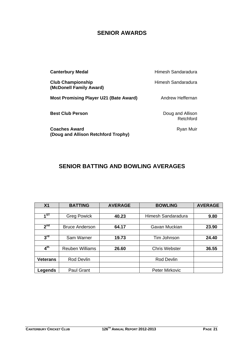## **SENIOR AWARDS**

| <b>Canterbury Medal</b>                                     | Himesh Sandaradura            |
|-------------------------------------------------------------|-------------------------------|
| <b>Club Championship</b><br>(McDonell Family Award)         | Himesh Sandaradura            |
| <b>Most Promising Player U21 (Bate Award)</b>               | Andrew Heffernan              |
| <b>Best Club Person</b>                                     | Doug and Allison<br>Retchford |
| <b>Coaches Award</b><br>(Doug and Allison Retchford Trophy) | Ryan Muir                     |

## **SENIOR BATTING AND BOWLING AVERAGES**

| X <sub>1</sub>  | <b>BATTING</b>         | <b>AVERAGE</b> | <b>BOWLING</b>       | <b>AVERAGE</b> |
|-----------------|------------------------|----------------|----------------------|----------------|
|                 |                        |                |                      |                |
| 1 <sup>ST</sup> | <b>Greg Powick</b>     | 40.23          | Himesh Sandaradura   | 9.80           |
|                 |                        |                |                      |                |
| 2 <sup>nd</sup> | <b>Bruce Anderson</b>  | 64.17          | Gavan Muckian        | 23.90          |
|                 |                        |                |                      |                |
| 3 <sup>rd</sup> | Sam Warner             | 19.73          | Tim Johnson          | 24.40          |
|                 |                        |                |                      |                |
| $4^{\text{th}}$ | <b>Reuben Williams</b> | 26.60          | <b>Chris Webster</b> | 36.55          |
|                 |                        |                |                      |                |
| <b>Veterans</b> | Rod Devlin             |                | Rod Devlin           |                |
|                 |                        |                |                      |                |
| Legends         | Paul Grant             |                | Peter Mirkovic       |                |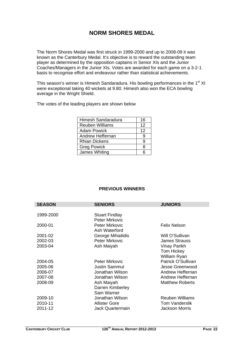## **NORM SHORES MEDAL**

The Norm Shores Medal was first struck in 1999-2000 and up to 2008-09 it was known as the Canterbury Medal. It's objective is to reward the outstanding team player as determined by the opposition captains in Senior XIs and the Junior Coaches/Managers in the Junior XIs. Votes are awarded for each game on a 3-2-1 basis to recognise effort and endeavour rather than statistical achievements.

This season's winner is Himesh Sandaradura. His bowling performances in the 1<sup>st</sup> XI were exceptional taking 40 wickets at 9.80. Himesh also won the ECA bowling average in the Wright Shield.

The votes of the leading players are shown below

| Himesh Sandaradura     | 16 |
|------------------------|----|
| <b>Reuben Williams</b> | 12 |
| <b>Adam Powick</b>     | 12 |
| Andrew Heffernan       | 9  |
| <b>Rhian Dickens</b>   | q  |
| <b>Greg Powick</b>     | ጸ  |
| James Whiting          |    |

#### **PREVIOUS WINNERS**

| <b>SENIORS</b>        | <b>JUNIORS</b>                                                                                                                                                |
|-----------------------|---------------------------------------------------------------------------------------------------------------------------------------------------------------|
|                       |                                                                                                                                                               |
| <b>Stuart Findlay</b> |                                                                                                                                                               |
| Peter Mirkovic        |                                                                                                                                                               |
| <b>Peter Mirkovic</b> | <b>Felix Nelson</b>                                                                                                                                           |
| Ash Waterford         |                                                                                                                                                               |
| George Mihailidis     | Will O'Sullivan                                                                                                                                               |
| Peter Mirkovic        | <b>James Strauss</b>                                                                                                                                          |
| Ash Maiyah            | Vinay Parikh                                                                                                                                                  |
|                       | <b>Tom Hickey</b>                                                                                                                                             |
|                       | William Ryan                                                                                                                                                  |
| <b>Peter Mirkovic</b> | Patrick O'Sullivan                                                                                                                                            |
|                       | Jesse Greenwood                                                                                                                                               |
|                       | Andrew Heffernan                                                                                                                                              |
| Jonathan Wilson       | Andrew Heffernan                                                                                                                                              |
|                       | <b>Matthew Roberts</b>                                                                                                                                        |
|                       |                                                                                                                                                               |
|                       |                                                                                                                                                               |
|                       | <b>Reuben Williams</b>                                                                                                                                        |
|                       | <b>Tom Vanderslik</b>                                                                                                                                         |
|                       | <b>Jackson Morris</b>                                                                                                                                         |
|                       | <b>Justin Sammut</b><br>Jonathan Wilson<br>Ash Maiyah<br>Darren Kimberley<br>Sam Warner<br>Jonathan Wilson<br><b>Allister Gore</b><br><b>Jack Quartermain</b> |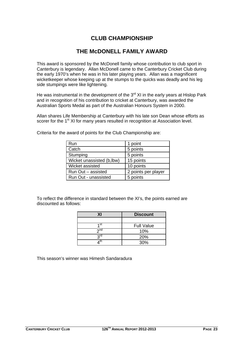## **CLUB CHAMPIONSHIP**

## **THE McDONELL FAMILY AWARD**

This award is sponsored by the McDonell family whose contribution to club sport in Canterbury is legendary. Allan McDonell came to the Canterbury Cricket Club during the early 1970's when he was in his later playing years. Allan was a magnificent wicketkeeper whose keeping up at the stumps to the quicks was deadly and his leg side stumpings were like lightening.

He was instrumental in the development of the  $3<sup>rd</sup>$  XI in the early years at Hislop Park and in recognition of his contribution to cricket at Canterbury, was awarded the Australian Sports Medal as part of the Australian Honours System in 2000.

Allan shares Life Membership at Canterbury with his late son Dean whose efforts as scorer for the 1<sup>st</sup> XI for many years resulted in recognition at Association level.

| Run                       | 1 point             |
|---------------------------|---------------------|
| Catch                     | 5 points            |
| Stumping                  | 5 points            |
| Wicket unassisted (b,lbw) | 15 points           |
| Wicket assisted           | 10 points           |
| Run Out - assisted        | 2 points per player |
| Run Out - unassisted      | 5 points            |

Criteria for the award of points for the Club Championship are:

To reflect the difference in standard between the XI's, the points earned are discounted as follows:

| χı              | <b>Discount</b>   |  |
|-----------------|-------------------|--|
|                 |                   |  |
| 1st             | <b>Full Value</b> |  |
| 2 <sub>nd</sub> | 10%               |  |
| <b>2rd</b>      | 20%               |  |
|                 | 30%               |  |

This season's winner was Himesh Sandaradura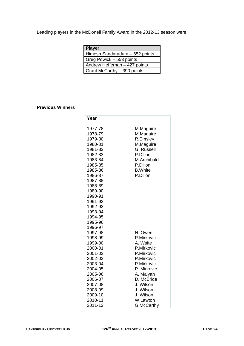Leading players in the McDonell Family Award in the 2012-13 season were:

| <b>Player</b>                   |  |
|---------------------------------|--|
| Himesh Sandaradura - 652 points |  |
| Greg Powick – 553 points        |  |
| Andrew Heffernan - 427 points   |  |
| Grant McCarthy - 390 points     |  |

#### **Previous Winners**

| 1977-78<br>M.Maguire<br>M.Maguire<br>1978-79<br>R.Emsley<br>1979-80<br>M.Maguire<br>1980-81<br>G. Russell<br>1981-82<br>P.Dillon<br>1982-83<br>1983-84                            | M.Archibald       |
|-----------------------------------------------------------------------------------------------------------------------------------------------------------------------------------|-------------------|
| 1985-85<br>P.Dillon<br><b>B.</b> White<br>1985-86<br>1986-87<br>P.Dillon<br>1987-88                                                                                               |                   |
| 1988-89<br>1989-90<br>1990-91<br>1991-92<br>1992-93<br>1993-94<br>1994-95<br>1995-96<br>1996-97<br>1997-98<br>N. Owen                                                             |                   |
| P.Mirkovic<br>1998-99<br>A. Waite<br>1999-00<br>2000-01<br>P.Mirkovic<br>2001-02<br>P.Mirkovic<br>2002-03<br>P.Mirkovic<br>P.Mirkovic<br>2003-04                                  |                   |
| P. Mirkovic<br>2004-05<br>A. Maiyah<br>2005-06<br>D. McBride<br>2006-07<br>J. Wilson<br>2007-08<br>2008-09<br>J. Wilson<br>2009-10<br>J. Wilson<br>W Lawton<br>2010-11<br>2011-12 | <b>G</b> McCarthy |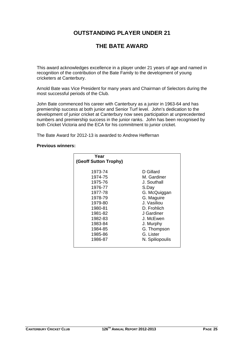## **OUTSTANDING PLAYER UNDER 21**

## **THE BATE AWARD**

This award acknowledges excellence in a player under 21 years of age and named in recognition of the contribution of the Bate Family to the development of young cricketers at Canterbury.

Arnold Bate was Vice President for many years and Chairman of Selectors during the most successful periods of the Club.

John Bate commenced his career with Canterbury as a junior in 1963-64 and has premiership success at both junior and Senior Turf level. John's dedication to the development of junior cricket at Canterbury now sees participation at unprecedented numbers and premiership success in the junior ranks. John has been recognised by both Cricket Victoria and the ECA for his commitment to junior cricket.

The Bate Award for 2012-13 is awarded to Andrew Heffernan

#### **Previous winners:**

| Year<br>(Geoff Sutton Trophy) |                 |
|-------------------------------|-----------------|
| 1973-74                       | D Gillard       |
| 1974-75                       | M. Gardiner     |
| 1975-76                       | J. Southall     |
| 1976-77                       | S.Day           |
| 1977-78                       | G. McQuiggan    |
| 1978-79                       | G. Maguire      |
| 1979-80                       | J. Vasiliou     |
| 1980-81                       | D. Frohlich     |
| 1981-82                       | J Gardiner      |
| 1982-83                       | J. McEwen       |
| 1983-84                       | J. Murphy       |
| 1984-85                       | G. Thompson     |
| 1985-86                       | G. Lister       |
| 1986-87                       | N. Spiliopoulis |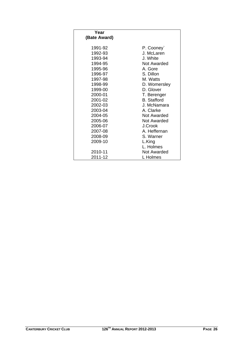| Year         |                    |
|--------------|--------------------|
| (Bate Award) |                    |
|              |                    |
| 1991-92      | P. Cooney          |
| 1992-93      | J. McLaren         |
| 1993-94      | J. White           |
| 1994-95      | Not Awarded        |
| 1995-96      | A. Gore            |
| 1996-97      | S. Dillon          |
| 1997-98      | M. Watts           |
| 1998-99      | D. Womersley       |
| 1999-00      | D. Glover          |
| 2000-01      | T. Berenger        |
| 2001-02      | <b>B.</b> Stafford |
| 2002-03      | J. McNamara        |
| 2003-04      | A. Clarke          |
| 2004-05      | Not Awarded        |
| 2005-06      | Not Awarded        |
| 2006-07      | J.Crook            |
| 2007-08      | A. Heffernan       |
| 2008-09      | S. Warner          |
| 2009-10      | L.King             |
|              | L. Holmes          |
| 2010-11      | Not Awarded        |
| 2011-12      | L Holmes           |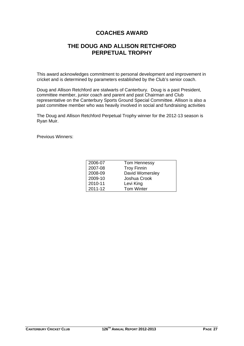## **COACHES AWARD**

## **THE DOUG AND ALLISON RETCHFORD PERPETUAL TROPHY**

This award acknowledges commitment to personal development and improvement in cricket and is determined by parameters established by the Club's senior coach.

Doug and Allison Retchford are stalwarts of Canterbury. Doug is a past President, committee member, junior coach and parent and past Chairman and Club representative on the Canterbury Sports Ground Special Committee. Allison is also a past committee member who was heavily involved in social and fundraising activities

The Doug and Allison Retchford Perpetual Trophy winner for the 2012-13 season is Ryan Muir.

Previous Winners:

| 2006-07 | Tom Hennessy       |
|---------|--------------------|
| 2007-08 | <b>Troy Finnin</b> |
| 2008-09 | David Womersley    |
| 2009-10 | Joshua Crook       |
| 2010-11 | Levi King          |
| 2011-12 | <b>Tom Winter</b>  |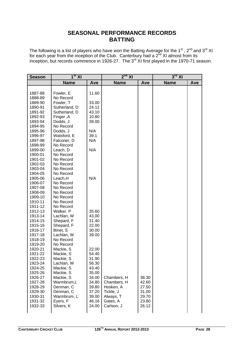## **SEASONAL PERFORMANCE RECORDS BATTING**

The following is a list of players who have won the Batting Average for the 1<sup>st</sup>, 2<sup>nd</sup> and 3<sup>rd</sup> XI for each year from the inception of the Club. Canterbury had a  $2<sup>nd</sup>$  XI almost from its inception, but records commence in 1926-27. The  $3<sup>rd</sup>$  XI first played in the 1970-71 season.

| <b>Name</b><br><b>Name</b><br><b>Name</b><br>Ave<br>Ave<br>Ave<br>Fowler, E<br>11.60<br>1887-88<br>No Record<br>1888-89<br>Fowler, T<br>33.00<br>1889-90<br>Sutherland, D<br>1890-91<br>24.12<br>Sutherland, D<br>43.10<br>1891-92<br>1892-93<br>Finger, A<br>10.80<br>Dodds, J<br>39.00<br>1893-94<br>No Record<br>1894-95<br>N/A<br>1895-96<br>Dodds, J<br>39.1<br>Watsford, E<br>1996-97<br>N/A<br>1897-98<br>Falconer, D<br>1898-99<br>No Record<br>N/A<br>1899-00<br>Leach, D<br>No Record<br>1900-01<br>1901-02<br>No Record<br>No Record<br>1902-03<br>1903-04<br>No Record<br>1904-05<br>No Record<br>N/A<br>Leach, H<br>1905-06<br>No Record<br>1906-07<br>1907-08<br>No Record<br>No Record<br>1908-09<br>1909-10<br>No Record<br>1910-11<br>No Record<br>1911-12<br>No Record<br>Walker. P<br>35.60<br>1912-13<br>1913-14<br>Lachlan, W<br>43.00<br>1914-15<br>Shepard, F<br>31.40<br>Shepard, F<br>22.00<br>1915-16<br>Binet, S<br>1916-17<br>30.00<br>Lachlan, W<br>1917-18<br>39.00<br>1918-19<br>No Record<br>1919-20<br>No Record<br>1920-21<br>Mackie, S<br>22.00<br>1921-22<br>Mackie, S<br>54.40<br>1922-23<br>Mackie, S<br>31.90<br>56.30<br>1923-24<br>Lachlan, W<br>1924-25<br>Mackie, S<br>43.40<br>Mackie, S<br>35.00<br>1925-26<br>Mackie, S<br>Chambers, H<br>1926-27<br>34.00<br>38.30<br>Warmbrum,L<br>Chambers, H<br>1927-28<br>34.80<br>42.60<br>1928-29<br>Denman, C<br>39.80<br>Hosken, A<br>27.50<br>Denman, C<br>Tickle, J<br>1929-30<br>37.20<br>31.00<br>Always, T<br>1930-31<br>Warmbrum, L<br>39.00<br>29.70<br>Gates, A<br>1931-32<br>Eyers, F<br>46.16<br>23.80<br>Silvers, K<br>1932-33<br>24.00<br>Carlson, J<br>26.12 | <b>Season</b> | 1 <sup>st</sup> XI | $2nd$ XI |  | $3^{\text{rd}}$ XI |  |
|------------------------------------------------------------------------------------------------------------------------------------------------------------------------------------------------------------------------------------------------------------------------------------------------------------------------------------------------------------------------------------------------------------------------------------------------------------------------------------------------------------------------------------------------------------------------------------------------------------------------------------------------------------------------------------------------------------------------------------------------------------------------------------------------------------------------------------------------------------------------------------------------------------------------------------------------------------------------------------------------------------------------------------------------------------------------------------------------------------------------------------------------------------------------------------------------------------------------------------------------------------------------------------------------------------------------------------------------------------------------------------------------------------------------------------------------------------------------------------------------------------------------------------------------------------------------------------------------------------------------------------------------------------------|---------------|--------------------|----------|--|--------------------|--|
|                                                                                                                                                                                                                                                                                                                                                                                                                                                                                                                                                                                                                                                                                                                                                                                                                                                                                                                                                                                                                                                                                                                                                                                                                                                                                                                                                                                                                                                                                                                                                                                                                                                                  |               |                    |          |  |                    |  |
|                                                                                                                                                                                                                                                                                                                                                                                                                                                                                                                                                                                                                                                                                                                                                                                                                                                                                                                                                                                                                                                                                                                                                                                                                                                                                                                                                                                                                                                                                                                                                                                                                                                                  |               |                    |          |  |                    |  |
|                                                                                                                                                                                                                                                                                                                                                                                                                                                                                                                                                                                                                                                                                                                                                                                                                                                                                                                                                                                                                                                                                                                                                                                                                                                                                                                                                                                                                                                                                                                                                                                                                                                                  |               |                    |          |  |                    |  |
|                                                                                                                                                                                                                                                                                                                                                                                                                                                                                                                                                                                                                                                                                                                                                                                                                                                                                                                                                                                                                                                                                                                                                                                                                                                                                                                                                                                                                                                                                                                                                                                                                                                                  |               |                    |          |  |                    |  |
|                                                                                                                                                                                                                                                                                                                                                                                                                                                                                                                                                                                                                                                                                                                                                                                                                                                                                                                                                                                                                                                                                                                                                                                                                                                                                                                                                                                                                                                                                                                                                                                                                                                                  |               |                    |          |  |                    |  |
|                                                                                                                                                                                                                                                                                                                                                                                                                                                                                                                                                                                                                                                                                                                                                                                                                                                                                                                                                                                                                                                                                                                                                                                                                                                                                                                                                                                                                                                                                                                                                                                                                                                                  |               |                    |          |  |                    |  |
|                                                                                                                                                                                                                                                                                                                                                                                                                                                                                                                                                                                                                                                                                                                                                                                                                                                                                                                                                                                                                                                                                                                                                                                                                                                                                                                                                                                                                                                                                                                                                                                                                                                                  |               |                    |          |  |                    |  |
|                                                                                                                                                                                                                                                                                                                                                                                                                                                                                                                                                                                                                                                                                                                                                                                                                                                                                                                                                                                                                                                                                                                                                                                                                                                                                                                                                                                                                                                                                                                                                                                                                                                                  |               |                    |          |  |                    |  |
|                                                                                                                                                                                                                                                                                                                                                                                                                                                                                                                                                                                                                                                                                                                                                                                                                                                                                                                                                                                                                                                                                                                                                                                                                                                                                                                                                                                                                                                                                                                                                                                                                                                                  |               |                    |          |  |                    |  |
|                                                                                                                                                                                                                                                                                                                                                                                                                                                                                                                                                                                                                                                                                                                                                                                                                                                                                                                                                                                                                                                                                                                                                                                                                                                                                                                                                                                                                                                                                                                                                                                                                                                                  |               |                    |          |  |                    |  |
|                                                                                                                                                                                                                                                                                                                                                                                                                                                                                                                                                                                                                                                                                                                                                                                                                                                                                                                                                                                                                                                                                                                                                                                                                                                                                                                                                                                                                                                                                                                                                                                                                                                                  |               |                    |          |  |                    |  |
|                                                                                                                                                                                                                                                                                                                                                                                                                                                                                                                                                                                                                                                                                                                                                                                                                                                                                                                                                                                                                                                                                                                                                                                                                                                                                                                                                                                                                                                                                                                                                                                                                                                                  |               |                    |          |  |                    |  |
|                                                                                                                                                                                                                                                                                                                                                                                                                                                                                                                                                                                                                                                                                                                                                                                                                                                                                                                                                                                                                                                                                                                                                                                                                                                                                                                                                                                                                                                                                                                                                                                                                                                                  |               |                    |          |  |                    |  |
|                                                                                                                                                                                                                                                                                                                                                                                                                                                                                                                                                                                                                                                                                                                                                                                                                                                                                                                                                                                                                                                                                                                                                                                                                                                                                                                                                                                                                                                                                                                                                                                                                                                                  |               |                    |          |  |                    |  |
|                                                                                                                                                                                                                                                                                                                                                                                                                                                                                                                                                                                                                                                                                                                                                                                                                                                                                                                                                                                                                                                                                                                                                                                                                                                                                                                                                                                                                                                                                                                                                                                                                                                                  |               |                    |          |  |                    |  |
|                                                                                                                                                                                                                                                                                                                                                                                                                                                                                                                                                                                                                                                                                                                                                                                                                                                                                                                                                                                                                                                                                                                                                                                                                                                                                                                                                                                                                                                                                                                                                                                                                                                                  |               |                    |          |  |                    |  |
|                                                                                                                                                                                                                                                                                                                                                                                                                                                                                                                                                                                                                                                                                                                                                                                                                                                                                                                                                                                                                                                                                                                                                                                                                                                                                                                                                                                                                                                                                                                                                                                                                                                                  |               |                    |          |  |                    |  |
|                                                                                                                                                                                                                                                                                                                                                                                                                                                                                                                                                                                                                                                                                                                                                                                                                                                                                                                                                                                                                                                                                                                                                                                                                                                                                                                                                                                                                                                                                                                                                                                                                                                                  |               |                    |          |  |                    |  |
|                                                                                                                                                                                                                                                                                                                                                                                                                                                                                                                                                                                                                                                                                                                                                                                                                                                                                                                                                                                                                                                                                                                                                                                                                                                                                                                                                                                                                                                                                                                                                                                                                                                                  |               |                    |          |  |                    |  |
|                                                                                                                                                                                                                                                                                                                                                                                                                                                                                                                                                                                                                                                                                                                                                                                                                                                                                                                                                                                                                                                                                                                                                                                                                                                                                                                                                                                                                                                                                                                                                                                                                                                                  |               |                    |          |  |                    |  |
|                                                                                                                                                                                                                                                                                                                                                                                                                                                                                                                                                                                                                                                                                                                                                                                                                                                                                                                                                                                                                                                                                                                                                                                                                                                                                                                                                                                                                                                                                                                                                                                                                                                                  |               |                    |          |  |                    |  |
|                                                                                                                                                                                                                                                                                                                                                                                                                                                                                                                                                                                                                                                                                                                                                                                                                                                                                                                                                                                                                                                                                                                                                                                                                                                                                                                                                                                                                                                                                                                                                                                                                                                                  |               |                    |          |  |                    |  |
|                                                                                                                                                                                                                                                                                                                                                                                                                                                                                                                                                                                                                                                                                                                                                                                                                                                                                                                                                                                                                                                                                                                                                                                                                                                                                                                                                                                                                                                                                                                                                                                                                                                                  |               |                    |          |  |                    |  |
|                                                                                                                                                                                                                                                                                                                                                                                                                                                                                                                                                                                                                                                                                                                                                                                                                                                                                                                                                                                                                                                                                                                                                                                                                                                                                                                                                                                                                                                                                                                                                                                                                                                                  |               |                    |          |  |                    |  |
|                                                                                                                                                                                                                                                                                                                                                                                                                                                                                                                                                                                                                                                                                                                                                                                                                                                                                                                                                                                                                                                                                                                                                                                                                                                                                                                                                                                                                                                                                                                                                                                                                                                                  |               |                    |          |  |                    |  |
|                                                                                                                                                                                                                                                                                                                                                                                                                                                                                                                                                                                                                                                                                                                                                                                                                                                                                                                                                                                                                                                                                                                                                                                                                                                                                                                                                                                                                                                                                                                                                                                                                                                                  |               |                    |          |  |                    |  |
|                                                                                                                                                                                                                                                                                                                                                                                                                                                                                                                                                                                                                                                                                                                                                                                                                                                                                                                                                                                                                                                                                                                                                                                                                                                                                                                                                                                                                                                                                                                                                                                                                                                                  |               |                    |          |  |                    |  |
|                                                                                                                                                                                                                                                                                                                                                                                                                                                                                                                                                                                                                                                                                                                                                                                                                                                                                                                                                                                                                                                                                                                                                                                                                                                                                                                                                                                                                                                                                                                                                                                                                                                                  |               |                    |          |  |                    |  |
|                                                                                                                                                                                                                                                                                                                                                                                                                                                                                                                                                                                                                                                                                                                                                                                                                                                                                                                                                                                                                                                                                                                                                                                                                                                                                                                                                                                                                                                                                                                                                                                                                                                                  |               |                    |          |  |                    |  |
|                                                                                                                                                                                                                                                                                                                                                                                                                                                                                                                                                                                                                                                                                                                                                                                                                                                                                                                                                                                                                                                                                                                                                                                                                                                                                                                                                                                                                                                                                                                                                                                                                                                                  |               |                    |          |  |                    |  |
|                                                                                                                                                                                                                                                                                                                                                                                                                                                                                                                                                                                                                                                                                                                                                                                                                                                                                                                                                                                                                                                                                                                                                                                                                                                                                                                                                                                                                                                                                                                                                                                                                                                                  |               |                    |          |  |                    |  |
|                                                                                                                                                                                                                                                                                                                                                                                                                                                                                                                                                                                                                                                                                                                                                                                                                                                                                                                                                                                                                                                                                                                                                                                                                                                                                                                                                                                                                                                                                                                                                                                                                                                                  |               |                    |          |  |                    |  |
|                                                                                                                                                                                                                                                                                                                                                                                                                                                                                                                                                                                                                                                                                                                                                                                                                                                                                                                                                                                                                                                                                                                                                                                                                                                                                                                                                                                                                                                                                                                                                                                                                                                                  |               |                    |          |  |                    |  |
|                                                                                                                                                                                                                                                                                                                                                                                                                                                                                                                                                                                                                                                                                                                                                                                                                                                                                                                                                                                                                                                                                                                                                                                                                                                                                                                                                                                                                                                                                                                                                                                                                                                                  |               |                    |          |  |                    |  |
|                                                                                                                                                                                                                                                                                                                                                                                                                                                                                                                                                                                                                                                                                                                                                                                                                                                                                                                                                                                                                                                                                                                                                                                                                                                                                                                                                                                                                                                                                                                                                                                                                                                                  |               |                    |          |  |                    |  |
|                                                                                                                                                                                                                                                                                                                                                                                                                                                                                                                                                                                                                                                                                                                                                                                                                                                                                                                                                                                                                                                                                                                                                                                                                                                                                                                                                                                                                                                                                                                                                                                                                                                                  |               |                    |          |  |                    |  |
|                                                                                                                                                                                                                                                                                                                                                                                                                                                                                                                                                                                                                                                                                                                                                                                                                                                                                                                                                                                                                                                                                                                                                                                                                                                                                                                                                                                                                                                                                                                                                                                                                                                                  |               |                    |          |  |                    |  |
|                                                                                                                                                                                                                                                                                                                                                                                                                                                                                                                                                                                                                                                                                                                                                                                                                                                                                                                                                                                                                                                                                                                                                                                                                                                                                                                                                                                                                                                                                                                                                                                                                                                                  |               |                    |          |  |                    |  |
|                                                                                                                                                                                                                                                                                                                                                                                                                                                                                                                                                                                                                                                                                                                                                                                                                                                                                                                                                                                                                                                                                                                                                                                                                                                                                                                                                                                                                                                                                                                                                                                                                                                                  |               |                    |          |  |                    |  |
|                                                                                                                                                                                                                                                                                                                                                                                                                                                                                                                                                                                                                                                                                                                                                                                                                                                                                                                                                                                                                                                                                                                                                                                                                                                                                                                                                                                                                                                                                                                                                                                                                                                                  |               |                    |          |  |                    |  |
|                                                                                                                                                                                                                                                                                                                                                                                                                                                                                                                                                                                                                                                                                                                                                                                                                                                                                                                                                                                                                                                                                                                                                                                                                                                                                                                                                                                                                                                                                                                                                                                                                                                                  |               |                    |          |  |                    |  |
|                                                                                                                                                                                                                                                                                                                                                                                                                                                                                                                                                                                                                                                                                                                                                                                                                                                                                                                                                                                                                                                                                                                                                                                                                                                                                                                                                                                                                                                                                                                                                                                                                                                                  |               |                    |          |  |                    |  |
|                                                                                                                                                                                                                                                                                                                                                                                                                                                                                                                                                                                                                                                                                                                                                                                                                                                                                                                                                                                                                                                                                                                                                                                                                                                                                                                                                                                                                                                                                                                                                                                                                                                                  |               |                    |          |  |                    |  |
|                                                                                                                                                                                                                                                                                                                                                                                                                                                                                                                                                                                                                                                                                                                                                                                                                                                                                                                                                                                                                                                                                                                                                                                                                                                                                                                                                                                                                                                                                                                                                                                                                                                                  |               |                    |          |  |                    |  |
|                                                                                                                                                                                                                                                                                                                                                                                                                                                                                                                                                                                                                                                                                                                                                                                                                                                                                                                                                                                                                                                                                                                                                                                                                                                                                                                                                                                                                                                                                                                                                                                                                                                                  |               |                    |          |  |                    |  |
|                                                                                                                                                                                                                                                                                                                                                                                                                                                                                                                                                                                                                                                                                                                                                                                                                                                                                                                                                                                                                                                                                                                                                                                                                                                                                                                                                                                                                                                                                                                                                                                                                                                                  |               |                    |          |  |                    |  |
|                                                                                                                                                                                                                                                                                                                                                                                                                                                                                                                                                                                                                                                                                                                                                                                                                                                                                                                                                                                                                                                                                                                                                                                                                                                                                                                                                                                                                                                                                                                                                                                                                                                                  |               |                    |          |  |                    |  |
|                                                                                                                                                                                                                                                                                                                                                                                                                                                                                                                                                                                                                                                                                                                                                                                                                                                                                                                                                                                                                                                                                                                                                                                                                                                                                                                                                                                                                                                                                                                                                                                                                                                                  |               |                    |          |  |                    |  |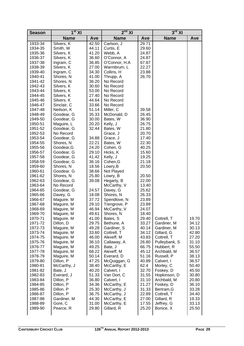| <b>Season</b>      | $1st$ XI                 |                | $2nd$ XI               |                | $3^{\rm rd}$ XI             |                |
|--------------------|--------------------------|----------------|------------------------|----------------|-----------------------------|----------------|
|                    | <b>Name</b>              | Ave            | <b>Name</b>            | Ave            | <b>Name</b>                 | Ave            |
| 1933-34            | Silvers, K               | 42.50          | Carlson, J             | 29.71          |                             |                |
| 1934-35            | Smith, W                 | 44.11          | Curtis, E              | 29.60          |                             |                |
| 1935-36            | Silvers, K               | 41.20          | Webb, A                | 24.87          |                             |                |
| 1936-37            | Silvers, K               | 36.60          | O'Connor, A            | 24.87          |                             |                |
| 1937-38            | Ingram, C                | 36.85          | O'Connor, H.A          | 67.87          |                             |                |
| 1938-39            | Silvers, K               | 27.00          | Warmbrum, L            | 22.27          |                             |                |
| 1939-40            | Ingram, C                | 34.30          | Collins, H             | 23.88          |                             |                |
| 1940-41            | Shores, N                | 41.00          | Thrupp, A              | 26.70          |                             |                |
| 1941-42            | Shores, N                | 36.20          | No Record              |                |                             |                |
| 1942-43            | Silvers, K               | 30.60          | No Record              |                |                             |                |
| 1943-44            | Silvers, K               | 53.00          | No Record              |                |                             |                |
| 1944-45            | Silvers, K               | 27.40          | No Record              |                |                             |                |
| 1945-46            | Silvers. K               | 44.64          | No Record              |                |                             |                |
| 1946-47            | Sinclair, C              | 33.66          | No Record              |                |                             |                |
| 1947-48            | Neilson, K               | 51.14          | Miller, C              | 39.58          |                             |                |
| 1948-49            | Goodear, G               | 35.33          | McDonald, D            | 26.45          |                             |                |
| 1949-50            | Goodear, G               | 30.00<br>20.20 | Bates, W               | 36.90          |                             |                |
| 1950-51<br>1951-52 | Maguire, L<br>Goodear, G | 32.44          | Kelly, J               | 26.75<br>21.80 |                             |                |
| 1952-53            | No Record                |                | Bates, W               | 20.70          |                             |                |
| 1953-54            | Goodear, G               | 34.88          | Grace, J<br>Grace, J   | 17.40          |                             |                |
| 1954-55            | Shores, N                | 22.21          | Bates, W               | 22.30          |                             |                |
| 1955-56            | Goodear, G               | 24.20          | Cohen, G               | 40.25          |                             |                |
| 1956-57            | Goodear, G               | 29.10          | Hicks, K               | 15.60          |                             |                |
| 1957-58            | Goodear, G               | 41.42          | Kelly, J               | 19.25          |                             |                |
| 1958-59            | Goodear, G               | 36.16          | Cohen, G               | 21.18          |                             |                |
| 1959-60            | Shores, N                | 18.56          | Lowry, B               | 20.50          |                             |                |
| 1960-61            | Goodear. G               | 38.66          | Not Played             |                |                             |                |
| 1961-62            | Shores, N                | 25.80          | Lowry, B               | 20.50          |                             |                |
| 1962-63            | Goodear, G               | 39.08          | Hegarty, B             | 22.00          |                             |                |
| 1963-64            | No Record                |                | McCarthy, V            | 13.40          |                             |                |
| 1964-65            | Goodear, G               | 24.57          | Davey, G               | 25.62          |                             |                |
| 1965-66            | Davey, G                 | 18.08          | Shores, N              | 26.33          |                             |                |
| 1966-67            | Maguire. M               | 37.72          | Spendlove, N           | 23.89          |                             |                |
| 1967-68            | Maguire, M               | 29.10          | Trengrove, P           | 23.89          |                             |                |
| 1968-69            | Maguire, M               | 46.94          | McCarthy, V            | 24.07          |                             |                |
| 1969-70            | Maguire, M               | 49.61          | Shores, N              | 18.40          |                             |                |
| 1970-71            | Maguire. M               | 41.00          | Bates, S               | 29.40          | Cottrell, T                 | 19.70          |
| 1971-72            | Dillon, D                | 29.75          | Bethune, A             | 33.27          | Gardiner, M                 | 34.12          |
| 1972-73            | Maguire, M               | 49.28          | Gardiner, S            | 40.14          | Gardiner, M                 | 30.13          |
| 1973-74            | Maguire, M               | 33.60          | Cottrell, T            | 34.12          | Gillard, G                  | 42.80          |
| 1974-75            | Maguire, M               | 46.00          | Alexeff, M             | 43.83          | Cottrell, T                 | 27.20          |
| 1975-76            | Maguire, M               | 36.10<br>49.25 | Callaway, A<br>Bate, J | 26.80<br>66.75 | Pulleybank, S<br>Hubbert, R | 31.10<br>55.50 |
| 1976-77<br>1977-78 | Maguire, M<br>Maguire, M | 68.22          | Alexeff, M             | 45.12          | Archbald, M                 | 36.57          |
| 1978-79            | Maguire, M               | 50.14          | Everard, D             | 51.16          | Russell, P                  | 38.13          |
| 1979-80            | Dillon, P                | 47.25          | McQuiggan, G           | 40.89          | Calvert, I                  | 36.57          |
| 1980-81            | McCarthy, J              | 38.40          | McCarthy, E            | 62.4           | Morley, C                   | 50.40          |
| 1981-82            | Bate, J                  | 40.20          | Calvert, I             | 32.70          | Foskey, D                   | 45.50          |
| 1982-83            | Everard, J               | 51.33          | Van Dort, C            | 31.55          | Hopkinson, D                | 30.80          |
| 1983-84            | Dillon, P                | 36.80          | Calvert, I             | 31.10          | Archbald, M                 | 20.80          |
| 1984-85            | Dillon, P                | 34.36          | McCarthy, E            | 21.27          | Foskey, D                   | 36.10          |
| 1985-86            | Dillon. P                | 25.30          | McCarthy, J            | 31.33          | Bertram, G                  | 33.28          |
| 1986-87            | Dillon, P                | 36.75          | McCarthy, J            | 22.89          | Cottrell, T                 | 34.40          |
| 1987-88            | Gardiner, M              | 44.30          | McCarthy, E            | 27.00          | Gillard, R                  | 19.33          |
| 1988-89            | Gore, C                  | 31.00          | McCarthy, E            | 17.55          | Jeffrey, G                  | 33.13          |
| 1989-90            | Pearce, R                | 29.80          | Gillard, R             | 25.20          | Bonice, X                   | 25.50          |
|                    |                          |                |                        |                |                             |                |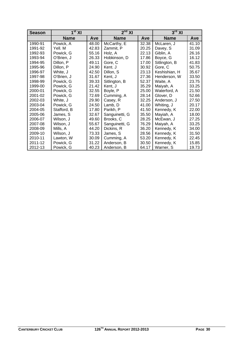| <b>Season</b> | 1 <sup>st</sup> XI |       | $2nd$ XI       |       | $3rd$ XI      |       |
|---------------|--------------------|-------|----------------|-------|---------------|-------|
|               | <b>Name</b>        | Ave   | <b>Name</b>    | Ave   | <b>Name</b>   | Ave   |
| 1990-91       | Powick, A          | 48.00 | McCarthy, E    | 32.38 | McLaren, J    | 41.10 |
| 1991-92       | Yell. M            | 42.83 | Zammit, P      | 20.25 | Davey, S      | 31.09 |
| 1992-93       | Powick, G          | 55.16 | Holz, A        | 22.13 | Giblin, A     | 26.16 |
| 1993-94       | O'Brien, J         | 26.33 | Hobkinson, D   | 17.86 | Boyce, G      | 16.12 |
| 1994-95       | Dillon, P          | 49.11 | Gore, C        | 17.00 | Sitlington, B | 41.83 |
| 1995-96       | Dillon, P          | 24.90 | Kent. J        | 30.92 | Gore, C       | 50.75 |
| 1996-97       | White, J           | 42.50 | Dillon, S      | 23.13 | Keshishian, H | 35.67 |
| 1997-98       | O'Brien, J         | 31.67 | Kent, J        | 27.36 | Henderson, W  | 33.50 |
| 1998-99       | Powick, G          | 39.33 | Sitlington, B  | 52.37 | Waite, A      | 23.75 |
| 1999-00       | Powick, G          | 21.42 | Kent, J        | 35.29 | Maiyah, A     | 33.25 |
| 2000-01       | Powick, G          | 32.55 | Boyle, P       | 25.00 | Waterford, A  | 21.50 |
| 2001-02       | Powick, G          | 72.69 | Cumming, A     | 28.14 | Glover, D     | 52.66 |
| 2002-03       | White, J           | 29.90 | Casey, R       | 32.25 | Anderson, J   | 27.50 |
| 2003-04       | Powick, G          | 24.50 | Lamb, D        | 41.00 | Whiting, J    | 20.17 |
| 2004-05       | Stafford, B        | 17.80 | Parikh, P      | 41.50 | Kennedy, K    | 22.00 |
| 2005-06       | James, S           | 32.67 | Sanguinetti, G | 35.50 | Mayiah, A     | 18.00 |
| 2006-07       | Wilson, J          | 49.60 | Brooks, C      | 28.25 | McEwan, J     | 27.25 |
| 2007-08       | Wilson, J          | 55.67 | Sanguinetti, G | 76.29 | Maiyah, A     | 33.25 |
| 2008-09       | Mills, A           | 44.20 | Dickins, R     | 36.20 | Kennedy, K    | 34.00 |
| 2009-10       | Wilson, J          | 73.33 | James, S       | 28.56 | Kennedy, K    | 31.50 |
| 2010-11       | Lawton, W          | 30.09 | Cumming, A     | 53.20 | Kennedy, K    | 22.45 |
| 2011-12       | Powick, G          | 31.22 | Anderson, B    | 30.50 | Kennedy, K    | 15.85 |
| 2012-13       | Powick, G          | 40.23 | Anderson, B    | 64.17 | Warner, S     | 19.73 |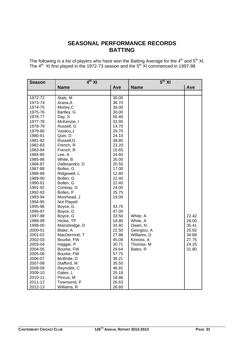## **SEASONAL PERFORMANCE RECORDS BATTING**

The following is a list of players who have won the Batting Average for the  $4<sup>th</sup>$  and  $5<sup>th</sup>$  XI. The  $4<sup>th</sup>$  XI first played in the 1972-73 season and the  $5<sup>th</sup>$  XI commenced in 1997-98

| <b>Season</b> | $4th$ XI       |       | 5 <sup>th</sup> XI |       |  |
|---------------|----------------|-------|--------------------|-------|--|
|               | <b>Name</b>    | Ave   | <b>Name</b>        | Ave   |  |
|               |                |       |                    |       |  |
| 1972-72       | Stals, M       | 30.00 |                    |       |  |
| 1973-74       | Arana, A       | 36.70 |                    |       |  |
| 1974-75       | Morley, C      | 36.00 |                    |       |  |
| 1975-76       | Bartley, G     | 30.00 |                    |       |  |
| 1976-77       | Day, S         | 55.40 |                    |       |  |
| 1977-78       | McKenzie, I    | 33.90 |                    |       |  |
| 1978-79       | Russell, G     | 14.70 |                    |       |  |
| 1979-80       | Vasilou, J     | 29.70 |                    |       |  |
| 1980-81       | Quin, D        | 24.10 |                    |       |  |
| 1981-82       | Russell, G     | 38.80 |                    |       |  |
| 1982-83       | French, R      | 23.20 |                    |       |  |
| 1983-84       | French, R      | 15.65 |                    |       |  |
| 1984-85       | Lee, A         | 34.60 |                    |       |  |
| 1985-86       | White, B       | 35.00 |                    |       |  |
| 1986-87       | Dallesandro, D | 20.50 |                    |       |  |
| 1987-88       | Bollen, G      | 17.00 |                    |       |  |
| 1988-89       | Ridgewell, L   | 12.80 |                    |       |  |
| 1989-90       | Bollen, G      | 22.40 |                    |       |  |
| 1990-91       | Bollen, G      | 22.40 |                    |       |  |
| 1991-92       | Conway, D      | 24.00 |                    |       |  |
| 1992-93       | Bollen, P      | 25.75 |                    |       |  |
| 1993-94       | Moorhead, J    | 19.00 |                    |       |  |
| 1994-95       | Not Played     |       |                    |       |  |
| 1995-96       | Boyce, G       | 43.70 |                    |       |  |
| 1996-97       | Boyce, G       | 47.00 |                    |       |  |
| 1997-98       | Boyce, G       | 33.56 | White, A           | 22.42 |  |
| 1998-99       | Hickie, TP     | 18.80 | White, A           | 28.00 |  |
| 1999-00       | Mainsbridge, D | 34.92 | Owen, N            | 35.41 |  |
| 2000-01       | Blake, A       | 22.50 | Georgiou, A        | 25.92 |  |
| 2001-02       | MacDermott, T  | 27.88 | Williams, D        | 34.88 |  |
| 2002-03       | Bourke, FW     | 45.08 | Kinross, A         | 27.75 |  |
| 2003-04       | Haggar, P      | 30.71 | Thomas, M          | 24.25 |  |
| 2004-05       | Bourke, FW     | 29.64 | Bates, R           | 31.80 |  |
| 2005-06       | Bourke, FW     | 57.75 |                    |       |  |
| 2006-07       | McBride, D     | 38.21 |                    |       |  |
| 2007-08       | Stafford, M    | 35.50 |                    |       |  |
| 2008-09       | Reynolds, C    | 46.91 |                    |       |  |
| 2009-10       | Gates, L       | 25.18 |                    |       |  |
| 2010-11       | Pincus, M      | 18.86 |                    |       |  |
| 2011-12       | Townsend, P    | 26.63 |                    |       |  |
| 2012-13       | Williams, R    | 26.60 |                    |       |  |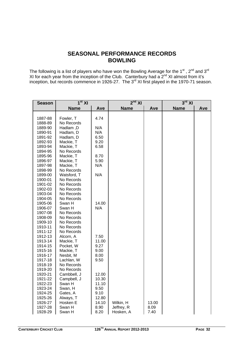## **SEASONAL PERFORMANCE RECORDS BOWLING**

The following is a list of players who have won the Bowling Average for the 1<sup>st</sup>, 2<sup>nd</sup> and 3<sup>rd</sup> XI for each year from the inception of the Club. Canterbury had a  $2^{nd}$  XI almost from it's inception, but records commence in 1926-27. The 3<sup>rd</sup> XI first played in the 1970-71 season.

| <b>Season</b>      | $1st$ XI                 |       | $2nd$ XI    |       | $3^{\text{rd}}$ XI |     |
|--------------------|--------------------------|-------|-------------|-------|--------------------|-----|
|                    | <b>Name</b>              | Ave   | <b>Name</b> | Ave   | <b>Name</b>        | Ave |
|                    |                          |       |             |       |                    |     |
| 1887-88            | Fowler, T                | 4.74  |             |       |                    |     |
| 1888-89            | No Records               |       |             |       |                    |     |
| 1889-90            | Hadlam, D                | N/A   |             |       |                    |     |
| 1890-91            | Hadlam, D                | N/A   |             |       |                    |     |
| 1891-92            | Hadlam, D                | 6.50  |             |       |                    |     |
| 1892-93            | Mackie, T                | 9.20  |             |       |                    |     |
| 1893-94            | Mackie, T                | 6.58  |             |       |                    |     |
| 1894-95            | No Records               |       |             |       |                    |     |
| 1895-96            | Mackie, T                | 8.70  |             |       |                    |     |
| 1896-97            | Mackie, T                | 5.90  |             |       |                    |     |
| 1897-98            | Mackie, T                | N/A   |             |       |                    |     |
| 1898-99            | No Records               |       |             |       |                    |     |
| 1899-00            | Watsford, T              | N/A   |             |       |                    |     |
| 1900-01            | No Records               |       |             |       |                    |     |
| 1901-02            | No Records               |       |             |       |                    |     |
| 1902-03            | No Records               |       |             |       |                    |     |
| 1903-04            | No Records               |       |             |       |                    |     |
| 1904-05            | No Records               |       |             |       |                    |     |
| 1905-06            | Swan H                   | 14.00 |             |       |                    |     |
| 1906-07            | Swan H                   | N/A   |             |       |                    |     |
| 1907-08            | No Records               |       |             |       |                    |     |
| 1908-09            | No Records               |       |             |       |                    |     |
| 1909-10            | No Records               |       |             |       |                    |     |
| 1910-11<br>1911-12 | No Records<br>No Records |       |             |       |                    |     |
|                    | Alcorn, A                | 7.50  |             |       |                    |     |
| 1912-13<br>1913-14 | Mackie, T                | 11.00 |             |       |                    |     |
| 1914-15            | Pocket, W                | 9.27  |             |       |                    |     |
| 1915-16            | Mackie, T                | 9.00  |             |       |                    |     |
| 1916-17            | Nesbit, M                | 8.00  |             |       |                    |     |
| 1917-18            | Lachlan, W               | 9.50  |             |       |                    |     |
| 1918-19            | No Records               |       |             |       |                    |     |
| 1919-20            | No Records               |       |             |       |                    |     |
| 1920-21            | Cambbell, J              | 12.00 |             |       |                    |     |
| 1921-22            | Campbell, J              | 10.30 |             |       |                    |     |
| 1922-23            | Swan H                   | 11.10 |             |       |                    |     |
| 1923-24            | Swan, H                  | 9.50  |             |       |                    |     |
| 1924-25            | Gates, A                 | 9.10  |             |       |                    |     |
| 1925-26            | Always, T                | 12.80 |             |       |                    |     |
| 1926-27            | Hosken E                 | 14.10 | Wilkin, H   | 13.00 |                    |     |
| 1927-28            | Swan H                   | 8.90  | Jeffrey, R  | 8.09  |                    |     |
| 1928-29            | Swan H                   | 8.20  | Hosken, A   | 7.40  |                    |     |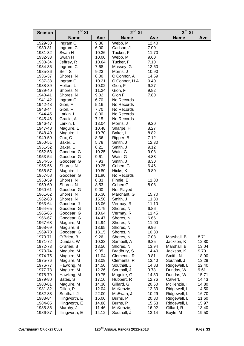| <b>Season</b>      | $1st$ XI                |              | $2nd$ XI              |       | $3rd$ XI     |       |
|--------------------|-------------------------|--------------|-----------------------|-------|--------------|-------|
|                    | <b>Name</b>             | Ave          | <b>Name</b>           | Ave   | <b>Name</b>  | Ave   |
| 1929-30            | Ingram C                | 9.36         | Webb, M               | 12.40 |              |       |
| 1930-31            | Ingram, C               | 6.00         | Carlson, J            | 7.00  |              |       |
| 1931-32            | Swan H                  | 10.36        | Tucker, F             | 11.70 |              |       |
| 1932-33            | Swan H                  | 10.00        | Webb, M               | 9.60  |              |       |
| 1933-34            | Jeffrey, R              | 10.64        | Tucker, F             | 7.10  |              |       |
| 1934-35            | Ingram, C               | 7.68         | Massey, G             | 12.60 |              |       |
| 1935-36            | Self, S                 | 9.23         | Morris, J             | 10.90 |              |       |
| 1936-37            | Shores, N               | 8.00         | O'Connor, A           | 14.59 |              |       |
| 1937-38            | Ingram C                | 10.21        | O'Connor, H.A.        | 9.40  |              |       |
| 1938-39            | Holton, L               | 10.02        | Gion, F               | 9.27  |              |       |
| 1939-40            | Shores, N               | 11.24        | Gion, F               | 9.82  |              |       |
| 1940-41            | Shores, N               | 9.02         | Gion F                | 7.80  |              |       |
| 1941-42            | Ingram C                | 6.70         | No Records            |       |              |       |
| 1942-43            | Gion, F                 | 5.16         | No Records            |       |              |       |
| 1943-44            | Gion, F                 | 7.70         | No Records            |       |              |       |
| 1944-45            | Larkin. L               | 8.00         | No Records            |       |              |       |
| 1945-46            | Gracie, A               | 7.15         | No Records            |       |              |       |
| 1946-47            | Larkin, L               | 13.04        | Morris, J             | 9.20  |              |       |
| 1947-48            | Maguire, L              | 10.48        | Sharpe, H             | 8.27  |              |       |
| 1848-49            | Maguire. L              | 10.70        | Baker, L              | 8.82  |              |       |
| 1949-50            | Cox, C                  | 8.36         | Ripper, B             | 7.12  |              |       |
| 1950-51            | Baker, L                | 5.78         | Smith, J              | 12.30 |              |       |
| 1951-52            | Baker, L                | 8.21         | Smith, J              | 9.12  |              |       |
| 1952-53            | Goodear, G              | 10.25        | Wain, G               | 9.08  |              |       |
| 1953-54            | Goodear, G              | 9.61         | Wain, G               | 4.88  |              |       |
| 1954-55            | Goodear, G              | 7.93         | Smith, J              | 8.30  |              |       |
| 1955-56            | Shores, N               | 10.25        | Cohen, G              | 6.46  |              |       |
| 1956-57            | Maguire. L              | 10.80        | Hicks, K              | 9.80  |              |       |
| 1957-58            | Goodear, G              | 11.90        | No Records            |       |              |       |
| 1958-59            | Shores, N               | 8.33         | Finnie, E             | 11.30 |              |       |
| 1959-60<br>1960-61 | Shores, N<br>Goodear, G | 8.53<br>9.00 | Cohen G<br>Not Played | 8.08  |              |       |
| 1961-62            | Shores, N               | 16.30        | Marchant, G           | 15.70 |              |       |
| 1962-63            | Shores, N               | 15.50        | Smith, J              | 11.80 |              |       |
| 1963-64            | Goodear, J              | 13.06        | Vermay, R             | 11.10 |              |       |
| 1964-65            | Goodear, G              | 12.79        | Shores, N             | 6.86  |              |       |
| 1965-66            | Goodear, G              | 10.64        | Vermay, R             | 11.45 |              |       |
| 1966-67            | Goodear, G              | 14.47        | Shores, N             | 6.66  |              |       |
| 1967-68            | Maguire, M              | 14.94        | Shores, N             | 11.00 |              |       |
| 1968-69            | Maguire, B              | 13.65        | Shores, N             | 9.96  |              |       |
| 1969-70            | Goodear, G              | 13.15        | Shores, N             | 10.80 |              |       |
| 1970-71            | O'Brien, B              | 9.26         | Shores, N             | 7.08  | Marshall, B  | 8.71  |
| 1971-72            | Dundas, W               | 10.33        | Sambell, A            | 9.35  | Jackson, K   | 12.80 |
| 1972-73            | O'Brien, B              | 13.50        | Shores, N             | 13.94 | Marshall, B  | 13.04 |
| 1973-74            | Maguire, M              | 9.05         | Bradbury, S           | 14.40 | Jackson, K   | 9.70  |
| 1974-75            | Maguire, M              | 11.04        | Clements, R           | 9.81  | Smith, N     | 18.90 |
| 1975-76            | Maguire, M              | 13.09        | Clements, R           | 13.40 | Southall, J  | 13.28 |
| 1976-77            | Hawking, M              | 14.50        | Southall, J           | 14.83 | Ridgewell, L | 22.40 |
| 1977-78            | Maguire, M              | 12.26        | Southall, J           | 9.78  | Dundas, W    | 9.61  |
| 1978-79            | Hawking, M              | 10.75        | Maguire, G            | 14.30 | Dundas, W    | 15.71 |
| 1979-80            | Bates, S                | 17.10        | Hubbert, R            | 12.76 | Calvert, I   | 14.43 |
| 1980-81            | Maguire, M              | 14.30        | Gillard, G            | 20.60 | McKenzie, I  | 14.80 |
| 1981-82            | Dillon, P               | 12.04        | McKenzie, I           | 12.33 | Ridgewell, L | 14.50 |
| 1982-83            | Southall, J             | 22.00        | McEwan, J             | 10.29 | Ridgewell, L | 16.70 |
| 1983-84            | Illingworth, E          | 16.00        | Burns, P              | 20.80 | Ridgewell, L | 21.60 |
| 1984-85            | Illingworth, E          | 14.88        | Burns, P              | 15.53 | Ridgewell, L | 15.97 |
| 1985-86            | Murphy, J               | 11.46        | McKenzie, I           | 16.92 | Gillard, R   | 13.40 |
| 1986-87            | Illingworth, E          | 14.12        | Southall, J           | 13.14 | Boyle, M     | 19.50 |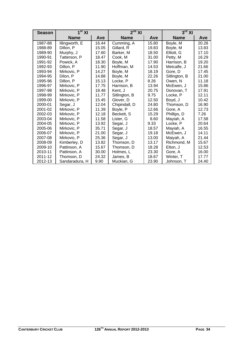| <b>Season</b> | 1 <sup>st</sup> XI |       | 2 <sup>nd</sup> XI |       | $3rd$ XI      |       |
|---------------|--------------------|-------|--------------------|-------|---------------|-------|
|               | <b>Name</b>        | Ave   | <b>Name</b>        | Ave   | <b>Name</b>   | Ave   |
| 1987-88       | Illingworth, E     | 16.44 | Cumming, A         | 15.80 | Boyle, M      | 20.28 |
| 1988-89       | Dillon, P          | 15.05 | Gillard, R         | 19.83 | Boyle, M      | 13.83 |
| 1989-90       | Murphy, J          | 17.60 | Barker, M          | 18.50 | Elliott, G    | 17.10 |
| 1990-91       | Tatterson, P       | 18.47 | Cook, M            | 31.00 | Petty, M      | 16.29 |
| 1991-92       | Powick, A          | 18.30 | Boyle, M           | 17.90 | Harrison, B   | 19.20 |
| 1992-93       | Dillon, P          | 11.90 | Hoffman, M         | 14.53 | Metcalfe, J   | 21.66 |
| 1993-94       | Mirkovic, P        | 14.27 | Boyle, M           | 18.19 | Gore, D       | 17.45 |
| 1994-95       | Dilon, P           | 14.88 | Boyle, M           | 22.26 | Sitlington, B | 21.00 |
| 1995-96       | Dillon, P          | 15.13 | Locke, P           | 8.26  | Owen, N       | 11.18 |
| 1996-97       | Mirkovic, P        | 17.75 | Harrison, B        | 13.94 | McEwen, J     | 15.86 |
| 1997-98       | Mirkovic, P        | 18.48 | Kent. J            | 20.75 | Donovan, T    | 17.91 |
| 1998-99       | Mirkovic, P        | 11.77 | Sitlington, B      | 9.75  | Locke, P      | 12.11 |
| 1999-00       | Mirkovic, P        | 15.45 | Glover, D          | 12.50 | Boyd, J       | 10.42 |
| 2000-01       | Segar, J           | 12.04 | Chipindall, D      | 24.80 | Thomson, D    | 16.90 |
| 2001-02       | Mirkovic, P        | 11.39 | Boyle, P           | 12.66 | Gore, A       | 12.73 |
| 2002-03       | Mirkovic, P        | 12.18 | Beckett, S         | 15.29 | Phillips, D   | 7.26  |
| 2003-04       | Mirkovic, P        | 11.58 | Lister, G          | 8.60  | Mayiah, A     | 17.58 |
| 2004-05       | Mirkovic, P        | 13.92 | Segar, J           | 9.33  | Locke, P      | 20.64 |
| 2005-06       | Mirkovic, P        | 35.71 | Segar, J           | 18.57 | Mayiah, A     | 16.55 |
| 2006-07       | Mirkovic, P        | 21.00 | Segar, J           | 19.18 | McEwen, J     | 14.11 |
| 2007-08       | Mirkovic, P        | 25.36 | Segar, J           | 13.00 | Maiyah, A     | 21.44 |
| 2008-09       | Kimberley, D       | 13.82 | Thomson, D         | 13.17 | Richmond, M   | 15.67 |
| 2009-10       | Pattinson, A       | 15.67 | Thomson, D         | 18.28 | Elton, J      | 12.53 |
| 2010-11       | Pattinson, A       | 30.00 | Holmes, L          | 23.30 | Gore, A       | 16.00 |
| 2011-12       | Thomson, D         | 24.32 | James, B           | 18.67 | Winter, T     | 17.77 |
| 2012-13       | Sandaradura, H     | 9.90  | Muckian, G         | 23.90 | Johnson, T    | 24.40 |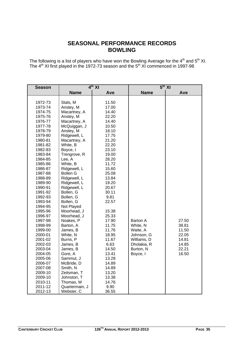## **SEASONAL PERFORMANCE RECORDS BOWLING**

The following is a list of players who have won the Bowling Average for the  $4<sup>th</sup>$  and  $5<sup>th</sup>$  XI. The  $4<sup>th</sup>$  XI first played in the 1972-73 season and the  $5<sup>th</sup>$  XI commenced in 1997-98

| <b>Season</b> | $4^{th}$ XI     |       |                 | $5th$ XI |
|---------------|-----------------|-------|-----------------|----------|
|               | <b>Name</b>     | Ave   | <b>Name</b>     | Ave      |
|               |                 |       |                 |          |
| 1972-73       | Stals, M        | 11.50 |                 |          |
| 1973-74       | Anstey, M       | 17.00 |                 |          |
| 1974-75       | Macartney, A    | 14.40 |                 |          |
| 1975-76       | Anstey, M       | 22.20 |                 |          |
| 1976-77       | Macartney, A    | 14.40 |                 |          |
| 1977-78       | McQuiggan, J    | 10.50 |                 |          |
| 1978-79       | Anstey, M       | 18.10 |                 |          |
| 1979-80       | Ridgewell, L    | 17.75 |                 |          |
| 1980-81       | Macartney, A    | 21.20 |                 |          |
| 1981-82       | White, B        | 22.20 |                 |          |
| 1982-83       | Boyce, I        | 23.10 |                 |          |
| 1983-84       | Trengrove, R    | 19.00 |                 |          |
| 1984-85       | Lee, A          | 28.20 |                 |          |
| 1985-86       | White, B        | 11.72 |                 |          |
| 1986-87       | Ridgewell, L    | 15.60 |                 |          |
| 1987-88       | <b>Bollen G</b> | 25.08 |                 |          |
| 1988-89       | Ridgewell, L    | 13.84 |                 |          |
| 1989-90       | Ridgewell, L    | 19.20 |                 |          |
| 1990-91       | Ridgewell, L    | 20.67 |                 |          |
| 1991-92       | Bollen, G       | 30.11 |                 |          |
| 1992-93       | Bollen, G       | 9.81  |                 |          |
| 1993-94       | Bollen, G       | 22.57 |                 |          |
| 1994-95       | Not Played      |       |                 |          |
| 1995-96       | Moorhead, J     | 15.38 |                 |          |
| 1996-97       | Moorhead, J     | 25.33 |                 |          |
| 1997-98       | Noakes, P       | 17.90 | <b>Barton A</b> | 27.50    |
| 1998-99       | Barton, A       | 11.75 | White, N        | 38.81    |
| 1999-00       | James, B        | 11.76 | Waite, A        | 11.50    |
| 2000-01       | White, N        | 18.95 | Johnson, G      | 22.05    |
| 2001-02       | Burns, P        | 11.67 | Williams, D     | 14.81    |
| 2002-03       | James, B        | 6.63  | Dholakia, R     | 14.85    |
| 2003-04       | James, B        | 14.50 | Burton, N       | 22.21    |
| 2004-05       | Gore, A         | 13.41 | Boyce, I        | 16.50    |
| 2005-06       | Sammut, J       | 13.28 |                 |          |
| 2006-07       | McBride, D      | 14.89 |                 |          |
| 2007-08       | Smith, N        | 14.89 |                 |          |
| 2009-10       | Zeitsman, T     | 13.20 |                 |          |
| 2009-10       | Johnston, T     | 13.38 |                 |          |
| 2010-11       | Thomas, M       | 14.76 |                 |          |
| 2011-12       | Quartermain, J  | 9.90  |                 |          |
| 2012-13       | Webster, C      | 36.55 |                 |          |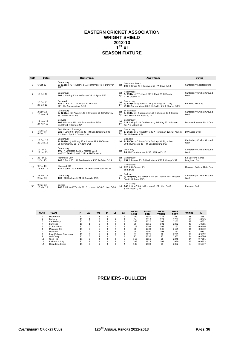#### **EASTERN CRICKET ASSOCIATION WRIGHT SHIELD 2012-13**   $1<sup>ST</sup>$  XI **SEASON FIXTURE**

| <b>RND</b>     | <b>Dates</b>           | Home Team                                                                                              |           | <b>Away Team</b>                                                                                               | Venue                             |
|----------------|------------------------|--------------------------------------------------------------------------------------------------------|-----------|----------------------------------------------------------------------------------------------------------------|-----------------------------------|
| 1              | 6 Oct 12               | Canterbury<br>9/211(cc) G McCarthy 51 A Heffernan 49 J Donovan<br>4/27                                 | def       | Deepdene Bears<br>199 S Grass 75 J Donovan 66 JW Boyd 4/53                                                     | Canterbury Sportsground           |
| $\mathcal{P}$  | 13 Oct 12              | Canterbury<br>203 J Whiting 93 A Heffernan 39 D Ryan 6/32                                              | def<br>bv | Heathmont<br>5/291(cc) T Thirlwell 86* J Cook 61 B Morris<br>47 M Gibson 39                                    | Canterbury Cricket Ground<br>West |
| 3              | 20 Oct 12<br>27 Oct 12 | Burwood<br>186 JD Kerr 41   Privitera 27 M Small<br>26* HM Sandaradura 5/39                            | def<br>by | Canterbury<br>9/331 (cc) GJ Powick 148 J Whiting 32 L King<br>29 HM Sandaradura 28 G McCarthy 25 J Sharpe 3/69 | <b>Burwood Reserve</b>            |
|                | 3 Nov 12<br>10 Nov 12  | Canterbury<br>9/321(cc) GJ Powick 120 H Crothers 51 G McCarthy<br>39 M Westman 4/61                    | def<br>by | St Barnabas<br>9/361(cc) J Sapardanis 166 J Sheldon 83 T George<br>26* HM Sandaradura 5/74                     | Canterbury Cricket Ground<br>West |
| 5              | 17 Nov 12<br>24 Nov 12 | Donvale<br>108 M Ronan 31* HM Sandaradura 7/39<br>and 0/49 M Ronan 25*                                 | def<br>by | Canterbury<br>211 L King 51 H Crothers 41 J Whiting 33 M Rosam<br>4/47 G Loku 3/50                             | Donyale Reserve No 1 Oval         |
| 6              | 1 Dec 12<br>8 Dec 12   | East Malvern Tooronga<br>225 J Land 60 J Dimock 35 HM Sandaradura 3/40<br>B. Johnson 3/45 K Cowan 3/84 | def<br>bv | Canterbury<br>5/365(cc) G McCarthy 128 A Heffernan 125 GJ Powick<br>26 M Garratt 4/86                          | DW Lucas Oval                     |
| $\overline{7}$ | 15 Dec 12<br>22 Dec 12 | Canterbury<br>9/209(cc) J Whiting 58 K Cowan 41 A Heffernan<br>30 G McCarthy 28 C Adam 5/35            |           | Glen Iris<br>def 9/190(cc) C Adam 31 V Buckley 31 TJ Jordan<br>30 S Dumaresq 26 HM Sandaradura 3/37            | Canterbury Cricket Ground<br>West |
| $\mathbf{R}$   | 12 Jan 13<br>19 Jan 13 | Canterbury<br>100 R Singleton 5/28 G Macrae 3/12<br>and 2/166 GJ Powick 112* A Heffernan 41            | def       | Old Carey<br>76 HM Sandaradura 6/33 JW Boyd 3/15                                                               | Canterbury Cricket Ground<br>West |
| $\circ$        | 26 Jan 13<br>2 Feb 13  | Richmond City<br>143 C Dent 35 HM Sandaradura 4/45 D Gates 3/24                                        |           | def Canterbury<br>by 151 C Brooks 25 D Mackintosh 3/21 P Kirkup 3/39                                           | KB Sporting Comp -<br>Loughnan Ov |
| 10             | 9 Feb 13<br>16 Feb 13  | Mazenod OC<br>139 A Jones 39 R Howes 34 HM Sandaradura 6/41                                            |           | Canterbury<br>def 120 A Heffernan 25<br>and $2/23$                                                             | Mazenod College Main Oval         |
| 11             | 23 Feb 13<br>2 Mar 13  | Canterbury<br>109 DB Hopkins 3/24 SL Roberts 3/35                                                      | def<br>by | Bulleen<br>9/295(dec) SG Porter 126* SG Tuckett 74* D Gates<br>3/44 L Holmes 3/45                              | Canterbury Cricket Ground<br>West |
| SF             | 9 Mar 13<br>10 Mar 13  | <b>Bulleen</b><br>165 R Hill 44 K Tsonis 36 B Johnson 4/36 O Lloyd 3/28                                |           | Canterbury<br>def 148 L King 53 A Heffernan 40 CT Hillas 5/43<br>S Davidson 3/25                               | Koonung Park                      |

| <b>RANK</b> | <b>TEAM</b>           | P  | W <sub>2</sub> | W1             | D        | L1 | L <sub>2</sub> | <b>WKTS</b><br><b>LOST</b> | <b>RUNS</b><br><b>FOR</b> | <b>WKTS</b><br><b>TAKEN</b> | <b>RUNS</b><br><b>AGST</b> | <b>POINTS</b> | %      |
|-------------|-----------------------|----|----------------|----------------|----------|----|----------------|----------------------------|---------------------------|-----------------------------|----------------------------|---------------|--------|
|             |                       |    |                |                |          |    |                |                            |                           |                             |                            |               |        |
|             | Heathmont             | 11 | 2              | 8              | $\Omega$ |    | $\Omega$       | 109                        | 2551                      | 126                         | 1587                       | 68            | .8581  |
|             | Bulleen               | 11 |                | 8              |          |    | $\Omega$       | 84                         | 2313                      | 121                         | 1787                       | 58            | .8645  |
| 3           | Canterbury            |    |                |                |          | 4  | $\Omega$       | 105                        | 2520                      | 102                         | 2262                       | 42            | 1.0822 |
| 4           | Burwood               | 11 |                | 5              |          | 5  | $\Omega$       | 96                         | 2151                      | 101                         | 2262                       | 40            | .0005  |
| 5           | St Barnabas           | 11 |                | 6              |          |    | c              | 118                        | 2295                      | 105                         | 2162                       | 36            | 0.9446 |
| 6           | Mazenod OC            | 11 |                | 6              |          | ь. | $\Omega$       | 98                         | 1730                      | 108                         | 2125                       | 36            | 0.8972 |
|             | Donvale               | 11 |                | 5              |          | 6  | $\Omega$       | 94                         | 1990                      | 103                         | 2151                       | 30            | 1.0137 |
| 8           | East Malvern Tooronga | 11 |                | 5              | $\Omega$ | 6  | $\Omega$       | 87                         | 2076                      | 90                          | 2225                       | 30            | 0.9652 |
| 9           | Old Carev             | 11 |                | 4              |          |    | $\Omega$       | 97                         | 2056                      | 97                          | 2367                       | 24            | 0.8686 |
| 10          | Glen Iris             | 11 |                | 4              |          | 6  |                | 116                        | 2051                      | 96                          | 2248                       | 24            | 0.7551 |
| 11          | <b>Richmond City</b>  | 11 |                | $\overline{ }$ | $\Omega$ | 8  | $\Omega$       | 105                        | 1915                      | 108                         | 1999                       | 22            | 0.9853 |
| 12          | Deepdene Bears        | 11 |                |                |          | 8  | $\overline{ }$ | 139                        | 1909                      | 91                          | 2382                       | 6             | 0.5247 |

#### **PREMIERS - BULLEEN**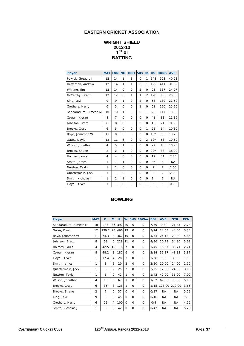## **EASTERN CRICKET ASSOCIATION**

## **WRIGHT SHIELD 2012-13**   $1<sup>ST</sup>$  XI **BATTING**

| <b>Player</b>         | <b>MAT</b>     | <b>INN</b>     | <b>NO</b>   | <b>100s</b> | <b>50s</b>     | $\overline{\text{Os}}$ | <b>HS</b>      | <b>RUNS</b>    | AVE.      |
|-----------------------|----------------|----------------|-------------|-------------|----------------|------------------------|----------------|----------------|-----------|
| Powick, Gregory J     | 12             | 14             | 1           | 3           | $\Omega$       | 1                      | 148            | 523            | 40.23     |
| Heffernan, Andrew     | 12             | 14             | 1           | 1           | $\Omega$       | 1                      | 125            | 411            | 31.62     |
| Whiting, Jim          | 12             | 14             | $\mathbf 0$ | 0           | $\overline{2}$ | 0                      | 93             | 337            | 24.07     |
| McCarthy, Grant       | 12             | 12             | $\Omega$    | 1           | 1              | $\overline{2}$         | 128            | 300            | 25.00     |
| King, Levi            | 9              | 9              | 1           | 0           | $\overline{2}$ | $\mathbf 0$            | 53             | 180            | 22.50     |
| Crothers, Harry       | 6              | 5              | 0           | 0           | 1              | $\Omega$               | 51             | 126            | 25.20     |
| Sandaradura, Himesh M | 10             | 10             | 1           | 0           | $\Omega$       | 1                      | 28             | 117            | 13.00     |
| Cowan, Kieran         | 8              | $\overline{7}$ | $\Omega$    | $\Omega$    | $\Omega$       | 0                      | 41             | 83             | 11.86     |
| Johnson, Brett        | 8              | 8              | $\mathbf 0$ | 0           | 0              | 0                      | 16             | 71             | 8.88      |
| Brooks, Craig         | 6              | 5              | 0           | 0           | $\mathbf{O}$   | 1                      | 25             | 54             | 10.80     |
| Boyd, Jonathon W      | 11             | 9              | 5           | 0           | 0              | 0                      | $10*$          | 53             | 13.25     |
| Gates, David          | 12             | 11             | 6           | 0           | 0              | $\overline{2}$         | $12*$          | 53             | 10.60     |
| Wilson, Jonathon      | 4              | 5              | 1           | 0           | 0              | 0                      | 22             | 43             | 10.75     |
| Brooks, Shane         | $\overline{2}$ | 2              | 1           | 0           | $\mathbf{O}$   | 0                      | $22*$          | 38             | 38.00     |
| Holmes, Louis         | 4              | $\overline{4}$ | 0           | 0           | $\mathbf 0$    | $\Omega$               | 17             | 31             | 7.75      |
| Smith, James          | 1              | 1              | 1           | 0           | $\Omega$       | $\Omega$               | $4*$           | 4              | <b>NA</b> |
| Newton, Taylor        | 1              | 1              | $\Omega$    | 0           | $\Omega$       | 0                      | $\overline{2}$ | $\overline{2}$ | 2.00      |
| Quartermain, Jack     | 1              | 1              | $\Omega$    | 0           | $\Omega$       | $\Omega$               | $\overline{2}$ | $\overline{2}$ | 2.00      |
| Smith, Nicholas J     | 1              | 1              | 1           | 0           | $\Omega$       | $\Omega$               | $2*$           | $\overline{2}$ | <b>NA</b> |
| Lloyd, Oliver         | 1              | 1              | $\mathbf 0$ | 0           | 0              | $\mathbf{1}$           | $\mathbf 0$    | $\mathbf 0$    | 0.00      |

| <b>Player</b>         | <b>MAT</b>     | O              | M              | $\mathbf R$ | W              | 5Wi      | 10Wm        | <b>BBI</b> | AVE.      | STR.      | ECN.  |
|-----------------------|----------------|----------------|----------------|-------------|----------------|----------|-------------|------------|-----------|-----------|-------|
| Sandaradura, Himesh M | 10             | 143            | 36             | 392         | 40             | 5        | $\Omega$    | 7/39       | 9.80      | 21.45     | 2.74  |
| Gates, David          | 12             | 139.2          | 25             | 466         | 19             | $\Omega$ | $\Omega$    | 3/24       | 24.53     | 44.00     | 3.34  |
| Boyd, Jonathon W      | 11             | 74.3           | 8              | 362         | 15             | $\Omega$ | 0           | 4/53       | 24.13     | 29.80     | 4.86  |
| Johnson, Brett        | 8              | 63             | 6              | 228         | 11             | $\Omega$ | $\Omega$    | 4/36       | 20.73     | 34.36     | 3.62  |
| Holmes, Louis         | 4              | 42.5           | 10             | 116         | 7              | 0        | $\Omega$    | 3/45       | 16.57     | 36.71     | 2.71  |
| Cowan, Kieran         | 8              | 48.2           | 3              | 187         | 6              | $\Omega$ | 0           | 3/84       | 31.17     | 48.33     | 3.87  |
| Lloyd, Oliver         | 1              | 17.4           | 4              | 28          | 3              | $\Omega$ | $\Omega$    | 3/28       | 9.33      | 35.33     | 1.58  |
| Smith, James          | 1              | 8              | $\overline{2}$ | 20          | $\overline{2}$ | $\Omega$ | $\Omega$    | 2/20       | 10.00     | 24.00     | 2.50  |
| Quartermain, Jack     | 1              | 8              | $\overline{2}$ | 25          | $\overline{2}$ | $\Omega$ | $\Omega$    | 2/25       | 12.50     | 24.00     | 3.13  |
| Newton, Taylor        | 1              | 6              | $\Omega$       | 42          | 1              | $\Omega$ | $\Omega$    | 1/42       | 42.00     | 36.00     | 7.00  |
| Wilson, Jonathon      | 4              | 13             | 3              | 67          | 1              | 0        | 0           | 1/62       | 67.00     | 78.00     | 5.15  |
| Brooks, Craig         | 6              | 35             | 8              | 128         | 1              | $\Omega$ | $\Omega$    | 1/15       | 128.00    | 210.00    | 3.66  |
| Brooks, Shane         | $\overline{2}$ | $\overline{7}$ | $\Omega$       | 37          | $\Omega$       | $\Omega$ | $\Omega$    | 0/37       | NA.       | <b>NA</b> | 5.29  |
| King, Levi            | 9              | 3              | $\Omega$       | 45          | $\Omega$       | $\Omega$ | $\Omega$    | 0/16       | <b>NA</b> | <b>NA</b> | 15.00 |
| Crothers, Harry       | 6              | 22             | 4              | 100         | 0              | 0        | $\mathbf 0$ | O/4        | <b>NA</b> | ΝA        | 4.55  |
| Smith, Nicholas J     | 1              | 8              | 0              | 42          | 0              | 0        | 0           | 0/42       | <b>NA</b> | <b>NA</b> | 5.25  |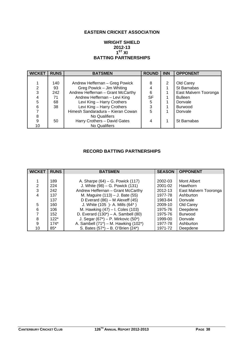## **EASTERN CRICKET ASSOCIATION**

#### **WRIGHT SHIELD 2012-13**   $1<sup>ST</sup> XI$ **BATTING PARTNERSHIPS**

| <b>WICKET</b> | <b>RUNS</b> | <b>BATSMEN</b>                    | <b>ROUND</b> | <b>INN</b>     | <b>OPPONENT</b>       |
|---------------|-------------|-----------------------------------|--------------|----------------|-----------------------|
|               |             |                                   |              |                |                       |
|               | 140         | Andrew Heffernan - Greg Powick    | 8            | $\overline{2}$ | Old Carey             |
| 2             | 93          | Greg Powick - Jim Whiting         | 4            |                | St Barnabas           |
| 3             | 242         | Andrew Heffernan - Grant McCarthy | 6            |                | East Malvern Tooronga |
| 4             | 71          | Andrew Heffernan - Levi King      | <b>SF</b>    |                | <b>Bulleen</b>        |
| 5             | 68          | Levi King - Harry Crothers        | 5            |                | Donvale               |
| 6             | 38          | Levi King - Harry Crothers        | 3            |                | <b>Burwood</b>        |
|               |             | Himesh Sandaradura - Kieran Cowan | 5            |                | Donvale               |
| 8             |             | No Qualifiers                     |              |                |                       |
| 9             | 50          | Harry Crothers - David Gates      | 4            |                | St Barnabas           |
| 10            |             | <b>No Qualifiers</b>              |              |                |                       |

## **RECORD BATTING PARTNERSHIPS**

| <b>WICKET</b> | <b>RUNS</b> | <b>BATSMEN</b>                             | <b>SEASON</b> | <b>OPPONENT</b>       |
|---------------|-------------|--------------------------------------------|---------------|-----------------------|
|               |             |                                            |               |                       |
|               | 189         | A. Sharpe (64) – G. Powick (117)           | 2002-03       | Mont Albert           |
| 2             | 224         | J. White (98) – G. Powick (131)            | 2001-02       | Hawthorn              |
| 3             | 242         | Andrew Heffernan - Grant McCarthy          | 2012-13       | East Malvern Tooronga |
| 4             | 137         | M. Maguire (113) – J. Bate (55)            | 1977-78       | Ashburton             |
|               | 137         | D Everard $(86)$ – M Alexeff $(45)$        | 1983-84       | Donvale               |
| 5             | 160         | J. White (105 )- A. Mills (64*)            | 2009-10       | Old Carey             |
| 6             | 106         | M. Hawking (47) - I. Coles (103)           | 1975-76       | Deepdene              |
|               | 152         | D. Everard $(130^*)$ – A. Sambell $(80)$   | 1975-76       | <b>Burwood</b>        |
| 8             | $122*$      | J. Segar $(67^*)$ – P. Mirkovic $(50^*)$   | 1999-00       | Donvale               |
| 9             | $174*$      | A. Sambell $(71^*)$ – M. Hawking $(102^*)$ | 1977-78       | Ashburton             |
| 10            | $85*$       | S. Bates (57*) - B. O'Brien (24*)          | 1971-72       | Deepdene              |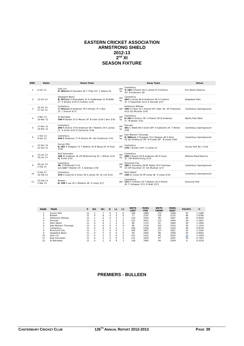#### **EASTERN CRICKET ASSOCIATION ARMSTRONG SHIELD 2012-13**   $2^{nd}$  XI **SEASON FIXTURE**

| <b>RND</b>    | <b>Dates</b>           | Home Team                                                                                               |           | <b>Away Team</b>                                                                                                        | Venue                   |
|---------------|------------------------|---------------------------------------------------------------------------------------------------------|-----------|-------------------------------------------------------------------------------------------------------------------------|-------------------------|
| 1             | 6 Oct 12               | Glen Iris<br>5/181(cc) B Saunders 64 T Tribe 53* C Adams 43                                             | def<br>by | Canterbury<br>3/184 A Powick 56 S James 51 R Dickins<br>35* B Anderson 26*                                              | Eric Raven Reserve      |
| $\mathcal{P}$ | 13 Oct 12              | Deepdene Bears<br>8/167(cc) G Braoudakis 31 K Cadekiwala 31 M Boffa<br>27 S Brooks 3/19 H Crothers 3/25 | def<br>by | Canterbury<br>204 S James 86 B Anderson 58 H Crothers<br>32 E Savanthan 5/21 K Hannett 3/47                             | Deepdene Park           |
| 3             | 20 Oct 12<br>27 Oct 12 | Canterbury<br>7/251(cc) B Anderson 78 S Brooks 75 C Box<br>25 J Driscoll 4/72                           |           | <b>Ashburton Willows</b><br>def 199 A Fraser 62 J Driscoll 49 C Barr 36 AP Townsend<br>4/25 GG Muckian 3/45             | Canterbury Sportsground |
| $\Delta$      | 3 Nov 12<br>10 Nov 12  | St Barnabas<br>199 M Barber 53 S Moussi 34 B Chan 3/29 C Box 3/42                                       | def<br>by | Canterbury<br>6/201 R Dickins 78* A Powick 36 B Anderson<br>27 M Barber 3/41                                            | Myrtle Park West        |
| 5             | 17 Nov 12<br>24 Nov 12 | Canterbury<br>290 R Dickins 79 B Anderson 66 T Newton 34 S James<br>31 A Grant 3/45 D Zachariah 3/46    | def<br>by | Donvale<br>301 C Webb 98 A Grant 68* D Gallacher 26 T Winter<br>3/65                                                    | Canterbury Sportsground |
| 6             | 1 Dec 12<br>8 Dec 12   | Canterbury<br>246 B Anderson 77 R Dickins 49 GG Smethurst 7/43                                          | def<br>by | East Malvern Tooronga<br>9/306(cc) U Prajapati 70 S Gleeson 49 S Rizio<br>42 GG Smethurst 29* M Foulds 26* B James 3/60 | Canterbury Sportsground |
|               | 15 Dec 12<br>22 Dec 12 | <b>Surrey Hills</b><br>6/181 A Hodgson 71 T Newton 32 B Wang 29 B Chan<br>3/16                          | def       | Canterbury<br>178 C Brooks 103* S James 51                                                                              | Surrey Park No 1 Oval   |
|               | 12 Jan 13<br>19 Jan 13 | <b>Fast Doncaster</b><br>166 W Grabham 36 CM McSkimming 35 J Wilson 3/24<br>NJ Smith 3/41               | def<br>by | Canterbury<br>208 A Powick 50 B Anderson 48 D Grant<br>32 CM McSkimming 3/19                                            | Wilsons Road Reserve    |
|               | 26 Jan 13<br>2 Feb 13  | Canterbury<br>38 D McDonald 7/13<br>and 113 T Newton 25 S Andrews 3/39                                  | def<br>by | Richmond City<br>180 D Sonnberg 38 RF Walsh 34 P Voorhaar<br>33 CM Hounihan 33 GG Muckian 3/17                          | Canterbury Sportsground |
| 10            | 9 Feb 13<br>16 Feb 13  | Canterbury<br>210 O Lloyd 62 D Grant 36 S James 30 GJ Cull 4/22                                         | def       | Mont Albert<br>138 SC Jones 54 HP Jones 38 O Lloyd 3/19                                                                 | Canterbury Sportsground |
| 11            | 23 Feb 13<br>2 Mar 13  | Bulleen<br>6/138 E Lee 35 C Williams 28 O Lloyd 3/17                                                    |           | Canterbury<br>def 133 H Crothers 29 T Newton 26 A Powick<br>26 F Cattapan 3/11 D Watt 3/23                              | Koonung Park            |

| <b>RANK</b> | <b>TEAM</b>              | P  | W <sub>2</sub> | W1             | D        | L1      | L <sub>2</sub> | <b>WKTS</b><br>LOST | <b>RUNS</b><br><b>FOR</b> | <b>WKTS</b><br><b>TAKEN</b> | <b>RUNS</b><br><b>AGST</b> | <b>POINTS</b> | %      |
|-------------|--------------------------|----|----------------|----------------|----------|---------|----------------|---------------------|---------------------------|-----------------------------|----------------------------|---------------|--------|
|             | Surrey Hills             | 11 |                |                | $\Omega$ | 3       |                | 100                 | 1889                      | 114                         | 1908                       | 52            | 1.1286 |
|             | <b>Bulleen</b>           | 11 | $\Omega$       | 8              | $\Omega$ | 3       |                | 77                  | 2197                      | 125                         | 2125                       | 48            | 1.6784 |
| 3           | <b>Ashburton Willows</b> | 11 |                | 6              | $\Omega$ | 3       |                | 116                 | 2203                      | 98                          | 1947                       | 46            | 0.9559 |
| 4           | Donvale                  | 11 | O              | 6              |          | 4       |                | 102                 | 2041                      | 113                         | 1949                       | 39            | 1.1601 |
| 5.          | Mont Albert              | 11 | $\Omega$       | 6              |          | 4       |                | 80                  | 1723                      | 87                          | 1689                       | 39            | 1.1094 |
| 6           | East Malvern Tooronga    | 11 | $\Omega$       | 6              | $\Omega$ | 5       |                | 85                  | 2126                      | 102                         | 2254                       | 36            | 1.1319 |
|             | Canterbury               | 11 | $\Omega$       | 6              | $\Omega$ | 4       |                | 106                 | 2256                      | 94                          | 2156                       | 36            | 0.9279 |
| 8           | <b>Richmond City</b>     | 11 | C              | $\overline{ }$ | $\Omega$ | 6       |                | 106                 | 1847                      | 117                         | 1821                       | 32            | 1.1195 |
| Q           | Deepdene Bears           | 11 | $\Omega$       | 5              | $\Omega$ | 6       |                | 94                  | 2000                      | 88                          | 1958                       | 30            | 0.9563 |
| 10          | Glen Iris                | 11 | $\Omega$       | 5              | $\Omega$ | 6       |                | 101                 | 2161                      | 98                          | 2030                       | 28            | 1.0329 |
| 11          | East Doncaster           | 11 | $\Omega$       | 3              | $\Omega$ | 8       | $\Omega$       | 112                 | 1833                      | 87                          | 1925                       | 18            | 0.7397 |
| 12          | St Barnabas              | 11 | 0              |                | 0        | $\circ$ |                | 128                 | 1995                      | 84                          | 2509                       | 6             | 0.5218 |

#### **PREMIERS - BULLEEN**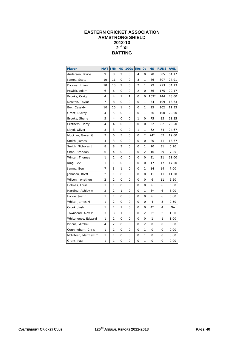## **EASTERN CRICKET ASSOCIATION ARMSTRONG SHIELD 2012-13**   $2^{nd}$  XI **BATTING**

| <b>Player</b>       | <b>MAT</b>     | <b>INN</b>     | <b>NO</b>      | <b>100s</b>  | <b>50s</b>     | <b>Os</b>      | <b>HS</b>    | <b>RUNS</b> | AVE.      |
|---------------------|----------------|----------------|----------------|--------------|----------------|----------------|--------------|-------------|-----------|
| Anderson, Bruce     | 9              | 8              | 2              | 0            | 4              | $\mathbf{O}$   | 78           | 385         | 64.17     |
| James, Scott        | 10             | 11             | 0              | 0            | 3              | 1              | 86           | 307         | 27.91     |
| Dickins, Rhian      | 10             | 10             | $\overline{2}$ | 0            | 2              | 1              | 79           | 273         | 34.13     |
| Powick, Adam        | 6              | 6              | 0              | 0            | $\overline{2}$ | $\mathbf{O}$   | 56           | 175         | 29.17     |
| Brooks, Craig       | 4              | 4              | 1              | 1            | $\mathbf{O}$   | 0              | $103*$       | 144         | 48.00     |
| Newton, Taylor      | 7              | 8              | 0              | 0            | $\mathbf{O}$   | 1              | 34           | 109         | 13.63     |
| Box, Cassidy        | 10             | 10             | 1              | 0            | 0              | 1              | 25           | 102         | 11.33     |
| Grant, D'Arcy       | 4              | 5              | 0              | 0            | 0              | 1              | 36           | 100         | 20.00     |
| Brooks, Shane       | 5              | 4              | 0              | 0            | 1              | 0              | 75           | 85          | 21.25     |
| Crothers, Harry     | 4              | 4              | 0              | 0            | 0              | 0              | 32           | 82          | 20.50     |
| Lloyd, Oliver       | 3              | 3              | 0              | 0            | 1              | 1              | 62           | 74          | 24.67     |
| Muckian, Gavan G    | $\overline{7}$ | 6              | 3              | $\mathbf{O}$ | $\mathbf{O}$   | $\overline{2}$ | $24*$        | 57          | 19.00     |
| Smith, James        | 4              | 3              | 0              | 0            | 0              | $\mathbf{O}$   | 20           | 41          | 13.67     |
| Smith, Nicholas J   | 8              | 8              | 3              | 0            | 0              | 1              | 10           | 31          | 6.20      |
| Chan, Brandon       | 6              | 4              | 0              | 0            | 0              | 2              | 16           | 29          | 7.25      |
| Winter, Thomas      | 1              | 1              | 0              | 0            | $\mathbf{O}$   | 0              | 21           | 21          | 21.00     |
| King, Levi          | 1              | 1              | 0              | 0            | $\mathbf{O}$   | 0              | 17           | 17          | 17.00     |
| James, Ben          | 7              | 3              | 1              | 0            | 0              | 1              | 14           | 14          | 7.00      |
| Johnson, Brett      | $\overline{2}$ | 1              | 0              | 0            | 0              | $\mathbf 0$    | 11           | 11          | 11.00     |
| Wilson, Jonathon    | 2              | $\overline{c}$ | 0              | 0            | 0              | 0              | 6            | 11          | 5.50      |
| Holmes, Louis       | 1              | 1              | 0              | 0            | 0              | 0              | 6            | 6           | 6.00      |
| Harding, Ashley A   | $\overline{c}$ | $\overline{2}$ | 1              | 0            | 0              | 1              | $6*$         | 6           | 6.00      |
| Hickie, Justin T    | 1              | 1              | 0              | 0            | $\mathbf{O}$   | $\mathbf{O}$   | 6            | 6           | 6.00      |
| White, James M      | 1              | $\overline{2}$ | 0              | 0            | $\mathbf{O}$   | $\mathbf{O}$   | 4            | 5           | 2.50      |
| Crook, Josh         | 1              | 1              | 1              | 0            | $\mathbf{O}$   | $\mathbf 0$    | $4*$         | 4           | <b>NA</b> |
| Townsend, Alex P    | 3              | 3              | 1              | 0            | 0              | 2              | $2*$         | 2           | 1.00      |
| Whitehouse, Edward  | 1              | 1              | 0              | 0            | 0              | 0              | 1            | 1           | 1.00      |
| Pincus, Mitchell    | 4              | 2              | 0              | 0            | $\mathbf{O}$   | $\overline{2}$ | $\mathbf{O}$ | 0           | 0.00      |
| Cunningham, Chris   | 1              | 1              | 0              | 0            | $\mathbf{O}$   | $\mathbf{1}$   | 0            | $\mathbf 0$ | 0.00      |
| McIntosh, Matthew C | 1              | 1              | 0              | 0            | 0              | 1              | 0            | 0           | 0.00      |
| Grant, Paul         | 1              | 1              | 0              | 0            | 0              | 1              | 0            | $\mathbf 0$ | 0.00      |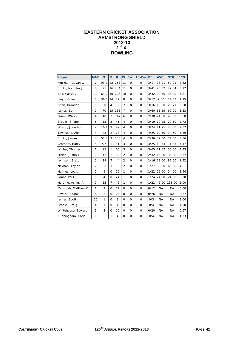## **EASTERN CRICKET ASSOCIATION ARMSTRONG SHIELD 2012-13**   $2^{nd}$  XI **BOWLING**

| <b>Player</b>       | <b>MAT</b>     | $\mathbf{o}$   | M               | R.             | W              | 5Wi          | 10 <sub>Wm</sub> | <b>BBI</b> | AVE.      | STR.      | ECN. |
|---------------------|----------------|----------------|-----------------|----------------|----------------|--------------|------------------|------------|-----------|-----------|------|
| Muckian, Gavan G    | $\overline{7}$ | 93.2           | 22              | 263            | 11             | $\mathbf 0$  | $\mathbf 0$      | 3/17       | 23.91     | 50.91     | 2.82 |
| Smith, Nicholas J   | 8              | 91             | 16 <sup>1</sup> | 284            | 11             | $\Omega$     | $\Omega$         | 3/41       | 25.82     | 49.64     | 3.12 |
| Box, Cassidy        | 10             | 63.2           | 10 <sup>1</sup> | 203            | 10             | $\mathbf 0$  | $\mathbf 0$      | 3/42       | 20.30     | 38.00     | 3.21 |
| Lloyd, Oliver       | 3              | 36.5           | 14              | 72             | 8              | $\mathsf{O}$ | $\mathbf 0$      | 3/17       | 9.00      | 27.63     | 1.95 |
| Chan, Brandon       | 6              | 30             | $\overline{4}$  | 105            | $\overline{7}$ | $\mathsf{O}$ | $\mathbf 0$      | 3/16       | 15.00     | 25.71     | 3.50 |
| James, Ben          | $\overline{7}$ | 70             | 15 <sup>1</sup> | 233            | $\overline{7}$ | $\mathbf 0$  | $\mathbf 0$      | 3/60       | 33.29     | 60.00     | 3.33 |
| Grant, D'Arcy       | $\overline{4}$ | 40             | $\overline{7}$  | 147            | 6              | $\mathsf{O}$ | $\mathbf 0$      | 2/30       | 24.50     | 40.00     | 3.68 |
| Brooks, Shane       | 5              | 15             | 3               | 41             | $\overline{4}$ | $\mathsf{O}$ | $\mathbf 0$      | 3/19       | 10.25     | 22.50     | 2.73 |
| Wilson, Jonathon    | $\overline{2}$ | 16.4           | 9               | 47             | $\overline{4}$ | $\mathbf 0$  | $\mathbf 0$      | 3/24       | 11.75     | 25.00     | 2.82 |
| Townsend, Alex P    | 3              | 23             | 2               | 78             | $\overline{4}$ | $\mathbf 0$  | $\mathbf 0$      | 4/25       | 19.50     | 34.50     | 3.39 |
| Smith, James        | 4              | 51.4           | 9               | 158            | $\overline{4}$ | $\mathsf{O}$ | $\mathbf 0$      | 2/36       | 39.50     | 77.50     | 3.06 |
| Crothers, Harry     | 4              | 5.4            | $\mathbf{1}$    | 31             | 3              | $\mathbf 0$  | $\mathbf 0$      | 3/25       | 10.33     | 11.33     | 5.47 |
| Winter, Thomas      | 1              | 15             | $\mathbf{1}$    | 65             | 3              | $\mathbf 0$  | $\mathbf 0$      | 3/65       | 21.67     | 30.00     | 4.33 |
| Hickie, Justin T    | 1              | 12             | $\mathbf{1}$    | 32             | $\overline{2}$ | $\Omega$     | $\mathbf 0$      | 2/32       | 16.00     | 36.00     | 2.67 |
| Johnson, Brett      | $\overline{2}$ | 29             | $\overline{7}$  | 44             | $\overline{2}$ | $\mathbf 0$  | $\mathbf 0$      | 1/16       | 22.00     | 87.00     | 1.52 |
| Newton, Taylor      | $\overline{7}$ | 23             | 3               | 106            | 2              | $\mathsf{O}$ | $\mathbf 0$      | 1/27       | 53.00     | 69.00     | 4.61 |
| Holmes, Louis       | 1              | 9              | $\mathbf 0$     | 22             | 1              | $\mathsf{O}$ | $\mathbf 0$      | 1/22       | 22.00     | 54.00     | 2.44 |
| Grant, Paul         | 1              | 4              | $\mathbf{O}$    | 24             | $\mathbf{1}$   | $\mathbf 0$  | $\mathbf 0$      | 1/24       | 24.00     | 24.00     | 6.00 |
| Harding, Ashley A   | $\overline{2}$ | 23             | $\overline{7}$  | 46             | $\mathbf{1}$   | $\mathsf{O}$ | $\mathbf 0$      | 1/21       | 46.00     | 138.00    | 2.00 |
| McIntosh, Matthew C | 1              | $\overline{2}$ | $\mathbf 0$     | 12             | $\circ$        | $\mathsf{O}$ | $\mathbf 0$      | 0/12       | <b>NA</b> | <b>NA</b> | 6.00 |
| Powick, Adam        | 6              | 3              | $\Omega$        | 26             | $\Omega$       | 0            | $\mathbf 0$      | 0/26       | <b>NA</b> | <b>NA</b> | 8.67 |
| James, Scott        | 10             | 1              | $\mathbf 0$     | 3              | $\mathbf 0$    | $\mathbf 0$  | $\mathbf 0$      | O/3        | <b>NA</b> | <b>NA</b> | 3.00 |
| Brooks, Craig       | $\overline{4}$ | $\mathbf{1}$   | $\mathbf 0$     | $\overline{4}$ | $\mathbf 0$    | $\mathsf{O}$ | $\mathbf 0$      | 0/4        | <b>NA</b> | <b>NA</b> | 4.00 |
| Whitehouse, Edward  | 1              | 3              | $\mathbf 0$     | 20             | $\mathbf 0$    | $\mathbf 0$  | 0                | 0/20       | <b>NA</b> | <b>NA</b> | 6.67 |
| Cunningham, Chris   | 1              | 3              | $\mathbf{1}$    | $\overline{4}$ | $\Omega$       | $\mathbf 0$  | $\mathbf 0$      | 0/4        | <b>NA</b> | <b>NA</b> | 1.33 |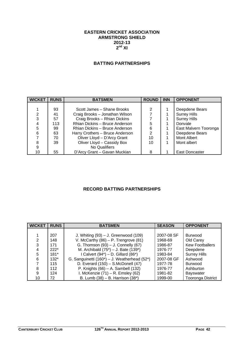#### **EASTERN CRICKET ASSOCIATION ARMSTRONG SHIELD 2012-13 2nd XI**

## **BATTING PARTNERSHIPS**

| <b>WICKET</b> | <b>RUNS</b> | <b>BATSMEN</b>                  | <b>ROUND</b> | <b>INN</b> | <b>OPPONENT</b>       |
|---------------|-------------|---------------------------------|--------------|------------|-----------------------|
|               |             |                                 |              |            |                       |
|               | 93          | Scott James - Shane Brooks      | 2            |            | Deepdene Bears        |
| 2             | 41          | Craig Brooks - Jonathan Wilson  |              |            | <b>Surrey Hills</b>   |
| 3             | 57          | Craig Brooks - Rhian Dickins    |              |            | <b>Surrey Hills</b>   |
|               | 113         | Rhian Dickins - Bruce Anderson  | 5            |            | Donvale               |
| 5             | 99          | Rhian Dickins - Bruce Anderson  | 6            |            | East Malvern Tooronga |
| 6             | 63          | Harry Crothers - Bruce Anderson | 2            |            | Deepdene Bears        |
|               | 70          | Oliver Lloyd - D'Arcy Grant     | 10           |            | Mont Albert           |
| 8             | 39          | Oliver Lloyd - Cassidy Box      | 10           |            | Mont albert           |
| 9             |             | No Qualifiers                   |              |            |                       |
| 10            | 55          | D'Arcy Grant - Gavan Muckian    | 8            |            | East Doncaster        |

## **RECORD BATTING PARTNERSHIPS**

| <b>WICKET</b> | <b>RUNS</b> | <b>BATSMEN</b>                               | <b>SEASON</b> | <b>OPPONENT</b>          |
|---------------|-------------|----------------------------------------------|---------------|--------------------------|
|               |             |                                              |               |                          |
|               | 207         | J. Whiting $(93) - J$ . Greenwood $(109)$    | 2007-08 SF    | <b>Burwood</b>           |
| 2             | 148         | V. McCarthy $(86)$ – P. Trengrove $(81)$     | 1968-69       | Old Carey                |
| 3             | 171         | G. Thomson $(93)$ – J. Connelly $(67)$       | 1986-87       | <b>Kew Footballers</b>   |
|               | $222*$      | M. Archibald $(75^*)$ – J. Bate $(139^*)$    | 1976-77       | Deepdene                 |
| 5             | $181*$      | I Calvert $(94^*)$ – D. Gillard $(86^*)$     | 1983-84       | <b>Surrey Hills</b>      |
| 6             | $132*$      | G. Sanguinetti (160*) - J. Weatherhead (52*) | 2007-08 GF    | Ashwood                  |
|               | 115         | D. Everard $(150)$ – S. McDonell $(47)$      | 1977-78       | <b>Burwood</b>           |
| 8             | 112         | P. Knights $(66)$ – A. Sambell $(132)$       | 1976-77       | Ashburton                |
| 9             | 124         | I. McKenzie $(71)$ – R. Emsley $(62)$        | 1981-82       | <b>Bayswater</b>         |
| 10            | 72          | B. Lumb $(38) - B$ . Harrison $(38^*)$       | 1999-00       | <b>Tooronga District</b> |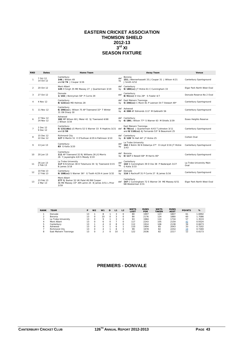#### **EASTERN CRICKET ASSOCIATION THOMSON SHIELD 2012-13 3rd XI SEASON FIXTURE**

| <b>RND</b>     | <b>Dates</b>           | Home Team                                                                                                          |           | <b>Away Team</b>                                                                                                        | Venue                            |
|----------------|------------------------|--------------------------------------------------------------------------------------------------------------------|-----------|-------------------------------------------------------------------------------------------------------------------------|----------------------------------|
|                | 7 Oct 12<br>14 Oct 12  | Canterbury<br>146 J Wilson 49<br>and 6/74 J Coupar 3/26                                                            | def<br>by | <b>Boronia</b><br>151 J Blennerhassett 33 J Coupar 31 J Wilson 4/21<br>J Smith 4/52                                     | Canterbury Sportsground          |
| 2              | 20 Oct 12              | Mont Albert<br>145 H Singh 35 ME Massey 27 J Quartermain 3/19                                                      | bv        | def Canterbury<br>9/180(cc) JT Hickie 61 C Cunningham 33                                                                | Elgar Park North West Oval       |
| 3              | 27 Oct 12              | Donvale<br>1/102 J Bonnyman 58* P Currie 29                                                                        | def       | Canterbury<br>8/91(cc) D Vos 28* S Fowler 4/7                                                                           | Donyale Reserve No 2 Oval        |
| 4              | 4 Nov 12               | Canterbury<br>8/122(cc) MD Holmes 28                                                                               | bv        | def East Malvern Tooronga<br>5/246(cc) C Munn 81 P Leerson 54 T Stewart 49*                                             | Canterbury Sportsground          |
| 5              | 11 Nov 12              | Canterbury<br>6/206(cc) J Wilson 75 AP Townsend 32* T Winter<br>31 ON Sharp 30                                     | bv        | def Ashwood<br>4/208 AF Edmonds 111* M Galbraith 56                                                                     | Canterbury Sportsground          |
| 6              | 17 Nov 12<br>24 Nov 12 | Ashwood<br>182 MP Wilson 60 J Meier 42 SJ Townsend 4/68<br>J Wilson 3/34                                           |           | def Canterbury<br>by 6/186 J Wilson 77* S Warner 63 M Shiells 3/39                                                      | <b>Essex Heights Reserve</b>     |
| $\overline{7}$ | 2 Dec 12<br>9 Dec 12   | Canterbury<br>5/131 (dec) JG Morris 52 S Warner 33 R Hopkins 3/21<br>and 2/59                                      |           | East Malvern Tooronga<br>def 8/78(cc) J Quartermain 4/43 T Johnston 3/11<br>and 8/110(cc) AJ Fernando 53* N Beaumont 25 | Canterbury Sportsground          |
| 8              | 15 Dec 12<br>22 Dec 12 | Richmond City<br>127 D Martin 51 E O'Sullivan 4/29 A Pattinson 3/10                                                | by        | def Canterbury<br>3/128 TA Hall 44* JT Hickie 25                                                                        | Corben Oval                      |
| 9              | 13 Jan 13              | Canterbury<br>83 G Kalia 3/20                                                                                      | def<br>by | La Trobe University<br>162 Z Bolim 36 N Dobariya 27* O Lloyd 3/16 JT Hickie<br>3/43                                     | Canterbury Sportsground          |
| 10             | 20 Jan 13              | Canterbury<br>111 AP Townsend 32 RJ Williams 26 JG Morris<br>26 Y Jayasinghe 4/8 S Moody 3/19                      | bv        | def Boronia<br>$0/117$ S Newell 68* M Harris 46*                                                                        | Canterbury Sportsground          |
| 11             | 26 Jan 13<br>2 Feb 13  | La Trobe University<br>117 N Krishnan 38 D Totamune 34 SJ Townsend 3/15<br>B James 3/18                            | def<br>by | Canterbury<br>142 S Cunningham 39 D Vos 38 P Nadarajah 3/27<br>G Kalia 3/33                                             | La Trobe University Main<br>Oval |
| 12             | 10 Feb 13<br>17 Feb 13 | Canterbury<br>9/108(cc) S Warner 36* G Tooth 4/29 A Laver 3/32                                                     | def       | Donvale<br>by 116 S Rachcoff 31 P Currie 27 B James 5/16                                                                | Canterbury Sportsground          |
| 13             | 23 Feb 13<br>2 Mar 13  | Mont Albert<br>277 RJ Barker 52 UK Patel 46 RW Cooper<br>46 ME Massey 33* AM Lamin 25 B James 3/51 L Prior<br>3/59 |           | Canterbury<br>def 147 C Cunningham 72 S Warner 34 ME Massey 6/51<br>NB Westerman 3/31                                   | Elgar Park North West Oval       |

| <b>RANK</b> | <b>TEAM</b>           | P  | W <sub>2</sub> | W <sub>1</sub> | D |    | L <sub>2</sub> | <b>WKTS</b><br>LOST | <b>RUNS</b><br><b>FOR</b> | <b>WKTS</b><br><b>TAKEN</b> | <b>RUNS</b><br><b>AGST</b> | <b>POINTS</b> | %      |
|-------------|-----------------------|----|----------------|----------------|---|----|----------------|---------------------|---------------------------|-----------------------------|----------------------------|---------------|--------|
|             | Donvale               |    |                |                |   |    |                | 80                  | 1997                      | 123                         | 1807                       | 61            | 1.6992 |
|             | Boronia               | 13 |                | 10             |   |    |                | 84                  | 2176                      | 124                         | 1880                       | 60            | 1.7086 |
|             | La Trobe University   | 13 |                |                |   |    |                | 93                  | 1984                      | 110                         | 1734                       | 57            | 1.3533 |
|             | Mont Albert           | 13 |                |                |   |    |                | 117                 | 2243                      | 105                         | 2159                       | 42            | 0.9324 |
|             | Canterbury            | 13 |                |                |   |    |                | 112                 | 1914                      | 106                         | 2138                       | 34            | 0.8473 |
|             | Ashwood               | 13 |                | h              |   |    |                | 110                 | 1904                      | 85                          | 2043                       | 33            | 0.7202 |
|             | <b>Richmond City</b>  | 13 |                |                |   |    |                | 99                  | 1978                      | 82                          | 2254                       | 19            | 0.7269 |
|             | East Malvern Tooronga |    |                |                |   | 10 |                | 122                 | 2036                      | 82                          | 2217                       |               | 0.6173 |

## **PREMIERS - DONVALE**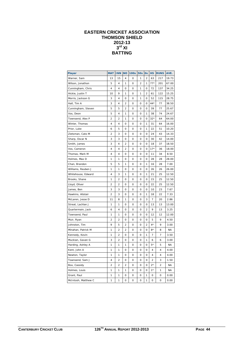## **EASTERN CRICKET ASSOCIATION THOMSON SHIELD 2012-13**   $3^{\text{rd}}$  XI **BATTING**

| Player              | <b>MAT</b>     | <b>INN</b>     | <b>NO</b>      | <b>100s</b>    | <b>50s</b>     | <b>Os</b>               | <b>HS</b> | <b>RUNS</b>    | AVE.      |
|---------------------|----------------|----------------|----------------|----------------|----------------|-------------------------|-----------|----------------|-----------|
| Warner, Sam         | 13             | 15             | 4              | $\overline{O}$ | 1              | $\overline{2}$          | 63        | 217            | 19.73     |
| Wilson, Jonathon    | 5              | 4              | 1              | 0              | $\overline{2}$ | 1                       | $77*$     | 201            | 67.00     |
| Cunningham, Chris   | 4              | 4              | 0              | 0              | 1              | 0                       | 72        | 137            | 34.25     |
| Hickie, Justin T    | 10             | 9              | $\mathbf{1}$   | $\mathbf 0$    | $\mathbf{1}$   | $\overline{\mathbf{c}}$ | 61        | 122            | 15.25     |
| Morris, Jackson G   | 3              | 4              | 0              | 0              | 1              | 0                       | 52        | 115            | 28.75     |
| Hall, Tim A         | 3              | 4              | 2              | 0              | 0              | 0                       | $44*$     | 77             | 38.50     |
| Cunningham, Steven  | 5              | 5              | $\overline{2}$ | 0              | 0              | 0                       | 39        | 77             | 25.67     |
| Vos, Deon           | 5              | 4              | 1              | 0              | 0              | 1                       | 38        | 74             | 24.67     |
| Townsend, Alex P    | 2              | 2              | 1              | 0              | 0              | 0                       | $32*$     | 64             | 64.00     |
| Winter, Thomas      | 4              | 4              | 0              | 0              | 0              | 1                       | 31        | 64             | 16.00     |
| Prior, Luke         | 6              | 5              | 0              | 0              | 0              | 1                       | 22        | 51             | 10.20     |
| Zietsman, Cato M    | 2              | 3              | 0              | 0              | 0              | 0                       | 24        | 43             | 14.33     |
| Sharp, Oscar N      | 3              | 3              | 0              | O              | 0              | 0                       | 30        | 42             | 14.00     |
| Smith, James        | 3              | 4              | $\overline{2}$ | O              | 0              | 0                       | 18        | 37             | 18.50     |
| Vos, Cameron        | 4              | 4              | $\overline{2}$ | 0              | 0              | 0                       | $17*$     | 36             | 18.00     |
| Thomas, Mark M      | 4              | 4              | 0              | 0              | 0              | 0                       | 11        | 34             | 8.50      |
| Holmes, Max D       | 1              | 1              | 0              | 0              | 0              | 0                       | 28        | 28             | 28.00     |
| Chan, Brandon       | 5              | 5              | 1              | 0              | 0              | 1                       | 16        | 28             | 7.00      |
| Williams, Reuben J  | 1              | 1              | 0              | 0              | 0              | 0                       | 26        | 26             | 26.00     |
| Whitehouse, Edward  | 4              | 3              | 1              | 0              | 0              | 1                       | 21        | 25             | 12.50     |
| Brooks, Shane       | 1              | $\overline{2}$ | 0              | 0              | 0              | 0                       | 15        | 25             | 12.50     |
| Lloyd, Oliver       | $\overline{2}$ | $\overline{2}$ | 0              | 0              | 0              | 0                       | 22        | 25             | 12.50     |
| James, Ben          | 3              | 3              | 0              | 0              | 0              | 0                       | 10        | 23             | 7.67      |
| Hawkins, Alistair   | $\overline{2}$ | 3              | $\overline{O}$ | O              | $\overline{O}$ | $\mathbf{1}$            | 18        | 22             | 7.33      |
| McLaren, Jesse D    | 11             | 8              | 1              | 0              | 0              | 3                       | 7         | 20             | 2.86      |
| Streat, Lachlan J   | 1              | 1              | 0              | 0              | 0              | 0                       | 13        | 13             | 13.00     |
| Quartermain, Jack   | 6              | 4              | 0              | 0              | 0              | 2                       | 9         | 13             | 3.25      |
| Townsend, Paul      | 1              | 1              | 0              | 0              | 0              | 0                       | 12        | 12             | 12.00     |
| Muir, Ryan          | 2              | 2              | 0              | 0              | 0              | 0                       | 5         | 9              | 4.50      |
| Johnston, Tim       | 9              | 5              | $\overline{2}$ | 0              | 0              | $\overline{2}$          | $4*$      | 9              | 3.00      |
| Minahan, Patrick M  | 1              | $\overline{2}$ | $\overline{2}$ | $\mathbf 0$    | $\mathbf 0$    | $\overline{O}$          | $8*$      | 8              | <b>NA</b> |
| Kennedy, Kevin      | 1              | $\overline{2}$ | 0              | 0              | 0              | 1                       | 7         | $\overline{7}$ | 3.50      |
| Muckian, Gavan G    | 3              | $\overline{2}$ | 0              | 0              | 0              | 1                       | 6         | 6              | 3.00      |
| Harding, Ashley A   | 1              | 1              | $\mathbf{1}$   | O              | 0              | 0                       | $5*$      | 5              | <b>NA</b> |
| Kent, John A        | 1              | 1              | 0              | 0              | 0              | 0                       | 4         | 4              | 4.00      |
| Newton, Taylor      | 1              | 1              | 0              | 0              | 0              | O                       | 4         | 4              | 4.00      |
| Townsend, Sam J     | 4              | 2              | 0              | 0              | 0              | 0                       | 2         | 3              | 1.50      |
| Box, Cassidy        | 2              | $\overline{2}$ | 2              | 0              | 0              | 0                       | $2*$      | 2              | <b>NA</b> |
| Holmes, Louis       | 1              | 1              | 1              | 0              | 0              | 0                       | $1*$      | 1              | ΝA        |
| Grant, Paul         | 1              | 1              | 0              | 0              | 0              | 1                       | 0         | 0              | 0.00      |
| McIntosh, Matthew C | 1              | 1              | $\overline{O}$ | O              | $\overline{O}$ | 1                       | O         | $\mathbf 0$    | 0.00      |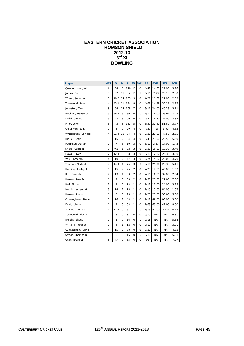#### **EASTERN CRICKET ASSOCIATION THOMSON SHIELD 2012-13 3rd XI BOWLING**

| <b>Player</b>      | <b>MAT</b>     | $\overline{O}$ | M              | R   | W              | 5Wi      | <b>BBI</b> | AVE.      | STR.      | ECN. |
|--------------------|----------------|----------------|----------------|-----|----------------|----------|------------|-----------|-----------|------|
| Quartermain, Jack  | 6              | 54             | 6              | 176 | 12             | $\Omega$ | 4/43       | 14.67     | 27.00     | 3.26 |
| James, Ben         | 3              | 37             | 11             | 85  | 11             | 1        | 5/16       | 7.73      | 20.18     | 2.30 |
| Wilson, Jonathon   | 5              | 40.3           | 14             | 105 | 9              | $\Omega$ | 4/21       | 11.67     | 27.00     | 2.59 |
| Townsend, Sam J    | 4              | 45.1           | 11             | 134 | 9              | 0        | 4/68       | 14.89     | 30.11     | 2.97 |
| Johnston, Tim      | 9              | 54             | 14             | 168 | 7              | 0        | 3/11       | 24.00     | 46.29     | 3.11 |
| Muckian, Gavan G   | 3              | 38.4           | 8              | 96  | 6              | 0        | 2/14       | 16.00     | 38.67     | 2.48 |
| Smith, James       | 3              | 27             | 3              | 99  | 6              | 0        | 4/52       | 16.50     | 27.00     | 3.67 |
| Prior, Luke        | 6              | 43             | 5              | 162 | 5              | 0        | 3/59       | 32.40     | 51.60     | 3.77 |
| O'Sullivan, Eddy   | 1              | 6              | 0              | 29  | 4              | 0        | 4/29       | 7.25      | 9.00      | 4.83 |
| Whitehouse, Edward | 4              | 31.4           | 10             | 84  | 4              | 0        | 2/20       | 21.00     | 47.50     | 2.65 |
| Hickie, Justin T   | 10             | 15             | 2              | 84  | 4              | 0        | 3/43       | 21.00     | 22.50     | 5.60 |
| Pattinson, Adrian  | 1              | 7              | 3              | 10  | 3              | 0        | 3/10       | 3.33      | 14.00     | 1.43 |
| Sharp, Oscar N     | 3              | 9.1            | 1              | 32  | 3              | 0        | 2/32       | 10.67     | 18.33     | 3.49 |
| Lloyd, Oliver      | 2              | 12.4           | 3              | 38  | 3              | 0        | 3/16       | 12.67     | 25.33     | 3.00 |
| Vos, Cameron       | 4              | 10             | $\overline{2}$ | 47  | 3              | 0        | 2/24       | 15.67     | 20.00     | 4.70 |
| Thomas, Mark M     | 4              | 14.4           | 1              | 75  | 3              | 0        | 2/10       | 25.00     | 29.33     | 5.11 |
| Harding, Ashley A  | 1              | 15             | 9              | 25  | $\overline{a}$ | 0        | 2/25       | 12.50     | 45.00     | 1.67 |
| Box, Cassidy       | $\overline{a}$ | 13             | 1              | 33  | $\overline{a}$ | $\Omega$ | 2/16       | 16.50     | 39.00     | 2.54 |
| Holmes, Max D      | 1              | 7              | 0              | 55  | 2              | 0        | 2/55       | 27.50     | 21.00     | 7.86 |
| Hall, Tim A        | 3              | 4              | 0              | 13  | 1              | 0        | 1/13       | 13.00     | 24.00     | 3.25 |
| Morris, Jackson G  | 3              | 14             | $\overline{2}$ | 15  | 1              | $\Omega$ | 1/15       | 15.00     | 84.00     | 1.07 |
| Holmes, Louis      | 1              | 5              | 0              | 25  | 1              | 0        | 1/25       | 25.00     | 30.00     | 5.00 |
| Cunningham, Steven | 5              | 16             | $\mathfrak{p}$ | 48  | 1              | $\Omega$ | 1/13       | 48.00     | 96.00     | 3.00 |
| Kent, John A       | 1              | 7              | 0              | 63  | 1              | $\Omega$ | 1/63       | 63.00     | 42.00     | 9.00 |
| Winter, Thomas     | 4              | 17.2           | 0              | 82  | 1              | 0        | 1/18       | 82.00     | 104.00    | 4.73 |
| Townsend, Alex P   | 2              | 6              | 0              | 57  | 0              | $\Omega$ | 0/19       | <b>NA</b> | ΝA        | 9.50 |
| Brooks, Shane      | 1              | 3              | 0              | 16  | O              | 0        | 0/16       | <b>NA</b> | <b>NA</b> | 5.33 |
| Williams, Reuben J | 1              | 4              | 1              | 12  | 0              | 0        | 0/12       | <b>NA</b> | <b>NA</b> | 3.00 |
| Cunningham, Chris  | 4              | 15             | 2              | 68  | 0              | $\Omega$ | 0/20       | <b>NA</b> | ΝA        | 4.53 |
| Streat, Thomas D   | 1              | 3              | 0              | 16  | O              | 0        | 0/16       | <b>NA</b> | <b>NA</b> | 5.33 |
| Chan, Brandon      | 5              | 4.4            | O              | 33  | 0              | 0        | 0/5        | <b>NA</b> | <b>NA</b> | 7.07 |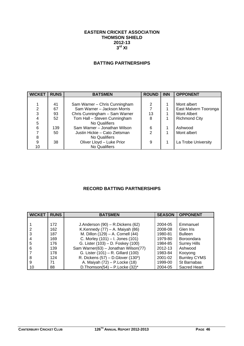#### **EASTERN CRICKET ASSOCIATION THOMSON SHIELD 2012-13 3rd XI**

## **BATTING PARTNERSHIPS**

| <b>WICKET</b> | <b>RUNS</b> | <b>BATSMEN</b>                | <b>ROUND</b> | <b>INN</b> | <b>OPPONENT</b>       |
|---------------|-------------|-------------------------------|--------------|------------|-----------------------|
|               |             |                               |              |            |                       |
|               | 41          | Sam Warner - Chris Cunningham | 2            |            | Mont albert           |
| 2             | 67          | Sam Warner - Jackson Morris   |              |            | East Malvern Tooronga |
| 3             | 93          | Chris Cunningham - Sam Warner | 13           |            | Mont Albert           |
| 4             | 52          | Tom Hall - Steven Cunningham  | 8            |            | <b>Richmond City</b>  |
| 5             |             | No Qualifiers                 |              |            |                       |
| 6             | 139         | Sam Warner - Jonathan Wilson  | 6            |            | Ashwood               |
|               | 50          | Justin Hickie - Cato Zietsman | 2            |            | Mont albert           |
| 8             |             | No Qualifiers                 |              |            |                       |
| 9             | 38          | Oliver Lloyd - Luke Prior     | 9            |            | La Trobe University   |
| 10            |             | <b>No Qualifiers</b>          |              |            |                       |

## **RECORD BATTING PARTNERSHIPS**

| <b>WICKET</b> | <b>RUNS</b> | <b>BATSMEN</b>                          | <b>SEASON</b> | <b>OPPONENT</b>     |
|---------------|-------------|-----------------------------------------|---------------|---------------------|
|               |             |                                         |               |                     |
|               | 172         | J.Anderson (90) - R.Dickens (62)        | 2004-05       | Emmanuel            |
|               | 162         | K.Kennedy $(77)$ – A. Maiyah $(86)$     | 2008-08       | Glen Iris           |
| 3             | 187         | M. Dillon (129) - A. Cornell (44)       | 1980-81       | <b>Bulleen</b>      |
| 4             | 169         | C. Morley (101) - I. Jones (101)        | 1979-80       | Boroondara          |
| 5             | 176         | G. Lister (103) - D. Foskey (100)       | 1984-85       | <b>Surrey Hills</b> |
| 6             | 139         | Sam Warner(63) - Jonathan Wilson(77)    | 2012-13       | Ashwood             |
|               | 178         | G. Lister (101) - R. Gillard (100)      | 1983-84       | Kooyong             |
| 8             | 124         | R. Dickens $(57)$ – D. Glover $(130^*)$ | 2001-02       | <b>Burnley CYMS</b> |
| 9             | 71          | A. Maiyah (72) - P. Locke (18)          | 1999-00       | St Barnabas         |
| 10            | 88          | D. Thomson(54) – P. Locke $(32)^*$      | 2004-05       | Sacred Heart        |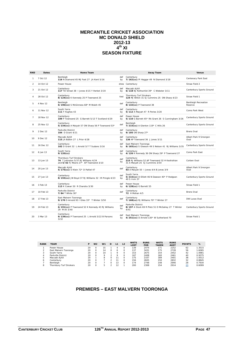#### **MERCANTILE CRICKET ASSOCIATION MC DONALD SHIELD 2012-13 4th XI SEASON FIXTURE**

| <b>RND</b>      | <b>Dates</b> | <b>Home Team</b>                                                                                         |           | <b>Away Team</b>                                                                               | Venue                           |
|-----------------|--------------|----------------------------------------------------------------------------------------------------------|-----------|------------------------------------------------------------------------------------------------|---------------------------------|
| 1               | 7 Oct 12     | Bentleigh<br>116 N Diamond 45 MJ Foot 27 JA Kent 5/16                                                    | def<br>bγ | Canterbury<br>7/162(cc) PI Haggar 49 N Diamond 3/18                                            | Centenary Park East             |
| $\overline{2}$  | 14 Oct 12    | Power House                                                                                              | drew      | Canterbury                                                                                     | Straw Field 2                   |
| 3               | 21 Oct 12    | Canterbury<br>117 TD Streat 38   Jones 4/15 Y Herbst 3/19                                                | def<br>by | Maccabi AJAX<br>6/118 NJ Rothschild 39* C Webster 3/11                                         | Canterbury Sports Ground        |
| 4               | 28 Oct 12    | Canterbury<br>8/124(cc) K Kennedy 25 P Townsend 25                                                       | tied      | <b>Thornbury Turf Strokers</b><br>124 MJ Wilkin 31 SJ Cummins 25 ON Sharp 4/23                 | Straw Field 1                   |
| 5               | 4 Nov 12     | Bentleigh<br>6/196(cc) S McGinness 68* M Walsh 45                                                        | def       | Canterbury<br>8/132(cc) P Townsend 38                                                          | Bentleigh Recreation<br>Reserve |
| 6               | 11 Nov 12    | South Yarra<br><b>111 F Hughes 43</b>                                                                    | def<br>by | Canterbury<br>5/112 A Maiyah 47 R Peries 3/20                                                  | Como Park West                  |
| $\overline{7}$  | 18 Nov 12    | Canterbury<br>109 P Townsend 25 G Barrett 5/13 T Scotland 4/29                                           | def<br>by | Power House<br>5/110 G Barrett 45* RA Grant 26 S Cunningham 3/26                               | Canterbury Sports Ground        |
| 8               | 25 Nov 12    | Canterbury<br>5/234(cc) A Maiyah 57 ON Sharp 56 P Townsend 53*                                           | def       | Bentleigh<br>7/215(cc) A Glenton 119* C Hills 26                                               | Canterbury Sports Ground        |
| 9               | 2 Dec 12     | Parkville District<br>104 D Grant 4/21                                                                   | def<br>by | Canterbury<br>9/105 ON Sharp 27*                                                               | <b>Brens Oval</b>               |
| 10 <sup>1</sup> | 9 Dec 12     | Maccabi AJAX<br>115 JA Balbin 27 L Prior 4/28                                                            | def<br>by | Canterbury<br>136 AP Townsend 36 J Jones 3/11                                                  | Albert Park 9 Smorgon<br>Oval   |
| 11              | 16 Dec 12    | Canterbury<br>102 D Grant 32 L Arnold 3/7 T Sudano 3/16                                                  | def<br>bv | East Malvern Tooronga<br>8/165(cc) S Gleeson 49 S Nelson 41 RJ Williams 3/35                   | Canterbury Sports Ground        |
| 12              | 6 Jan 13     | South Yarra<br>$9/120$ (cc)                                                                              | def<br>by | Canterbury<br>4/126 K Kennedy 36 ON Sharp 29* P Townsend 27                                    | Como Park East                  |
| 13              | 13 Jan 13    | Thornbury Turf Strokers<br>76 T Johnston 5/37 RJ Williams 4/24<br>and 5/42 FJ Moore 27* AP Townsend 3/10 | def<br>by | Canterbury<br>215 RJ Williams 52 AP Townsend 32 H Keshishian<br>31 A Maiyah 25 SJ Cummins 3/54 | Corben Oval                     |
| 14              | 20 Jan 13    | Maccabi AJAX<br>5/175(cc) O Klein 72* D Paltiel 47                                                       | def       | Canterbury<br>93 A Maiyah 50   Jones 4/4 B Jones 3/9                                           | Albert Park 9 Smorgon<br>Oval   |
| 15              | 27 Jan 13    | Canterbury<br>8/155(cc) JW Boyd 37 RJ Williams 32 IR Pringle 4/23                                        | def<br>by | South Yarra<br>5/215(cc) D Elliott 46 N Dawson 40* P Hodgson<br>40 S Irvin 37                  | Canterbury Sports Ground        |
| 16              | 3 Feb 13     | Canterbury<br>113 K Cowan 50 R Chandra 3/30                                                              | def<br>bv | Power House<br>6/128(cc) G Barrett 55                                                          | Straw Field 1                   |
| 17              | 10 Feb 13    | Parkville District<br>7/84 T White $30*$                                                                 | def       | Canterbury<br>72 H Mohan 4/5                                                                   | Brens Oval                      |
| 18              | 17 Feb 13    | East Malvern Tooronga<br>9/170 D Arnold 93 I Giles 33* T Winter 3/50                                     | def       | Canterbury<br>7/168(cc) RJ Williams 70* T Winter 27                                            | DW Lucas Oval                   |
| 19              | 24 Feb 13    | Canterbury<br>6/191(cc) P Townsend 52 K Kennedy 43 RJ Williams<br>29 M Ali 3/40                          | def<br>by | Parkville District<br>8/197 A Stock 69 R Plotz 51 D McGahey 27 T Winter<br>4/41                | Canterbury Sports Ground        |
| 20 <sup>2</sup> | 3 Mar 13     | Canterbury<br>9/139(cc) P Townsend 25 L Arnold 3/22 B Parsons<br>3/32                                    | def<br>bγ | East Malvern Tooronga<br>4/251(cc) D Arnold 130* W Sutherland 70                               | Straw Field 1                   |

| <b>RANK</b> | <b>TEAM</b>             | D  | W <sub>2</sub> | W <sub>1</sub> | D | L1 | L <sub>2</sub> | <b>WKTS</b><br>LOST | <b>RUNS</b><br><b>FOR</b> | <b>WKTS</b><br><b>TAKEN</b> | <b>RUNS</b><br><b>AGST</b> | <b>POINTS</b> | %      |
|-------------|-------------------------|----|----------------|----------------|---|----|----------------|---------------------|---------------------------|-----------------------------|----------------------------|---------------|--------|
|             | Power House             | 20 |                | 5              |   |    |                | 139                 | 2474                      | 171                         | 2252                       | 62            | 1.3515 |
|             | East Malvern Tooronga   | 20 | O              | 14             |   | o  |                | 137                 | 3431                      | 175                         | 2728                       | 56            | 1.6065 |
| 3           | South Yarra             | 20 |                |                |   | o  |                | 153                 | 2675                      | 154                         | 2452                       | 42            | 1.0981 |
| 4           | Parkville District      | 20 |                |                |   | o  |                | 167                 | 2408                      | 160                         | 2461                       | 40            | 0.9375 |
| ь           | Maccabi AJAX            | 20 |                | 8              |   |    |                | 175                 | 2337                      | 189                         | 2401                       | 38            | 1.0512 |
| 6           | Canterbury              | 20 |                |                |   |    |                | 156                 | 2605                      | 150                         | 2832                       | 32            | 0.8845 |
|             | Bentleigh               | 20 |                |                |   | 13 |                | 174                 | 2748                      | 148                         | 2946                       | 28            | 0.7934 |
| 8           | Thornbury Turf Strokers | 20 |                |                |   |    |                | 200                 | 2308                      | 154                         | 2914                       | 23            | 0.6099 |

## **PREMIERS – EAST MALVERN TOORONGA**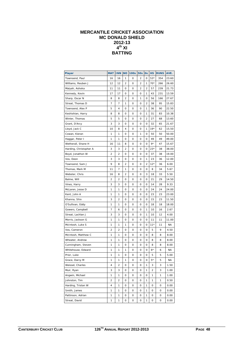## **MERCANTILE CRICKET ASSOCIATION MC DONALD SHIELD 2012-13 4th XI BATTING**

| Player                         | <b>MAT</b> | <b>INN</b>     | <b>NO</b> | <b>100s</b> | <b>50s</b> | <b>Os</b> | <b>HS</b> | <b>RUNS</b> | AVE.  |
|--------------------------------|------------|----------------|-----------|-------------|------------|-----------|-----------|-------------|-------|
| Townsend, Paul                 | 16         | 16             | 1         | 0           | 2          | 0         | $53*$     | 354         | 23.60 |
| Williams, Reuben J             | 12         | 12             | 2         | 0           | 2          | 1         | $70*$     | 266         | 26.60 |
| Maiyah, Ashoka                 | 11         | 11             | 0         | 0           | 2          | 2         | 57        | 239         | 21.73 |
| Kennedy, Kevin                 | 17         | 17             | 0         | 0           | 0          | 1         | 43        | 231         | 13.59 |
| Sharp, Oscar N                 | 8          | 8              | 2         | 0           | 1          | 0         | 56        | 166         | 27.67 |
| Streat, Thomas D               | 7          | 7              | 1         | 0           | 0          | 2         | 38        | 95          | 15.83 |
| Townsend, Alex P               | 5          | 4              | 0         | 0           | 0          | 1         | 36        | 90          | 22.50 |
| Keshishian, Harry              | 8          | 8              | 0         | 0           | 0          | 1         | 31        | 83          | 10.38 |
| Winter, Thomas                 | 5          | 5              | 0         | 0           | 0          | 2         | 27        | 68          | 13.60 |
|                                | 3          | 3              | 0         | 0           | 0          | 0         | 32        | 65          | 21.67 |
| Grant, D'Arcy<br>Lloyd, Jack C |            | 8              | 4         | 0           | 0          | 1         | $19*$     | 62          |       |
|                                | 10         |                |           |             |            |           |           |             | 15.50 |
| Cowan, Kieran                  | 1          | 1              | 0         | 0           | 1          | 0         | 50        | 50          | 50.00 |
| Haggar, Peter I                | 1          | 1              | 0         | 0           | 0          | 0         | 49        | 49          | 49.00 |
| Wetherall, Shane H             | 16         | 11             | 8         | 0           | 0          | 0         | 9*        | 47          | 15.67 |
| Harding, Christopher A         | 3          | 3              | 2         | 0           | 0          | 0         | 23*       | 38          | 38.00 |
| Boyd, Jonathon W               | 2          | 2              | 0         | 0           | 0          | 0         | 37        | 38          | 19.00 |
| Vos, Deon                      | 3          | 3              | 0         | 0           | 0          | 1         | 23        | 36          | 12.00 |
| Townsend, Sam J                | 9          | 8              | 2         | 0           | 0          | 2         | $12*$     | 36          | 6.00  |
| Thomas, Mark M                 | 11         | 7              | 1         | 0           | 0          | 0         | 8         | 34          | 5.67  |
| Webster, Chris                 | 16         | 8              | 2         | 0           | 0          | 3         | 18        | 33          | 5.50  |
| Balme, Will                    | 2          | 2              | 0         | 0           | 0          | 0         | 21        | 29          | 14.50 |
| Vines, Harry                   | 3          | 3              | 0         | 0           | 0          | 0         | 14        | 28          | 9.33  |
| McLaren, Jesse D               | 1          | 1              | 0         | 0           | 0          | 0         | 24        | 24          | 24.00 |
| Kent, John A                   | 1          | 1              | 0         | 0           | 0          | 0         | 23        | 23          | 23.00 |
| Khanna, Shiv                   | 3          | 2              | 0         | 0           | 0          | 0         | 15        | 23          | 11.50 |
| O'Sullivan, Eddy               | 1          | 1              | 0         | 0           | 0          | 0         | 18        | 18          | 18.00 |
| Gowers, Campbell               | 7          | 6              | 0         | 0           | 0          | 1         | 10        | 16          | 2.67  |
| Streat, Lachlan J              | 3          | 3              | 0         | 0           | 0          | 1         | 10        | 12          | 4.00  |
| Morris, Jackson G              | 1          | 1              | 0         | 0           | 0          | 0         | 11        | 11          | 11.00 |
| McIntosh, Luke S               | 1          | 1              | 1         | 0           | 0          | 0         | $11*$     | 11          | ΝA    |
| Vos, Cameron                   | 2          | 2              | 0         | 0           | 0          | 0         | 5         | 9           | 4.50  |
| McIntosh, Matthew C            | 1          | 1              | 0         | 0           | 0          | 0         | 8         | 8           | 8.00  |
| Wheater, Andrew                | 1          | 1              | 0         | 0           | 0          | 0         | 8         | 8           | 8.00  |
| Cunningham, Steven             | 1          | 1              | 0         | 0           | 0          | 0         | 8         | 8           | 8.00  |
| Whitehouse, Edward             | 1          | 1              | 1         | 0           | 0          | 0         | $6*$      | 6           | ΝA    |
| Prior, Luke                    | 1          | 1              | 0         | 0           | 0          | 0         | 5         | 5           | 5.00  |
| Grace, Darcy M                 | 1          | 1              | 1         | 0           | 0          | 0         | 5*        | 5           | NA    |
| Weissel, Charles               | 4          | $\overline{c}$ | 0         | 0           | 0          | 1         | 3         | 3           | 1.50  |
| Muir, Ryan                     | 3          | 3              | 0         | 0           | 0          | 1         | 2         | 3           | 1.00  |
| Angwin, Michael                | 1          | 1              | 0         | 0           | 0          | 0         | 1         | 1           | 1.00  |
| Johnston, Tim                  | 2          | 2              | 0         | 0           | 0          | 1         | 1         | 1           | 0.50  |
| Harding, Tristan W             | 4          | 1              | 0         | 0           | 0          | 1         | 0         | 0           | 0.00  |
| Smith, James                   | 1          | 1              | 0         | 0           | 0          | 1         | 0         | 0           | 0.00  |
| Pattinson, Adrian              | 1          | 1              | 0         | 0           | 0          | 1         | 0         | 0           | 0.00  |
| Streat, David                  | 1          | 1              | 0         | 0           | 0          | 1         | 0         | 0           | 0.00  |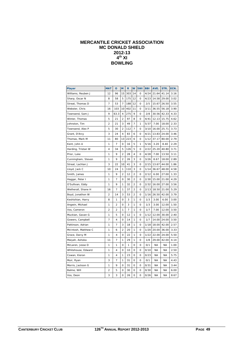#### **MERCANTILE CRICKET ASSOCIATION MC DONALD SHIELD 2012-13**   $4^{\text{th}}$  XI **BOWLING**

| <b>Player</b>       | <b>MAT</b>     | $\mathbf{o}$   | M              | $\mathsf{R}$ | W              | 5Wi         | <b>BBI</b> | AVE.      | STR.      | ECN. |
|---------------------|----------------|----------------|----------------|--------------|----------------|-------------|------------|-----------|-----------|------|
| Williams, Reuben J  | 12             | 96             | 15             | 303          | 14             | 0           | 4/24       | 21.64     | 41.14     | 3.16 |
| Sharp, Oscar N      | 8              | 58             | 5              | 175          | 12             | 0           | 4/23       | 14.58     | 29.00     | 3.02 |
| Streat, Thomas D    | 7              | 53             | 7              | 188          | 12             | 0           | 2/5        | 15.67     | 26.50     | 3.55 |
| Webster, Chris      | 16             | 103            | 10             | 402          | 11             | 0           | 3/11       | 36.55     | 56.18     | 3.90 |
| Townsend, Sam J     | 9              | 63.3           | 4              | 275          | 9              | 0           | 2/8        | 30.56     | 42.33     | 4.33 |
| Winter, Thomas      | 5              | 21             | $\overline{2}$ | 97           | 8              | 0           | 4/41       | 12.13     | 15.75     | 4.62 |
| Johnston, Tim       | $\overline{2}$ | 21             | 3              | 49           | $\overline{7}$ | 1           | 5/37       | 7.00      | 18.00     | 2.33 |
| Townsend, Alex P    | 5              | 30             | 2              | 112          | $\overline{7}$ | 0           | 3/10       | 16.00     | 25.71     | 3.73 |
| Grant, D'Arcy       | 3              | 24             | 4              | 83           | 6              | 0           | 4/21       | 13.83     | 24.00     | 3.46 |
| Thomas, Mark M      | 11             | 80             | 13             | 223          | 6              | 0           | 1/12       | 37.17     | 80.00     | 2.79 |
| Kent, John A        | 1              | 7              | 0              | 16           | 5              | 1           | 5/16       | 3.20      | 8.40      | 2.29 |
| Harding, Tristan W  | 4              | 34             | 5              | 126          | 5              | 0           | 2/22       | 25.20     | 40.80     | 3.71 |
| Prior, Luke         | 1              | 9              | 2              | 28           | 4              | 0           | 4/28       | 7.00      | 13.50     | 3.11 |
| Cunningham, Steven  | 1              | 9              | $\overline{2}$ | 26           | 3              | 0           | 3/26       | 8.67      | 18.00     | 2.89 |
| Streat, Lachlan J   | 3              | 22             | 10             | 41           | 3              | 0           | 2/15       | 13.67     | 44.00     | 1.86 |
| Lloyd, Jack C       | 10             | 24             | 1              | 110          | 3              | 0           | 1/14       | 36.67     | 48.00     | 4.58 |
| Smith, James        | 1              | 9              | $\overline{2}$ | 12           | $\overline{a}$ | $\circ$     | 2/12       | 6.00      | 27.00     | 1.33 |
| Haggar, Peter I     | 1              | 7              | 0              | 30           | $\overline{2}$ | 0           | 2/30       | 15.00     | 21.00     | 4.29 |
| O'Sullivan, Eddy    | 1              | 9              | 1              | 32           | $\overline{2}$ | 0           | 2/32       | 16.00     | 27.00     | 3.56 |
| Wetherall, Shane H  | 16             | 7              | 1              | 37           | 2              | 0           | 2/13       | 18.50     | 21.00     | 5.29 |
| Boyd, Jonathon W    | $\overline{2}$ | 14             | 3              | 53           | $\overline{2}$ | 0           | 1/16       | 26.50     | 42.00     | 3.79 |
| Keshishian, Harry   | 8              | 1              | 0              | 3            | 1              | 0           | 1/3        | 3.00      | 6.00      | 3.00 |
| Angwin, Michael     | 1              | $\overline{2}$ | 0              | 3            | 1              | 0           | 1/3        | 3.00      | 12.00     | 1.50 |
| Vos, Cameron        | 2              | $\overline{2}$ | 1              | 7            | 1              | 0           | 1/7        | 7.00      | 12.00     | 3.50 |
| Muckian, Gavan G    | 1              | 5              | 0              | 12           | 1              | 0           | 1/12       | 12.00     | 30.00     | 2.40 |
| Gowers, Campbell    | 7              | 4              | 0              | 14           | 1              | 0           | 1/7        | 14.00     | 24.00     | 3.50 |
| Pattinson, Adrian   | 1              | 7              | 3              | 18           | 1              | 0           | 1/18       | 18.00     | 42.00     | 2.57 |
| McIntosh, Matthew C | 1              | 6              | 2              | 20           | 1              | $\mathbf 0$ | 1/20       | 20.00     | 36.00     | 3.33 |
| Grace, Darcy M      | 1              | 4              | 0              | 22           | 1              | 0           | 1/22       | 22.00     | 24.00     | 5.50 |
| Maiyah, Ashoka      | 11             | 7              | 1              | 29           | 1              | 0           | 1/8        | 29.00     | 42.00     | 4.14 |
| McLaren, Jesse D    | 1              | 1              | 0              | 1            | 0              | 0           | 0/1        | <b>NA</b> | <b>NA</b> | 1.00 |
| Whitehouse, Edward  | 1              | 4              | 0              | 10           | 0              | 0           | 0/10       | <b>NA</b> | <b>NA</b> | 2.50 |
| Cowan, Kieran       | 1              | 4              | 1              | 23           | $\mathbf 0$    | 0           | 0/23       | <b>NA</b> | <b>NA</b> | 5.75 |
| Muir, Ryan          | 3              | 7              | 1              | 31           | 0              | 0           | 0/1        | ΝA        | ΝA        | 4.43 |
| Morris, Jackson G   | 1              | 9              | 0              | 31           | 0              | 0           | 0/31       | NA        | <b>NA</b> | 3.44 |
| Balme, Will         | $\overline{2}$ | 5              | 0              | 30           | 0              | 0           | 0/30       | NA        | <b>NA</b> | 6.00 |
| Vos, Deon           | 3              | 3              | 0              | 26           | 0              | 0           | 0/26       | ΝA        | <b>NA</b> | 8.67 |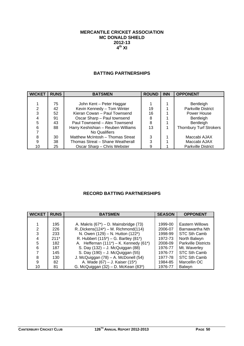#### **MERCANTILE CRICKET ASSOCIATION MC DONALD SHIELD 2012-13 4th XI**

#### **BATTING PARTNERSHIPS**

| <b>WICKET</b> | <b>RUNS</b> | <b>BATSMEN</b>                     | <b>ROUND</b> | <b>INN</b> | <b>OPPONENT</b>                |
|---------------|-------------|------------------------------------|--------------|------------|--------------------------------|
|               |             |                                    |              |            |                                |
|               | 75          | John Kent - Peter Haggar           |              |            | Bentleigh                      |
| 2             | 42          | Kevin Kennedy - Tom Winter         | 19           |            | <b>Parkville District</b>      |
| 3             | 52          | Kieran Cowan - Paul Townsend       | 16           |            | Power House                    |
|               | 91          | Oscar Sharp - Paul townsend        | 8            |            | Bentleigh                      |
| 5             | 43          | Paul Townsend - Alex Townsend      | 8            |            | Bentleigh                      |
| 6             | 88          | Harry Keshishian - Reuben Williams | 13           |            | <b>Thornbury Turf Strokers</b> |
|               |             | No Qualifiers                      |              |            |                                |
| 8             | 30          | Matthew McIntosh - Thomas Streat   | 3            |            | Maccabi AJAX                   |
| 9             | 38          | Thomas Streat - Shane Weatherall   | 3            |            | Maccabi AJAX                   |
| 10            | 25          | Oscar Sharp – Chris Webster        |              |            | <b>Parkville District</b>      |

## **RECORD BATTING PARTNERSHIPS**

| <b>WICKET</b> | <b>RUNS</b> | <b>BATSMEN</b>                               | <b>SEASON</b> | <b>OPPONENT</b>            |
|---------------|-------------|----------------------------------------------|---------------|----------------------------|
|               |             |                                              |               |                            |
|               | 195         | A. Makris $(67^*)$ – D. Mainsbridge $(73)$   | 1999-00       | Eastern Willows            |
| 2             | 226         | R. Dickens $(124^*)$ – M. Richmond $(114)$   | 2006-07       | Barnawartha Nth            |
| 3             | 233         | N. Owen (129) - N. Hutton (122*)             | 1998-99       | STC Sth Camb               |
|               | $211*$      | R. Hubbert $(115^*)$ – G. Bartley $(81^*)$   | 1972-73       | North Balwyn               |
| 5             | 182         | A. Heffernan $(111^*)$ – K. Kennedy $(61^*)$ | 2008-09       | <b>Parkville Districts</b> |
| 6             | 187         | S. Day (132) – J. McQuiggan (88)             | 1976-77       | Mt. Waverley               |
|               | 145         | S. Day (190) – J. McQuiggan (55)             | 1976-77       | STC Sth Camb               |
| 8             | 130         | J. McQuiggan (78) - A. McDonell (54)         | 1977-78       | STC Sth Camb               |
| 9             | 82          | A. Wade (67) – J. Kaiser (15*)               | 1984-85       | Marcellin OC               |
| 10            | 81          | G. McQuiggan (32) - D. McKean (83*)          | 1976-77       | <b>Balwyn</b>              |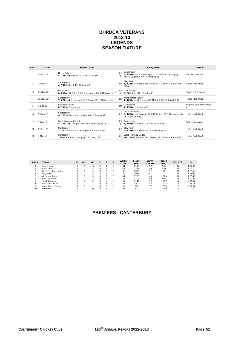#### **BHRDCA VETERANS 2012-13 LEGENDS SEASON FIXTURE**

| <b>RND</b>    | <b>Dates</b> | Home Team                                                         |                | Away Team                                                                                                            | Venue                         |
|---------------|--------------|-------------------------------------------------------------------|----------------|----------------------------------------------------------------------------------------------------------------------|-------------------------------|
|               | 14 Oct 12    | North Balwyn<br>8/126(cc) M Grace 41* D Galvin 3/13               | def<br>bv      | Canterbury<br>2/258(cc) M Rattenbury 43* G Gavin 40* B Angley<br>40* A Goldstein 40* P Mirkovic 28                   | Macleay Park #2               |
| $\mathcal{P}$ | 28 Oct 12    | Canterbury<br>4/136 JA Kent 40* M Kent 40*                        |                | Eley Park<br>def 6/133(cc) W Hale 43* P Coe 39 P Colbert 32 P Grant<br>3/26                                          | Hislop Park Oval              |
| 3             | 11 Nov 12    | Forest Hill<br>6/86(cc) D Baker 26 B Greenwood 26 P Mirkovic 3/10 | bv             | def Canterbury<br>$0/88$ J Allen 42* C Hall 40*                                                                      | Forest Hill Reserve           |
|               | 25 Nov 12    | Canterbury<br>7/222(cc) B Hansen 41* P Grant 40* P Mirkovic 35    | def            | Mont Albert Green<br>7/125(cc) MJ Delves 41* M Spink 40* L Cavill 3/14                                               | Hislop Park Oval              |
| 5.            | 9 Dec 12     | <b>Fast Doncaster</b><br>8/156 W Grabham 41*                      | $\mathsf{def}$ | Canterbury<br>7/155(cc) M Kent 42*                                                                                   | Serpells Community Res.<br>#1 |
| 6             | 13 Jan 13    | Canterbury<br>6/170 G Gavin 40* JA Kent 40* B Angley 37           |                | <b>Victorian Stars</b><br>def 9/167(cc) A Gopolan 32 A Mohideen 27 S Madhanayake Hislop Park Oval<br>26 R Bryce 3/19 |                               |
|               | 3 Feb 13     | West Ivanhoe United<br>8/153(cc) D Puglesi 40* M Rattenbury 3/19  | def<br>bv      | Canterbury<br>8/161(cc) M Kent 40* A Goldstein 25                                                                    | Seddon Reserve                |
| <b>SF</b>     | 17 Feb 13    | Canterbury<br>1/140 G Gavin 42* B Angley 40* C Kent 25*           | def            | Eley Park<br>7/138(cc) W Hale 40* P Mirkovic 3/20                                                                    | Hislop Park Oval              |
| GF            | 3 Mar 13     | Canterbury<br>169 JA Kent 40* B Angley 36 C Kent 26               | def            | West Ivanhoe United<br>10/154 N Stanton 39 D Puglesi 34 M Rattenbury 3/25                                            | Hislop Park Oval              |

| <b>RANK</b> | <b>TEAM</b>         | Р | W <sub>2</sub> | W <sub>1</sub> | D        | L1 | L <sub>2</sub> | <b>WKTS</b><br>LOST | <b>RUNS</b><br><b>FOR</b> | <b>WKTS</b><br><b>TAKEN</b> | <b>RUNS</b><br><b>AGST</b> | <b>POINTS</b> | %      |
|-------------|---------------------|---|----------------|----------------|----------|----|----------------|---------------------|---------------------------|-----------------------------|----------------------------|---------------|--------|
|             | Canterbury          |   |                | 6              |          |    | $\Omega$       | 34                  | 1190                      | 52                          | 946                        | 12            | 1.9239 |
|             | Mitcham Black       |   |                | 5.             |          |    |                | 44                  | 1225                      | 59                          | 848                        | 10            | 1.9370 |
| 3           | West Ivanhoe United |   | 0              | ь.             |          |    | $\Omega$       | 31                  | 1083                      | 52                          | 1001                       | 10            | 1.8148 |
| 4           | Elev Park           |   |                | ь.             |          |    | $\Omega$       | 32                  | 1041                      | 51                          | 1031                       | 10            | 1.6092 |
| 5           | Victorian Stars     |   |                | ь.             | O        |    | $\Omega$       | 44                  | 1225                      | 49                          | 1004                       | 10            | 1.3588 |
| 6           | East Doncaster      |   | 0              | 5.             | $\Omega$ |    | $\Omega$       | 45                  | 1101                      | 49                          | 986                        | 10            | 1.2159 |
|             | North Balwyn        |   |                |                | O        | 5  | $\Omega$       | 49                  | 1140                      | 32                          | 1352                       | 4             | 0.5507 |
| 8           | Mitcham Yellow      |   |                |                |          | 6  | $\Omega$       | 47                  | 957                       | 35                          | 1213                       | $\sim$        | 0.5875 |
| Q           | Mont Albert Green   |   |                |                |          | 6  | $\Omega$       | 56                  | 872                       | 37                          | 1096                       | ∽             | 0.5257 |
| 10          | ForestHill          |   |                |                |          |    | $\Omega$       | 58                  | 692                       | 24                          | 1049                       |               | 0.2730 |

## **PREMIERS - CANTERBURY**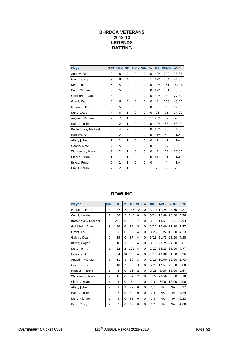## **BHRDCA VETERANS 2012-13 LEGENDS BATTING**

| <b>Player</b>       | <b>MAT</b>     | <b>INN</b>     | <b>NO</b>      | <b>100s</b>  | <b>50s</b> | <b>Os</b> | <b>HS</b>      | <b>RUNS</b>    | AVE.      |
|---------------------|----------------|----------------|----------------|--------------|------------|-----------|----------------|----------------|-----------|
| Angley, Bob         | 9              | 8              | $\overline{2}$ | $\Omega$     | $\Omega$   | $\Omega$  | $40*$          | 200            | 33.33     |
| Gavin, Gary         | 9              | 8              | 4              | $\Omega$     | $\Omega$   | 1         | $42*$          | 164            | 41.00     |
| Kent, John A        | 6              | 5              | 4              | $\Omega$     | $\Omega$   | $\Omega$  | $40*$          | 161            | 161.00    |
| Kent, Michael       | 6              | 5              | 3              | $\Omega$     | $\Omega$   | $\Omega$  | $42*$          | 151            | 75.50     |
| Goldstein, Alan     | 8              | $\overline{7}$ | $\overline{2}$ | $\mathbf{O}$ | $\Omega$   | $\Omega$  | $40*$          | 139            | 27.80     |
| Grant, Paul         | 8              | 6              | 3              | $\mathbf{O}$ | $\Omega$   | $\Omega$  | $40*$          | 130            | 43.33     |
| Mirkovic, Peter     | 8              | 5              | $\Omega$       | $\Omega$     | $\Omega$   | $\Omega$  | 35             | 89             | 17.80     |
| Kent, Craig         | 7              | 6              | 1              | $\Omega$     | $\Omega$   | $\Omega$  | 26             | 71             | 14.20     |
| Angwin, Michael     | 9              | $\overline{7}$ | 1              | $\mathbf 0$  | 0          | 1         | $23*$          | 57             | 9.50      |
| Hall, Charlie       | 2              | $\overline{2}$ | 1              | $\Omega$     | $\Omega$   | $\Omega$  | $40*$          | 53             | 53.00     |
| Rattenbury, Michael | 5              | 4              | $\overline{2}$ | 0            | $\Omega$   | $\Omega$  | $43*$          | 48             | 24.00     |
| Hansen, Bill        | 9              | $\overline{2}$ | $\overline{2}$ | 0            | $\Omega$   | $\Omega$  | $41*$          | 42             | <b>NA</b> |
| Allen, John         | $\overline{2}$ | 1              | 1              | 0            | $\Omega$   | $\Omega$  | $42*$          | 42             | NA.       |
| Galvin, Dean        | $\overline{7}$ | 5              | 3              | $\Omega$     | $\Omega$   | $\Omega$  | $22*$          | 37             | 18.50     |
| Watkinson, Mark     | $\overline{2}$ | $\overline{2}$ | 1              | $\mathbf 0$  | $\Omega$   | $\Omega$  | $\overline{7}$ | 12             | 12.00     |
| Clarke, Brian       | 1              | 1              | 1              | $\mathbf 0$  | $\Omega$   | $\Omega$  | $11*$          | 11             | <b>NA</b> |
| Bryce, Roger        | 6              | 1              | 1              | $\Omega$     | $\Omega$   | $\Omega$  | $4*$           | 4              | NA.       |
| Cavill, Laurie      | 7              | $\overline{2}$ | 1              | $\mathbf{O}$ | 0          | 1         | $2*$           | $\overline{2}$ | 2.00      |

| <b>Player</b>       | <b>MAT</b>     | $\mathbf o$    | M              | $\mathbf R$ | W              | 5Wi          | <b>BBI</b> | AVE.      | STR.      | ECN. |
|---------------------|----------------|----------------|----------------|-------------|----------------|--------------|------------|-----------|-----------|------|
| Mirkovic, Peter     | 8              | 47             | $\overline{7}$ | 135         | 12             | $\Omega$     | 3/10       | 11.25     | 23.50     | 2.87 |
| Cavill, Laurie      | $\overline{7}$ | 38             | 5              | 143         | 8              | $\Omega$     | 3/14       | 17.88     | 28.50     | 3.76 |
| Rattenbury, Michael | 5              | 24.1           | $\Omega$       | 95          | $\overline{7}$ | $\Omega$     | 3/19       | 13.57     | 20.71     | 3.93 |
| Goldstein, Alan     | 8              | 26             | 6              | 85          | 5              | $\Omega$     | 2/12       | 17.00     | 31.20     | 3.27 |
| Grant, Paul         | 8              | 9              | 0              | 39          | 4              | $\Omega$     | 3/26       | 9.75      | 13.50     | 4.33 |
| Galvin, Dean        | 7              | 19             | 0              | 87          | 4              | 0            | 3/13       | 21.75     | 28.50     | 4.58 |
| Bryce, Roger        | 6              | 16             | 1              | 93          | 4              | $\Omega$     | 3/19       | 23.25     | 24.00     | 5.81 |
| Kent, John A        | 6              | 22             | 2              | 105         | 4              | $\Omega$     | 2/22       | 26.25     | 33.00     | 4.77 |
| Hansen, Bill        | 9              | 54             | 10             | 160         | 4              | $\Omega$     | 1/13       | 40.00     | 81.00     | 2.96 |
| Angwin, Michael     | 9              | 11             | 1              | 30          | 3              | $\Omega$     | 2/16       | 10.00     | 22.00     | 2.73 |
| Gavin, Gary         | 9              | 10             | $\overline{2}$ | 38          | 3              | $\Omega$     | 2/9        | 12.67     | 20.00     | 3.80 |
| Haggar, Peter I     | 1              | 6              | $\Omega$       | 16          | $\overline{2}$ | $\Omega$     | 2/16       | 8.00      | 18.00     | 2.67 |
| Watkinson, Mark     | $\overline{2}$ | 11             | $\Omega$       | 57          | $\overline{2}$ | $\Omega$     | 1/22       | 28.50     | 33.00     | 5.18 |
| Clarke, Brian       | 1              | 3              | $\Omega$       | 6           | 1              | $\Omega$     | 1/6        | 6.00      | 18.00     | 2.00 |
| Allen, John         | $\overline{2}$ | 9              | $\overline{2}$ | 29          | $\Omega$       | $\mathbf 0$  | 0/1        | <b>NA</b> | <b>NA</b> | 3.22 |
| Hall, Charlie       | $\overline{2}$ | $\overline{7}$ | $\Omega$       | 30          | $\Omega$       | $\mathbf 0$  | 0/8        | <b>NA</b> | <b>NA</b> | 4.29 |
| Kent, Michael       | 6              | 6              | $\Omega$       | 38          | $\Omega$       | $\mathbf 0$  | 0/8        | <b>NA</b> | <b>NA</b> | 6.33 |
| Kent, Craig         | $\overline{7}$ | 3              | 0              | 12          | $\Omega$       | $\mathbf{O}$ | 0/5        | <b>NA</b> | <b>NA</b> | 4.00 |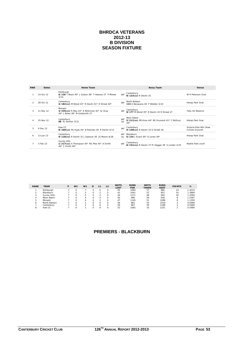#### **BHRDCA VETERANS 2012-13 B DIVISION SEASON FIXTURE**

| <b>RND</b>    | <b>Dates</b> | Home Team                                                                              |                  | Away Team                                                             | Venue                                     |
|---------------|--------------|----------------------------------------------------------------------------------------|------------------|-----------------------------------------------------------------------|-------------------------------------------|
|               | 14 Oct 12    | Edinburgh<br>6/126 T Black 40* J Sutton 38* T Heenan 27 P Mckee<br>3/24                | def              | Canterbury<br>8/123(cc) R Devlin 25                                   | W H Peterson Oval                         |
| $\mathcal{P}$ | 28 Oct 12    | Canterbury<br>4/182(cc) M Wood 43* R Devlin 41* D Streat 40*                           | def              | North Balwyn<br>115 A Narayana 28 P Weldon 3/23                       | Hislop Park Oval                          |
| 3             | 11 Nov 12    | Monash<br>3/235(cc) R May 43* R McKinnon 42* SJ Gray<br>40* L Boles 38* M Goldsmith 27 | def              | Canterbury<br>8/177 M Wood 35* R Devlin 32 D Streat 27                | Tally Ho Reserve                          |
| $\Delta$      | 25 Nov 12    | Canterbury<br>68 PJ Gartlan 3/21                                                       | def<br>by        | Mont Albert<br>5/211(cc) PB Knox 44* RE Grumont 41* C McEvoy<br>$26*$ | Hislop Park Oval                          |
| 5             | 9 Dec 12     | Kew CC<br>8/160(cc) PA Hyde 44* B Rieniets 29 R Devlin 4/11                            | $\mathsf{def}$   | Canterbury<br>9/148(cc) R Devlin 33 D Streat 26                       | Victoria Park Nth (Kew<br>Cricket Ground) |
| 6             | 13 Jan 13    | Canterbury<br>9/118(cc) R Devlin 31 J Spencer 30 JE Moore 4/28                         | def<br><b>bv</b> | Blackburn<br>6/124 J Evans $40*$ D Jones $39*$                        | Hislop Park Oval                          |
|               | 3 Feb 13     | Surrey Hills<br>1/217(cc) A Thompson 45* RG Pike 45* A Smith<br>40* C Smith 40*        | def              | Canterbury<br>8/151(cc) R Devlin 37 PI Haggar 28 S Jordan 3/25        | Wattle Park (turf)                        |

| <b>RANK</b> | <b>TEAM</b>  | D | W <sub>2</sub> | W <sub>1</sub> | D | L1 | L <sub>2</sub> | <b>WKTS</b><br>LOST | <b>RUNS</b><br><b>FOR</b> | <b>WKTS</b><br><b>TAKEN</b> | <b>RUNS</b><br><b>AGST</b> | <b>POINTS</b> | %      |
|-------------|--------------|---|----------------|----------------|---|----|----------------|---------------------|---------------------------|-----------------------------|----------------------------|---------------|--------|
|             | Edinburgh    |   |                |                |   |    |                | 45                  | 1084                      | 57                          | 966                        | 14            | 1.4214 |
|             | Blackburn    |   |                |                |   |    |                | 41                  | 1041                      | 52                          | 952                        | 10            | 1.3869 |
|             | Surrey Hills |   |                |                |   |    |                | 44                  | 1171                      | 48                          | 940                        | 10            | 1.3590 |
|             | Mont Albert  |   |                |                |   |    |                | 40                  | 996                       | 58                          | 938                        | 8             | 1.5397 |
|             | Monash       |   |                |                |   |    |                | 47                  | 1140                      | 51                          | 1089                       | 8             | 1.1359 |
|             | North Balwyn |   |                |                |   | 0. |                | 56                  | 862                       | 43                          | 1019                       |               | 0.6496 |
|             | Canterbury   |   |                |                |   |    |                | 56                  | 967                       | 39                          | 1188                       |               | 0.5669 |
|             | Kew CC       |   |                |                |   |    |                | 52                  | 1082                      | 33                          | 1251                       |               | 0.5489 |

## **PREMIERS - BLACKBURN**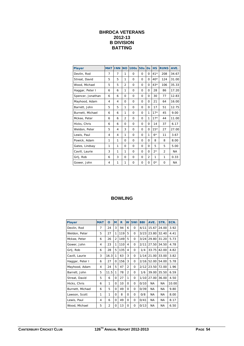## **BHRDCA VETERANS 2012-13 B DIVISION BATTING**

| <b>Player</b>     | <b>MAT</b> | <b>INN</b> | <b>NO</b>      | <b>100s</b> | <b>50s</b> | <b>Os</b>      | <b>HS</b> | <b>RUNS</b>    | AVE.      |
|-------------------|------------|------------|----------------|-------------|------------|----------------|-----------|----------------|-----------|
| Devlin, Rod       | 7          | 7          | 1              | $\Omega$    | $\Omega$   | $\Omega$       | $41*$     | 208            | 34.67     |
| Streat, David     | 5          | 5          | 1              | $\Omega$    | $\Omega$   | $\Omega$       | $40*$     | 124            | 31.00     |
| Wood, Michael     | 5          | 5          | $\overline{2}$ | 0           | $\Omega$   | $\Omega$       | $43*$     | 106            | 35.33     |
| Haggar, Peter I   | 6          | 6          | 1              | 0           | $\Omega$   | $\Omega$       | 28        | 86             | 17.20     |
| Spencer, Jonathan | 6          | 6          | $\Omega$       | 0           | 0          | $\Omega$       | 30        | 77             | 12.83     |
| Mayhood, Adam     | 4          | 4          | $\Omega$       | 0           | $\Omega$   | $\Omega$       | 21        | 64             | 16.00     |
| Barrett, John     | 5          | 5          | 1              | $\Omega$    | 0          | 0              | 17        | 51             | 12.75     |
| Burnett, Michael  | 6          | 6          | 1              | 0           | $\Omega$   | 1              | $17*$     | 45             | 9.00      |
| Mckee, Peter      | 6          | 6          | $\overline{2}$ | 0           | $\Omega$   | 1              | $17*$     | 44             | 11.00     |
| Hicks, Chris      | 6          | 6          | $\Omega$       | 0           | 0          | $\Omega$       | 14        | 37             | 6.17      |
| Weldon, Peter     | 5          | 4          | 3              | $\Omega$    | $\Omega$   | $\Omega$       | $15*$     | 27             | 27.00     |
| Lewis, Paul       | 4          | 4          | 1              | $\Omega$    | $\Omega$   | 1              | $6*$      | 11             | 3.67      |
| Powick, Adam      | 1          | 1          | $\Omega$       | $\Omega$    | $\Omega$   | $\Omega$       | 8         | 8              | 8.00      |
| Gates, Lindsay    | 1          | 1          | $\Omega$       | $\Omega$    | $\Omega$   | $\Omega$       | 5         | 5              | 5.00      |
| Cavill, Laurie    | 3          | 1          | 1              | $\Omega$    | $\Omega$   | $\Omega$       | $2*$      | $\overline{2}$ | NA.       |
| Grlj, Rob         | 6          | 3          | $\Omega$       | $\Omega$    | 0          | $\overline{2}$ | 1         | 1              | 0.33      |
| Gower, John       | 4          | 1          | 1              | $\Omega$    | 0          | 0              | $0^*$     | 0              | <b>NA</b> |

| <b>Player</b>    | <b>MAT</b> | O              | M              | $\mathbf R$ | W              | 5Wi      | <b>BBI</b> | AVE.      | STR.      | ECN.  |
|------------------|------------|----------------|----------------|-------------|----------------|----------|------------|-----------|-----------|-------|
| Devlin, Rod      | 7          | 24             | 3              | 94          | 6              | $\Omega$ | 4/11       | 15.67     | 24.00     | 3.92  |
| Weldon, Peter    | 5          | 27             | 1              | 119         | 5              | $\Omega$ | 3/23       | 23.80     | 32.40     | 4.41  |
| Mckee, Peter     | 6          | 26             | $\overline{2}$ | 149         | 5              | $\Omega$ | 3/24       | 29.80     | 31.20     | 5.73  |
| Gower, John      | 4          | 23             | 1              | 110         | 4              | $\Omega$ | 2/11       | 27.50     | 34.50     | 4.78  |
| Grlj, Rob        | 6          | 28             | 5              | 135         | 4              | $\Omega$ | 1/4        | 33.75     | 42.00     | 4.82  |
| Cavill, Laurie   | 3          | 16.3           | 1              | 63          | 3              | $\Omega$ | 1/14       | 21.00     | 33.00     | 3.82  |
| Haggar, Peter I  | 6          | 27             | 0              | 156         | 3              | $\Omega$ | 2/16       | 52.00     | 54.00     | 5.78  |
| Mayhood, Adam    | 4          | 24             | 5              | 47          | $\overline{2}$ | $\Omega$ | 2/12       | 23.50     | 72.00     | 1.96  |
| Barrett, John    | 5          | 11.5           | 1              | 78          | $\overline{2}$ | $\Omega$ | 1/6        | 39.00     | 35.50     | 6.59  |
| Streat, David    | 5          | 6              | 0              | 27          | 1              | 0        | 1/10       | 27.00     | 36.00     | 4.50  |
| Hicks, Chris     | 6          | 1              | 0              | 10          | $\Omega$       | 0        | 0/10       | <b>NA</b> | <b>NA</b> | 10.00 |
| Burnett, Michael | 6          | 5              | 0              | 49          | $\Omega$       | $\Omega$ | 0/39       | NA.       | NA.       | 9.80  |
| Lawson, Scott    | 1          | 1              | 0              | 8           | Ω              | 0        | 0/8        | NA.       | NA.       | 8.00  |
| Lewis, Paul      | 4          | 6              | 0              | 49          | 0              | $\Omega$ | 0/41       | <b>NA</b> | <b>NA</b> | 8.17  |
| Wood, Michael    | 5          | $\overline{2}$ | Ω              | 13          | $\Omega$       | $\Omega$ | 0/13       | <b>NA</b> | NA.       | 6.50  |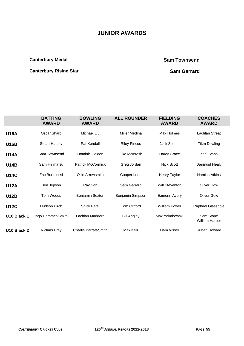# **JUNIOR AWARDS**

## **Canterbury Medal Canterbury Medal Canterbury Medal Canterbury Medal Canterbury Medal Canterbury Medal Canterbury Medal Canterbury Medal Canterbury Medal Canterbury Medal Canterbury Medal Canterbury Medal Canterbury Medal**

# **Canterbury Rising Star Sam Garrard Canterbury Rising Star Sam Garrard Canterbury Rising Star Sam Garrard Canter**

|             | <b>BATTING</b><br><b>AWARD</b> | <b>BOWLING</b><br><b>AWARD</b> | <b>ALL ROUNDER</b>  | <b>FIELDING</b><br><b>AWARD</b> | <b>COACHES</b><br><b>AWARD</b> |
|-------------|--------------------------------|--------------------------------|---------------------|---------------------------------|--------------------------------|
| <b>U16A</b> | Oscar Sharp                    | Michael Liu                    | Miller Medina       | Max Holmes                      | <b>Lachlan Streat</b>          |
| <b>U16B</b> | <b>Stuart Hartley</b>          | Pat Kendall                    | <b>Riley Pincus</b> | <b>Jack Sestan</b>              | <b>Tikm Dowling</b>            |
| <b>U14A</b> | Sam Townsend                   | Dominic Holden                 | Like McIntosh       | Darcy Grace                     | Zac Evans                      |
| <b>U14B</b> | Sam Hirimatsu                  | <b>Patrick McCormick</b>       | Greg Jordan         | Nick Scott                      | Dairmuid Healy                 |
| <b>U14C</b> | Zac Bortolussi                 | Ollie Arrowsmith               | Cooper Leon         | Henry Taylor                    | Hamish Atkins                  |
| <b>U12A</b> | Ben Jepson                     | Ray Son                        | Sam Garrard         | <b>Will Steventon</b>           | <b>Oliver Gow</b>              |
| <b>U12B</b> | Tom Woods                      | Benjamin Sexton                | Benjamin Simpson    | Eamonn Avery                    | <b>Oliver Gow</b>              |
| <b>U12C</b> | Hudson Birch                   | <b>Shick Patel</b>             | <b>Tom Clifford</b> | <b>William Power</b>            | Raphael Glasspole              |
| U10 Black 1 | Ingo Dammer-Smith              | Lachlan Maddern                | <b>Bill Angley</b>  | Max Yakabowski                  | Sam Stone<br>William Harper    |
| U10 Black 2 | Niclaas Bray                   | <b>Charlie Barratt-Smith</b>   | Max Kerr            | Liam Visser                     | <b>Ruben Howard</b>            |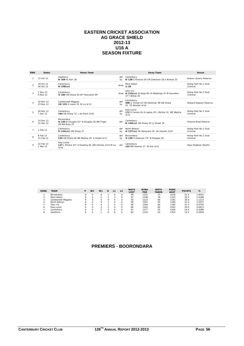#### **EASTERN CRICKET ASSOCIATION AG GRACE SHIELD 2012-13 U16 A SEASON FIXTURE**

| <b>RND</b>     | <b>Dates</b>           | Home Team                                                                        |           | <b>Away Team</b>                                                                   | Venue                             |
|----------------|------------------------|----------------------------------------------------------------------------------|-----------|------------------------------------------------------------------------------------|-----------------------------------|
|                | 12 Oct 12              | Hawthorn<br>9/109 PJ Kerr 26                                                     | def<br>by | Canterbury<br>6/138 S Khanna 50 CM Zietsman 28 S Rintoul 25                        | Auburn Quarry Reserve             |
| $\overline{2}$ | 19 Oct 12<br>26 Oct 12 | Canterbury<br>$9/158$ (cc)                                                       | drew      | Mont Albert<br>1/26                                                                | Hislop Park No 2 Oval<br>(Central |
|                | 2 Nov 12<br>9 Nov 12   | Canterbury<br>3/183 ON Sharp 50 AP Townsend 49*                                  |           | Glen Iris<br>drew 4/215(cc) W Keep 60 LP Meddings 47 M Saunders<br>37 Y Billias 28 | Hislop Park No 2 Oval<br>(Central |
|                | 16 Nov 12<br>23 Nov 12 | <b>Camberwell Magpies</b><br>10/135 H Lewis 76 M Liu 4/13                        | def<br>by | Canterbury<br>208 LJ Streat 52 CM Zietsman 48 ON Sharp<br>25 TG Wooller 4/14       | Howard Dawson Reserve             |
|                | 30 Nov 12<br>7 Dec 12  | Canterbury<br>164 ON Sharp 72 J de Paiva 3/42                                    | def<br>by | Kew Junior<br>172 S Contos 45 A Leptos 35 L Ritchie 31 ME Medina<br>3/21           | Hislop Park No 2 Oval<br>(Central |
|                | 14 Dec 12<br>21 Dec 12 | <b>Boroondara</b><br>4/145 B Douglas 31* N Douglas 30 AM Trigar<br>28 NW Russ 25 | def       | Canterbury<br>6/144(cc) ON Sharp 43 LJ Streat 34                                   | Victoria Road Reserve             |
| $\overline{7}$ | 1 Feb 13               | Canterbury<br>5/124(cc) ON Sharp 37                                              | def<br>by | North Balwyn<br>4/127(cc) AK Narayana 30 AA Hansen 3/24                            | Hislop Park No 2 Oval<br>(Central |
|                | 8 Feb 13<br>15 Feb 13  | Canterbury<br>135 ON Sharp 60 ME Medina 29 A Steele 5/17                         | def<br>bv | Boroondara<br>3/138 O Sleeman 73* N Douglas 26                                     | Hislop Park No 2 Oval<br>(Central |
| $\circ$        | 22 Feb 13<br>1 Mar 13  | Kew Junior<br>137 L Ritchie 33* A Dowling 28 MD Holmes 3/23 M Liu<br>3/33        | def       | Canterbury<br>123 MD Holmes 27 W Sist 4/21                                         | Hays Paddock (North)              |

| <b>RANK</b>  | <b>TEAM</b>        |            | W <sub>2</sub> | W <sub>1</sub> | D | L1 | L <sub>2</sub> | <b>WKTS</b><br>LOST | <b>RUNS</b><br><b>FOR</b> | <b>WKTS</b><br><b>TAKEN</b> | <b>RUNS</b><br><b>AGST</b> | <b>POINTS</b> | %      |
|--------------|--------------------|------------|----------------|----------------|---|----|----------------|---------------------|---------------------------|-----------------------------|----------------------------|---------------|--------|
|              | Boroondara         |            |                | 8              |   |    |                | 49                  | 1231                      | 73                          | 1018                       | 51.5          | 1.8015 |
|              | Mont Albert        | $^{\circ}$ |                |                |   |    |                | 53                  | 1208                      | 78                          | 1253                       | 36.5          | 1.4188 |
|              | Camberwell Magpies |            |                | ь.             |   |    |                | 56                  | 1123                      | 66                          | 1191                       | 34.0          | 1.1113 |
| 4            | North Balwyn       |            |                |                |   |    |                | 58                  | 1301                      | 54                          | 1168                       | 31.5          | 1.0371 |
| ь.           | Glen Iris          |            |                |                |   |    |                | 66                  | 1264                      | 60                          | 1184                       | 31.5          | 0.9705 |
| <sub>o</sub> | Kew Junior         | $^{\circ}$ |                |                |   |    |                | 68                  | 1162                      | 60                          | 1505                       | 29.0          | 0.6813 |
|              | Canterbury         | Ω          | $\Omega$       |                |   |    |                | 67                  | 1377                      | 55                          | 1204                       | 24.0          | 0.9388 |
| 8            | Hawthorn           | Ω          |                |                |   | 8  |                | 83                  | 1210                      | 54                          | 1353                       | 14.0          | 0.5818 |

## **PREMIERS - BOORONDARA**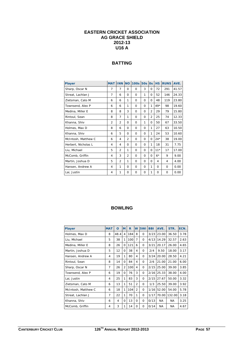#### **EASTERN CRICKET ASSOCIATION AG GRACE SHIELD 2012-13 U16 A**

## **BATTING**

| <b>Player</b>       | <b>MAT</b>     | <b>INN</b>     | <b>NO</b>      | 100s 50s |          | $\overline{\text{Os}}$ | <b>HS</b> | <b>RUNS</b> | AVE.  |
|---------------------|----------------|----------------|----------------|----------|----------|------------------------|-----------|-------------|-------|
| Sharp, Oscar N      | 7              | 7              | $\Omega$       | 0        | 3        | 0                      | 72        | 291         | 41.57 |
| Streat, Lachlan J   | $\overline{7}$ | 6              | $\Omega$       | $\Omega$ | 1        | 0                      | 52        | 146         | 24.33 |
| Zietsman, Cato M    | 6              | 6              | 1              | $\Omega$ | $\Omega$ | $\Omega$               | 48        | 119         | 23.80 |
| Townsend, Alex P    | 6              | 6              | 1              | $\Omega$ | $\Omega$ | 1                      | $49*$     | 98          | 19.60 |
| Medina, Miller E    | 8              | 8              | 3              | $\Omega$ | $\Omega$ | $\overline{2}$         | 29        | 79          | 15.80 |
| Rintoul, Sean       | 8              | $\overline{7}$ | 1              | $\Omega$ | $\Omega$ | $\overline{2}$         | 25        | 74          | 12.33 |
| Khanna, Shiv        | $\overline{2}$ | $\overline{2}$ | $\Omega$       | $\Omega$ | 1        | $\Omega$               | 50        | 67          | 33.50 |
| Holmes, Max D       | 8              | 6              | $\Omega$       | $\Omega$ | $\Omega$ | 1                      | 27        | 63          | 10.50 |
| Khanna, Shiv        | 6              | 5              | $\Omega$       | $\Omega$ | $\Omega$ | 1                      | 24        | 53          | 10.60 |
| McIntosh, Matthew C | 6              | 4              | $\overline{2}$ | $\Omega$ | $\Omega$ | 0                      | $24*$     | 38          | 19.00 |
| Herbert, Nicholas L | 4              | 4              | $\Omega$       | $\Omega$ | $\Omega$ | 1                      | 18        | 31          | 7.75  |
| Liu, Michael        | 5              | $\overline{2}$ | 1              | $\Omega$ | $\Omega$ | $\Omega$               | $11*$     | 17          | 17.00 |
| McComb, Griffin     | 4              | 3              | $\overline{2}$ | $\Omega$ | $\Omega$ | $\Omega$               | $6*$      | 9           | 9.00  |
| Martin, Joshua D    | 5              | $\overline{2}$ | 1              | $\Omega$ | $\Omega$ | $\Omega$               | 4         | 4           | 4.00  |
| Hansen, Andrew A    | 4              | 1              | $\Omega$       | $\Omega$ | $\Omega$ | 1                      | $\Omega$  | $\Omega$    | 0.00  |
| Lai, Justin         | 4              | 1              | $\Omega$       | 0        | 0        | 1                      | 0         | $\Omega$    | 0.00  |

| <b>Player</b>       | <b>MAT</b> | O    | M              | R   | W              | 5Wi      | <b>BBI</b> | AVE.      | STR.   | ECN. |
|---------------------|------------|------|----------------|-----|----------------|----------|------------|-----------|--------|------|
| Holmes, Max D       | 8          | 48.4 | 4              | 184 | 8              | $\Omega$ | 3/23       | 23.00     | 36.50  | 3.78 |
| Liu, Michael        | 5          | 38   | 1              | 100 | 7              | $\Omega$ | 4/13       | 14.29     | 32.57  | 2.63 |
| Medina, Miller E    | 8          | 26   | $\Omega$       | 121 | 6              | 0        | 3/21       | 20.17     | 26.00  | 4.65 |
| Martin, Joshua D    | 5          | 12   | $\Omega$       | 38  | 4              | 0        | 2/4        | 9.50      | 18.00  | 3.17 |
| Hansen, Andrew A    | 4          | 19   | 1              | 80  | 4              | 0        | 3/24       | 20.00     | 28.50  | 4.21 |
| Rintoul, Sean       | 8          | 14   | $\Omega$       | 84  | 4              | $\Omega$ | 2/6        | 21.00     | 21.00  | 6.00 |
| Sharp, Oscar N      | 7          | 26   | $\overline{2}$ | 100 | 4              | $\Omega$ | 2/15       | 25.00     | 39.00  | 3.85 |
| Townsend, Alex P    | 6          | 19   | $\Omega$       | 76  | 3              | $\Omega$ | 2/16       | 25.33     | 38.00  | 4.00 |
| Lai, Justin         | 4          | 25   | 1              | 83  | 3              | $\Omega$ | 2/15       | 27.67     | 50.00  | 3.32 |
| Zietsman, Cato M    | 6          | 13   | 1              | 51  | $\overline{2}$ | $\Omega$ | 1/3        | 25.50     | 39.00  | 3.92 |
| McIntosh, Matthew C | 6          | 18   | 1              | 104 | $\overline{2}$ | 0        | 1/16       | 52.00     | 54.00  | 5.78 |
| Streat, Lachlan J   | 7          | 22   | 1              | 70  | 1              | $\Omega$ | 1/17       | 70.00     | 132.00 | 3.18 |
| Khanna, Shiv        | 6          | 4    | $\Omega$       | 13  | 0              | 0        | 0/13       | <b>NA</b> | NA.    | 3.25 |
| McComb, Griffin     | 4          | 3    | 1              | 14  | 0              | 0        | 0/14       | <b>NA</b> | NA     | 4.67 |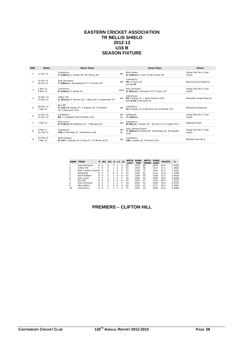#### **EASTERN CRICKET ASSOCIATION TR BELLIS SHIELD 2012-13 U16 B SEASON FIXTURE**

| <b>RND</b>     | <b>Dates</b>           | Home Team                                                                          |           | <b>Away Team</b>                                                                     | Venue                           |
|----------------|------------------------|------------------------------------------------------------------------------------|-----------|--------------------------------------------------------------------------------------|---------------------------------|
|                | 12 Oct 12              | Canterbury<br>1/128(cc) LJ Streat 50* RC Pincus 26*                                | def       | Mont Albert<br>6/110(cc) S Cook 35 NO Creese 30                                      | Hislop Park No 1 Oval<br>(East) |
| $\overline{2}$ | 19 Oct 12<br>26 Oct 12 | <b>Fast Doncaster</b><br>7/185(cc) J Bumpstead 37* D Fornito 29*                   | def       | Canterbury<br>29 A Chan 4/9<br>and $2/47$                                            | Boronia Grove Reserve           |
|                | 2 Nov 12<br>9 Nov 12   | Canterbury<br>6/144(cc) S Harley 32                                                | drew      | Park Orchards<br>3/201(cc) J Nicholson 52* R Hunt 33*                                | Hislop Park No 1 Oval<br>(East) |
|                | 16 Nov 12<br>23 Nov 12 | Clifton Hill<br>1/251 (cc) R Terrens 83* J Bluer 60* A Yaksender 57*               | def       | Canterbury<br>94 S Harley 27 L Dalla Zuanna 4/20<br>and 4/63 G McComb 41             | Ramsden Street Reserve          |
|                | 30 Nov 12<br>7 Dec 12  | <b>Box Hill</b><br>3/126 AW Hands 37* S English 35* N Fletcher<br>30 G McComb 3/30 | def       | Canterbury<br>91 S Harley 32 G McComb 26 N Fletcher 3/8                              | Whitehorse Reserve              |
|                | 14 Dec 12<br>21 Dec 12 | Canterbury<br>86 C Campbell 4/20 N White 3/16                                      | def<br>by | Edinburgh<br>$7/122$ (cc)                                                            | Hislop Park No 1 Oval<br>(East) |
|                | 1 Feb 13               | Kew Junior<br>0/114(cc) M McMahon 41* T Mulcahy 40*                                | def       | Canterbury<br>8/94(cc) J Sestan 42* M Scott 3/7 B Jowett 3/22                        | Willsmere Park                  |
|                | 8 Feb 13<br>15 Feb 13  | Canterbury<br>139 I F McI ellan 41 N Karkalas 4/26                                 | def<br>by | <b>Fast Ivanhoe Saints</b><br>7/194(cc) M Jones 80* N Karkalas 50 PA Kendall<br>4/40 | Hislop Park No 1 Oval<br>(East) |
|                | 22 Feb 13<br>1 Mar 13  | North Balwyn<br>9/147 J Galanos 34 G Heng 27 JD Martin 4/19                        | def       | Canterbury<br>146 J Sestan 63 M Hurse 4/19                                           | Macleay Park No 2               |

|                | <b>RANK TEAM</b>      | P | W <sub>2</sub> | W <sub>1</sub> |               | <b>D</b> L1 L2 |          | WKTS<br>LOST | <b>RUNS</b><br><b>FOR</b> | <b>WKTS</b><br><b>TAKEN</b> | <b>RUNS</b><br><b>AGST</b> | <b>POINTS</b> | %      |
|----------------|-----------------------|---|----------------|----------------|---------------|----------------|----------|--------------|---------------------------|-----------------------------|----------------------------|---------------|--------|
|                | <b>Fast Doncaster</b> | 9 | $\Omega$       | 8              | O             |                | $\Omega$ | 62           | 1534                      | 69                          | 1044                       | 49.0          | 1.6352 |
| $\mathfrak{D}$ | Clifton Hill          | 9 | $\Omega$       | 6              |               | 2              | $\Omega$ | 55           | 1564                      | 59                          | 1127                       | 41.5          | 1.4887 |
| 3              | East Ivanhoe Saints9  |   | $\Omega$       | 6              |               | 2              | $\Omega$ | 57           | 1298                      | 73                          | 1160                       | 41.5          | 1.4331 |
| $\overline{4}$ | Edinburgh             | 9 | $\Omega$       | 5              | $\Omega$      | Δ              | $\Omega$ | 54           | 1182                      | 61                          | 1114                       | 34.0          | 1.1986 |
| 5              | North Balwyn          | 9 | $\Omega$       | 4              |               | Δ              | $\Omega$ | 67           | 1189                      | 65                          | 1106                       | 31.5          | 1.0430 |
| 6              | Kew Junior            | 9 | $\Omega$       | 3              | $\mathcal{P}$ | Δ              | $\Omega$ | 50           | 1006                      | 63                          | 1368                       | 29.0          | 0.9266 |
| $\overline{7}$ | <b>Box Hill</b>       | 8 | $\Omega$       | 4              | <sup>n</sup>  | Δ              | $\Omega$ | 50           | 1301                      | 47                          | 1210                       | 28.0          | 1.0107 |
| 8              | Park Orchards         | 9 | $\Omega$       | 1              | $\mathcal{P}$ | 6              | $\Omega$ | 44           | 1091                      | 55                          | 1406                       | 19.0          | 0.9700 |
| 9              | Mont Albert           | 8 | $\Omega$       | 2              | <sup>n</sup>  | 6              | $\Omega$ | 60           | 1196                      | 41                          | 1437                       | 18.0          | 0.5687 |
| 10             | Canterbury            | 9 | $\Omega$       |                |               |                | $\Omega$ | 77           | 1061                      | 43                          | 1450                       | 16.5          | 0.4086 |

## **PREMIERS – CLIFTON HILL**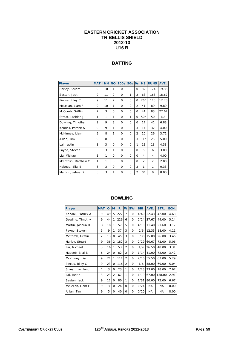## **EASTERN CRICKET ASSOCIATION TR BELLIS SHIELD 2012-13 U16 B**

## **BATTING**

| <b>Player</b>       | <b>MAT</b> | <b>INN</b> | <b>NO</b>      | <b>100s</b> | <b>50s</b> | <b>Os</b>      | <b>HS</b>      | <b>RUNS</b>    | AVE.  |
|---------------------|------------|------------|----------------|-------------|------------|----------------|----------------|----------------|-------|
| Harley, Stuart      | 9          | 10         | 1              | $\Omega$    | 0          | 0              | 32             | 174            | 19.33 |
| Sestan, Jack        | 9          | 11         | $\overline{2}$ | $\Omega$    | 1          | $\overline{2}$ | 63             | 168            | 18.67 |
| Pincus, Riley C     | 9          | 11         | $\overline{2}$ | $\Omega$    | 0          | $\Omega$       | $26*$          | 115            | 12.78 |
| McLellan, Liam F    | 9          | 10         | 1              | $\Omega$    | $\Omega$   | $\overline{2}$ | 41             | 89             | 9.89  |
| McComb, Griffin     | 2          | 3          | $\Omega$       | $\Omega$    | 0          | $\Omega$       | 41             | 83             | 27.67 |
| Streat, Lachlan J   | 1          | 1          | 1              | $\Omega$    | 1          | 0              | $50*$          | 50             | NA.   |
| Dowling, Timothy    | 9          | 9          | 3              | $\Omega$    | 0          | <sup>0</sup>   | 17             | 41             | 6.83  |
| Kendall, Patrick A  | 9          | 9          | 1              | $\Omega$    | 0          | 3              | 14             | 32             | 4.00  |
| McKinney, Liam      | 9          | 8          | 1              | $\Omega$    | 0          | $\overline{2}$ | 10             | 26             | 3.71  |
| Alllan, Tim         | 9          | 8          | 3              | $\Omega$    | $\Omega$   | 3              | $11*$          | 25             | 5.00  |
| Lai, Justin         | 3          | 3          | $\Omega$       | Ω           | 0          | 1              | 11             | 13             | 4.33  |
| Payne, Steven       | 5          | 3          | 1              | $\Omega$    | 0          | $\Omega$       | 5              | 6              | 3.00  |
| Liu, Michael        | 3          | 1          | $\Omega$       | $\Omega$    | 0          | $\Omega$       | 4              | 4              | 4.00  |
| McIntosh, Matthew C | 1          | 1          | $\Omega$       | $\Omega$    | $\Omega$   | $\Omega$       | $\overline{2}$ | $\overline{2}$ | 2.00  |
| Habeeb, Bilal B     | 6          | 3          | $\Omega$       | $\Omega$    | 0          | $\overline{2}$ | 1              | 1              | 0.33  |
| Martin, Joshua D    | 3          | 3          | 1              | $\Omega$    | 0          | $\overline{2}$ | $0^*$          | $\Omega$       | 0.00  |

| <b>Player</b>      | <b>MAT</b> | O  | <b>M</b>       | R   | W              | 5Wi      | <b>BBI</b> | AVE.      | STR.      | ECN. |
|--------------------|------------|----|----------------|-----|----------------|----------|------------|-----------|-----------|------|
| Kendall, Patrick A | 9          | 49 | 5              | 227 | 7              | 0        | 4/40       | 32.43     | 42.00     | 4.63 |
| Dowling, Timothy   | 9          | 44 | 1              | 226 | 6              | $\Omega$ | 2/24       | 37.67     | 44.00     | 5.14 |
| Martin, Joshua D   | 3          | 18 | 1              | 57  | 5              | $\Omega$ | 4/19       | 11.40     | 21.60     | 3.17 |
| Payne, Steven      | 5          | 9  | 1              | 37  | 3              | $\Omega$ | 2/6        | 12.33     | 18.00     | 4.11 |
| McComb, Griffin    | 2          | 13 | $\Omega$       | 45  | 3              | $\Omega$ | 3/30       | 15.00     | 26.00     | 3.46 |
| Harley, Stuart     | 9          | 36 | $\overline{2}$ | 182 | 3              | $\Omega$ | 2/29       | 60.67     | 72.00     | 5.06 |
| Liu, Michael       | 3          | 16 | 1              | 53  | $\overline{2}$ | $\Omega$ | 1/9        | 26.50     | 48.00     | 3.31 |
| Habeeb, Bilal B    | 6          | 24 | $\Omega$       | 82  | $\overline{2}$ | $\Omega$ | 1/14       | 41.00     | 72.00     | 3.42 |
| McKinney, Liam     | 9          | 21 | 1              | 111 | $\overline{2}$ | $\Omega$ | 2/10       | 55.50     | 63.00     | 5.29 |
| Pincus, Riley C    | 9          | 23 | 0              | 116 | $\overline{2}$ | 0        | 1/6        | 58.00     | 69.00     | 5.04 |
| Streat, Lachlan J  | 1          | 3  | $\Omega$       | 23  | 1              | $\Omega$ | 1/23       | 23.00     | 18.00     | 7.67 |
| Lai, Justin        | 3          | 23 | $\overline{2}$ | 67  | 1              | $\Omega$ | 1/19       | 67.00     | 138.00    | 2.91 |
| Sestan, Jack       | 9          | 12 | 0              | 80  | 1              | $\Omega$ | 1/31       | 80.00     | 72.00     | 6.67 |
| McLellan, Liam F   | 9          | 3  | $\Omega$       | 24  | $\Omega$       | $\Omega$ | 0/24       | NA.       | <b>NA</b> | 8.00 |
| Alllan, Tim        | 9          | 5  | $\Omega$       | 40  | $\Omega$       | $\Omega$ | 0/10       | <b>NA</b> | <b>NA</b> | 8.00 |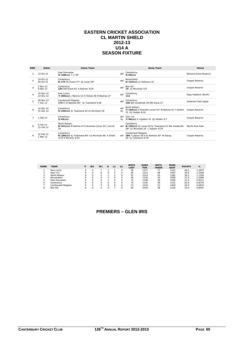#### **EASTERN CRICKET ASSOCIATION CL MARTIN SHIELD 2012-13 U14 A SEASON FIXTURE**

| <b>RND</b>    | <b>Dates</b>           | <b>Home Team</b>                                                                        |                | <b>Away Team</b>                                                                                            | Venue                 |
|---------------|------------------------|-----------------------------------------------------------------------------------------|----------------|-------------------------------------------------------------------------------------------------------------|-----------------------|
|               | 12 Oct 12              | <b>Fast Doncaster</b><br>4/108(cc) T Li 39*                                             | def            | Canterbury<br>$9/69$ (cc)                                                                                   | Boronia Grove Reserve |
| $\mathcal{P}$ | 19 Oct 12<br>26 Oct 12 | Canterbury<br>$6/175$ 7k Evans 57* DJ Jones 39*                                         | def            | Boroondara<br>6/133(cc) JX Dalbosco 31                                                                      | Cooper Reserve        |
|               | 2 Nov 12<br>9 Nov 12   | Canterbury<br>143 DM Grace 63 A Nainani 3/24                                            | def            | Box Hill<br>72 I.S. McIntosh 5/9                                                                            | Cooper Reserve        |
|               | 16 Nov 12<br>23 Nov 12 | Kew Junior<br>7/205(cc) J Mannix 53 E Chiodo 38 D Mastras 27                            | def            | Canterbury<br>112                                                                                           | Hays Paddock (North)  |
| 5             | 30 Nov 12<br>7 Dec 12  | Camberwell Magpies<br>175 D Di Battista 80* SJ Townsend 5/28                            | $\mathsf{def}$ | Canterbury<br>156 WA Vanderslik 29 DM Grace 27                                                              | Anderson Park Upper   |
|               | 14 Dec 12<br>21 Dec 12 | Canterbury<br>5/129(cc) SJ Townsend 44 LS McIntosh 29                                   | def<br>by      | North Balwyn<br>7/156(cc) E Brandon-Jones 52* M Nehme 41 T Gallent Cooper Reserve<br>25 DJ Holden 4/19      |                       |
|               | 1 Feb 13               | Canterbury<br>$5/65$ (cc)                                                               | def<br>bv      | Glen Iris<br>7/96(cc) D Ingleton 35 DJ Holden 3/7                                                           | Cooper Reserve        |
| R             | 8 Feb 13<br>15 Feb 13  | North Balwyn<br>8/221(cc) M Nehme 47 E Brandon-Jones 34 J Carroll<br>29                 |                | Canterbury<br>def 8/159(cc) DJ Jones 39 SJ Townsend 31 WA Vanderslik<br>28* I.S. McIntosh 25   Stacker 4/33 | Myrtle Park East      |
| $\mathsf o$   | 22 Feb 13<br>1 Mar 13  | Canterbury<br>9/184(cc) SJ Townsend 80* LS McIntosh 66 S Elliott<br>4/34 S Morarty 3/19 |                | Camberwell Magpies<br>def 166 T Jepson 36 D Di Battista 30* W Davey<br>29 SJ Townsend 4/39                  | Cooper Reserve        |

| <b>RANK</b> | <b>TEAM</b>        | D | W <sub>2</sub> | W <sub>1</sub> | D |   | L <sub>2</sub> | <b>WKTS</b><br><b>LOST</b> | <b>RUNS</b><br><b>FOR</b> | <b>WKTS</b><br><b>TAKEN</b> | <b>RUNS</b><br><b>AGST</b> | <b>POINTS</b> | %      |
|-------------|--------------------|---|----------------|----------------|---|---|----------------|----------------------------|---------------------------|-----------------------------|----------------------------|---------------|--------|
|             | Kew Junior         |   |                |                |   |   |                | 58                         | 1277                      | 77                          | 1222                       | 46.5          | 1.3873 |
|             | Glen Iris          |   |                | 6              |   |   |                | 63                         | 1221                      | 68                          | 1093                       | 39.0          | 1.2058 |
|             | North Balwyn       |   |                |                |   |   |                | 51                         | 1214                      | 61                          | 1282                       | 36.5          | 1.1326 |
|             | <b>Boroondara</b>  |   |                |                |   |   |                | 56                         | 1135                      | 62                          | 1008                       | 31.5          | 1.2466 |
| ь           | East Doncaster     |   |                |                |   |   |                | 75                         | 1196                      | 60                          | 1006                       | 31.5          | 0.9511 |
| 6           | Canterbury         |   |                |                |   | 6 |                | 72                         | 1192                      | 69                          | 1332                       | 24.0          | 0.8576 |
|             | Camberwell Magpies |   |                |                |   | 6 |                | 72                         | 1216                      | 57                          | 1400                       | 24.0          | 0.6876 |
|             | Box Hill           |   |                |                |   |   |                | 65                         | 1036                      | 58                          | 1144                       | 19.0          | 0.8081 |

## **PREMIERS – GLEN IRIS**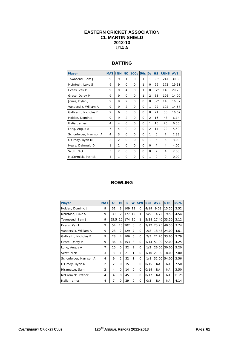#### **EASTERN CRICKET ASSOCIATION CL MARTIN SHIELD 2012-13 U14 A**

## **BATTING**

| <b>Player</b>           | <b>MAT INN NO</b> |                |                | 100s 50s |          | $\overline{\text{Os}}$ | <b>HS</b>      | <b>RUNS</b> | AVE.  |
|-------------------------|-------------------|----------------|----------------|----------|----------|------------------------|----------------|-------------|-------|
| Townsend, Sam J         | 9                 | 9              | 1              | $\Omega$ | 1        | 1                      | $80*$          | 247         | 30.88 |
| McIntosh, Luke S        | 9                 | 9              | $\Omega$       | $\Omega$ | 1        | $\Omega$               | 66             | 172         | 19.11 |
| Evans, Zak k            | 9                 | 9              | 4              | $\Omega$ | 1        | $\Omega$               | $57*$          | 146         | 29.20 |
| Grace, Darcy M          | 9                 | 9              | $\Omega$       | $\Omega$ | 1        | $\overline{2}$         | 63             | 126         | 14.00 |
| Jones, Dylan J          | 9                 | 9              | $\overline{2}$ | $\Omega$ | $\Omega$ | Ω                      | $39*$          | 116         | 16.57 |
| Vanderslik, William A   | 9                 | 9              | $\overline{2}$ | $\Omega$ | $\Omega$ | 1                      | 29             | 102         | 14.57 |
| Galbraith, Nicholas B   | 9                 | 6              | 3              | $\Omega$ | $\Omega$ | Ω                      | 21             | 50          | 16.67 |
| Holden, Dominic J       | 9                 | 9              | $\overline{2}$ | $\Omega$ | $\Omega$ | $\overline{2}$         | 16             | 43          | 6.14  |
| Italia, James           | 4                 | 4              | $\Omega$       | $\Omega$ | 0        | 1                      | 16             | 26          | 6.50  |
| Long, Angus A           | 7                 | 4              | $\Omega$       | $\Omega$ | $\Omega$ | $\overline{2}$         | 14             | 22          | 5.50  |
| Schonfelder, Harrison A | 4                 | 3              | $\Omega$       | $\Omega$ | $\Omega$ | 1                      | 6              | 7           | 2.33  |
| O'Grady, Ryan M         | $\overline{2}$    | $\overline{2}$ | 0              | $\Omega$ | 0        | 1                      | 6              | 6           | 3.00  |
| Healy, Dairmuid D       | 1                 | 1              | $\Omega$       | $\Omega$ | $\Omega$ | $\Omega$               | 4              | 4           | 4.00  |
| Scott, Nick             | 3                 | $\overline{2}$ | $\Omega$       | $\Omega$ | $\Omega$ | Ω                      | $\overline{2}$ | 4           | 2.00  |
| McCormick, Patrick      | 4                 | 1              | 0              | Ω        | 0        | 1                      | $\Omega$       | $\Omega$    | 0.00  |

| <b>Player</b>           | <b>MAT</b>     | O              | M              | R   | W              | 5Wi      | <b>BBI</b> | AVE.      | STR.      | ECN.  |
|-------------------------|----------------|----------------|----------------|-----|----------------|----------|------------|-----------|-----------|-------|
| Holden, Dominic J       | 9              | 31             | 3              | 109 | 12             | $\Omega$ | 4/19       | 9.08      | 15.50     | 3.52  |
| McIntosh, Luke S        | 9              | 39             | $\overline{2}$ | 177 | 12             | 1        | 5/9        | 14.75     | 19.50     | 4.54  |
| Townsend, Sam J         | 9              | 55.5           | 10             | 174 | 10             | 1        | 5/28       | 17.40     | 33.50     | 3.12  |
| Evans, Zak k            | 9              | 54             | 10             | 202 | 8              | $\Omega$ | 2/12       | 25.25     | 40.50     | 3.74  |
| Vanderslik, William A   | 9              | 28             | $\overline{2}$ | 129 | 7              | $\Omega$ | 2/8        | 18.43     | 24.00     | 4.61  |
| Galbraith, Nicholas B   | 9              | 28             | 4              | 106 | 5              | $\Omega$ | 2/3        | 21.20     | 33.60     | 3.79  |
| Grace, Darcy M          | 9              | 36             | 6              | 153 | 3              | $\Omega$ | 1/14       | 51.00     | 72.00     | 4.25  |
| Long, Angus A           | $\overline{7}$ | 10             | 0              | 52  | $\overline{2}$ | $\Omega$ | 1/2        | 26.00     | 30.00     | 5.20  |
| Scott, Nick             | 3              | 3              | 1              | 21  | 1              | $\Omega$ | 1/10       | 21.00     | 18.00     | 7.00  |
| Schonfelder, Harrison A | 4              | 9              | $\overline{2}$ | 32  | 1              | 0        | 1/8        | 32.00     | 54.00     | 3.56  |
| O'Grady, Ryan M         | $\overline{2}$ | $\overline{2}$ | 0              | 15  | $\Omega$       | $\Omega$ | 0/15       | NA.       | NA.       | 7.50  |
| Hiramatsu, Sam          | $\overline{2}$ | 4              | $\Omega$       | 14  | $\Omega$       | $\Omega$ | 0/14       | NA.       | NA.       | 3.50  |
| McCormick, Patrick      | 4              | 4              | 0              | 45  | 0              | $\Omega$ | 0/17       | NA.       | NA.       | 11.25 |
| Italia, James           | 4              | 7              | $\Omega$       | 29  | 0              | $\Omega$ | O/3        | <b>NA</b> | <b>NA</b> | 4.14  |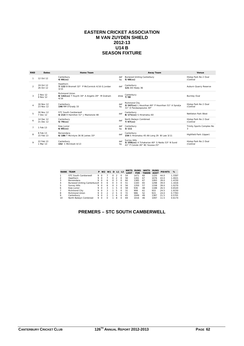#### **EASTERN CRICKET ASSOCIATION M VAN ZUYDEN SHIELD 2012-13 U14 B SEASON FIXTURE**

| <b>RND</b>     | <b>Dates</b>           | <b>Home Team</b>                                                       |           | <b>Away Team</b>                                                                                       | Venue                             |
|----------------|------------------------|------------------------------------------------------------------------|-----------|--------------------------------------------------------------------------------------------------------|-----------------------------------|
|                | 12 Oct 12              | Canterbury<br>$4/66$ (cc)                                              | def<br>bv | <b>Burwood Uniting Canterbury</b><br>$5/68$ (cc)                                                       | Hislop Park No 2 Oval<br>(Central |
| $\overline{2}$ | 19 Oct 12<br>26 Oct 12 | Hawthorn<br>7/122 B Bromell 32* P McCormick 4/16 G Jordan<br>3/15      | def       | Canterbury<br><b>121 DD Healy 36</b>                                                                   | Auburn Quarry Reserve             |
| 3              | 2 Nov 12<br>9 Nov 12   | Richmond Union<br>8/142(cc) T Huynh 34* A Angelis 29* M Graham<br>4/16 | drew      | Canterbury<br>7/58                                                                                     | <b>Burnley Oval</b>               |
|                | 16 Nov 12<br>23 Nov 12 | Canterbury<br>146 RM O'Grady 33                                        | def<br>by | <b>Richmond City</b><br>3/247(cc) L Hounihan 60* P Hounihan 51* A Spralja<br>31* D Pandazopoulos 30*   | Hislop Park No 2 Oval<br>(Central |
|                | 30 Nov 12<br>7 Dec 12  | STC South Camberwell<br>4/214 H Hamilton 51* J Mackenzie 48            | def       | Canterbury<br>8/171(cc) S Hiramatsu 60                                                                 | Nettleton Park West               |
| 6              | 14 Dec 12<br>21 Dec 12 | Canterbury<br>$5/70$ (cc)                                              | def       | North Balwyn Combined<br>$7/67$ (cc)                                                                   | Hislop Park No 2 Oval<br>(Central |
|                | 1 Feb 13               | Kew Junior<br>$6/85$ (cc)                                              | def<br>bv | Canterbury<br>3/111                                                                                    | Trinity Sports Complex No<br>3    |
| 8              | 8 Feb 13<br>15 Feb 13  | Boroondara<br>6/186 T McIntyre 36 W James $33*$                        | def       | Canterbury<br>154 S Hiramatsu 45 AA Long 29 W Law 3/11                                                 | Highfield Park (Upper)            |
| $\circ$        | 22 Feb 13<br>1 Mar 13  | Canterbury<br>152 C McIntosh 4/13                                      | def<br>by | <b>Surrey Hills</b><br>3/256(cc) A Tchakerian 60* S Naidu 53* N Sund<br>41* P Conole 26* BC Soussa 25* | Hislop Park No 2 Oval<br>(Central |

|    | <b>RANK TEAM</b>            | P |          | W <sub>2</sub> W <sub>1</sub> | D        |   | L1 L2    | <b>WKTS</b><br><b>LOST</b> | <b>RUNS</b><br><b>FOR</b> | <b>WKTS</b><br><b>TAKEN</b> | <b>RUNS</b><br><b>AGST</b> | <b>POINTS</b> | %      |
|----|-----------------------------|---|----------|-------------------------------|----------|---|----------|----------------------------|---------------------------|-----------------------------|----------------------------|---------------|--------|
|    | <b>STC South Camberwell</b> | 9 | $\Omega$ |                               | $\Omega$ | 2 | $\Omega$ | 54                         | 1471                      | 60                          | 1220                       | 44.0          | 1.3397 |
|    | Hawthorn                    | 9 | $\Omega$ |                               | O.       | 2 | $\Omega$ | 56                         | 1261                      | 67                          | 1076                       | 43.0          | 1.4021 |
| 3  | Boroondara                  | 9 | $\Omega$ | 6                             | $\Omega$ | 3 | $\Omega$ | 60                         | 1385                      | 67                          | 1093                       | 39.0          | 1.4150 |
| 4  | Burwood Uniting Canterbury9 |   | $\Omega$ | 6                             | $\Omega$ | 3 | $\Omega$ | 51                         | 1183                      | 65                          | 1298                       | 39.0          | 1.1616 |
| 5  | <b>Surrey Hills</b>         | 9 | $\Omega$ | 6                             | $\Omega$ | 3 | $\Omega$ | 56                         | 1350                      | 57                          | 1338                       | 39.0          | 1.0270 |
| 6  | Kew Junior                  | 9 | $\Omega$ | 3                             |          | 5 | $\Omega$ | 58                         | 936                       | 48                          | 1188                       | 26.5          | 0.6520 |
|    | Richmond City               | 9 | $\Omega$ | 3                             |          | 5 | $\Omega$ | 31                         | 908                       | 61                          | 933                        | 24.5          | 1.9150 |
| 8  | <b>Richmond Union</b>       | 9 | $\Omega$ | $\mathcal{P}$                 | 2        | 5 | $\Omega$ | 72                         | 986                       | 52                          | 915                        | 24.0          | 0.7783 |
| 9  | Canterbury                  | 9 | $\Omega$ | $\mathcal{P}$                 |          | 6 | $\Omega$ | 65                         | 1049                      | 49                          | 1387                       | 21.5          | 0.5701 |
| 10 | North Balwyn Combined       | 9 | $\Omega$ | 0                             |          | 8 | $\Omega$ | 69                         | 1016                      | 46                          | 1097                       | 11.5          | 0.6174 |

## **PREMERS – STC SOUTH CAMBERWELL**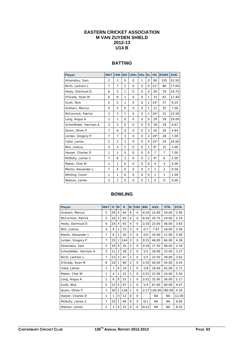#### **EASTERN CRICKET ASSOCIATION M VAN ZUYDEN SHIELD 2012-13 U14 B**

## **BATTING**

| <b>Player</b>           | <b>MAT</b>     | <b>INN NO</b>  |                | <b>100s</b> | <b>50s</b>   | <b>Os</b>      | <b>HS</b>      | <b>RUNS</b>    | AVE.  |
|-------------------------|----------------|----------------|----------------|-------------|--------------|----------------|----------------|----------------|-------|
| Hiramatsu, Sam          | $\overline{2}$ | $\overline{2}$ | $\Omega$       | $\Omega$    | $\mathbf{1}$ | $\Omega$       | 60             | 105            | 52.50 |
| Birch, Jackson L        | $\overline{7}$ | $\overline{7}$ | $\overline{2}$ | 0           | 0            | 0              | $21*$          | 88             | 17.60 |
| Healy, Dairmuid D       | 6              | 5              | 1              | $\Omega$    | $\Omega$     | $\mathbf 0$    | 36             | 79             | 19.75 |
| O'Grady, Ryan M         | 6              | 6              | 1              | $\Omega$    | $\Omega$     | 1              | 33             | 62             | 12.40 |
| Scott, Nick             | 5              | 5              | 1              | 0           | 0            | $\overline{2}$ | $14*$          | 37             | 9.25  |
| Graham, Marcus          | 5              | 5              | $\Omega$       | $\Omega$    | 0            | 1              | 21             | 35             | 7.00  |
| McCormick, Patrick      | 3              | 3              | 1              | 0           | 0            | 1              | $24*$          | 31             | 15.50 |
| Long, Angus A           | 1              | 1              | $\Omega$       | 0           | $\mathbf 0$  | $\Omega$       | 29             | 29             | 29.00 |
| Schonfelder, Harrison A | 3              | 3              | $\Omega$       | $\Omega$    | $\Omega$     | $\Omega$       | 18             | 29             | 9.67  |
| Quinn, Oliver P         | 7              | 6              | $\Omega$       | 0           | 0            | 3              | 16             | 29             | 4.83  |
| Jordan, Gregory P       | 7              | $\overline{7}$ | 3              | 0           | $\Omega$     | $\overline{2}$ | $19*$          | 28             | 7.00  |
| Italia, James           | $\overline{2}$ | $\overline{2}$ | 1              | $\Omega$    | $\Omega$     | $\Omega$       | $15*$          | 24             | 24.00 |
| Nitz, Joshua            | 4              | 4              | 1              | 0           | 0            | 1              | $8*$           | 15             | 5.00  |
| Harper, Charles D       | 1              | 1              | $\Omega$       | $\Omega$    | $\Omega$     | $\Omega$       | $\overline{7}$ | $\overline{7}$ | 7.00  |
| McNulty, James S        | 7              | 6              | 3              | $\Omega$    | $\Omega$     | $\overline{2}$ | $4*$           | 6              | 2.00  |
| Maher, Chet W           | 1              | 1              | $\Omega$       | 0           | $\mathbf 0$  | $\Omega$       | 4              | 4              | 4.00  |
| Martin, Alexander L     | $\overline{7}$ | 4              | $\Omega$       | 0           | 0            | $\overline{2}$ | 1              | 2              | 0.50  |
| Whiting, Conor          | 1              | 1              | $\Omega$       | 0           | 0            | $\Omega$       | 1              | 1              | 1.00  |
| Watson, James           | $\overline{2}$ | 1              | 0              | 0           | 0            | 1              | 0              | 0              | 0.00  |

| Player                  | <b>MAT</b>     | $\Omega$ | M              | R   | W              | 5Wi      | <b>BBI</b> | AVE.      | STR.      | ECN.  |
|-------------------------|----------------|----------|----------------|-----|----------------|----------|------------|-----------|-----------|-------|
| Graham, Marcus          | 5              | 29       | 4              | 84  | 6              | $\Omega$ | 4/16       | 14.00     | 29.00     | 2.90  |
| McCormick, Patrick      | 3              | 16       | 3              | 83  | 4              | $\Omega$ | 4/16       | 20.75     | 24.00     | 5.19  |
| Healy, Dairmuid D       | 6              | 24       | 4              | 92  | 4              | $\Omega$ | 1/10       | 23.00     | 36.00     | 3.83  |
| Nitz, Joshua            | 4              | 9        | $\mathbf{1}$   | 23  | 3              | $\Omega$ | 2/7        | 7.67      | 18.00     | 2.56  |
| Martin, Alexander L     | $\overline{7}$ | 6        | 1              | 30  | 3              | $\Omega$ | 2/0        | 10.00     | 12.00     | 5.00  |
| Jordan, Gregory P       | $\overline{7}$ | 33       | $\overline{2}$ | 144 | 3              | $\Omega$ | 3/15       | 48.00     | 66.00     | 4.36  |
| Hiramatsu, Sam          | $\overline{2}$ | 16       | 4              | 35  | $\overline{2}$ | $\Omega$ | 2/16       | 17.50     | 48.00     | 2.19  |
| Schonfelder, Harrison A | 3              | 11       | $\overline{2}$ | 36  | $\overline{2}$ | $\Omega$ | 1/5        | 18.00     | 33.00     | 3.27  |
| Birch, Jackson L        | 7              | 13       | 3              | 47  | $\overline{2}$ | 0        | 1/5        | 23.50     | 39.00     | 3.62  |
| O'Grady, Ryan M         | 6              | 18       | $\mathbf{1}$   | 80  | $\overline{2}$ | $\Omega$ | 1/10       | 40.00     | 54.00     | 4.44  |
| Italia, James           | $\overline{2}$ | 7        | $\Omega$       | 19  | 1              | $\Omega$ | 1/8        | 19.00     | 42.00     | 2.71  |
| Maher, Chet W           | 1              | 4        | 1              | 22  | 1              | $\Omega$ | 1/22       | 22.00     | 24.00     | 5.50  |
| Long, Angus A           | 1              | 6        | 0              | 31  | 1              | $\Omega$ | 1/31       | 31.00     | 36.00     | 5.17  |
| Scott, Nick             | 5              | 15       | 0              | 67  | 1              | $\Omega$ | 1/4        | 67.00     | 90.00     | 4.47  |
| Quinn, Oliver P         | 7              | 30       | $\overline{2}$ | 126 | 1              | $\Omega$ | 1/17       | 126.00    | 180.00    | 4.20  |
| Harper, Charles D       | 1              | 1        | 0              | 12  | $\Omega$       | $\Omega$ |            | NA.       | <b>NA</b> | 12.00 |
| McNulty, James S        | $\overline{7}$ | 10       | $\mathbf{1}$   | 66  | 0              | 0        | 0/1        | <b>NA</b> | NA.       | 6.60  |
| Watson, James           | $\overline{2}$ | 3        | 0              | 25  | $\Omega$       | 0        | 0/12       | <b>NA</b> | <b>NA</b> | 8.33  |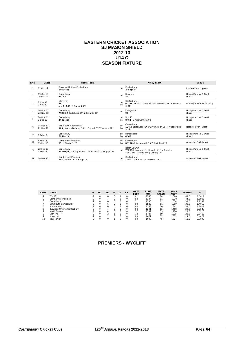#### **EASTERN CRICKET ASSOCIATION SJ MASON SHIELD 2012-13 U14 C SEASON FIXTURE**

| <b>RND</b>     | <b>Dates</b>           | Home Team                                                                  |           | Away Team                                                                                       | Venue                           |
|----------------|------------------------|----------------------------------------------------------------------------|-----------|-------------------------------------------------------------------------------------------------|---------------------------------|
|                | 12 Oct 12              | <b>Burwood Uniting Canterbury</b><br>$6/69$ (cc)                           | def       | Canterbury<br>$2/53$ (cc)                                                                       | Lynden Park (Upper)             |
| $\overline{2}$ | 19 Oct 12<br>26 Oct 12 | Canterbury<br>2/112                                                        | def       | Burwood<br>39                                                                                   | Hislop Park No 1 Oval<br>(East) |
| 3              | 2 Nov 12<br>9 Nov 12   | Glen Iris<br>95<br>and 7/103 S Garrard 4/8                                 | def<br>by | Canterbury<br>6/225(dec) C Leon 43* O Arrowsmith 26 F Herrera<br>3/31                           | Dorothy Laver West (Nth)        |
|                | 16 Nov 12<br>23 Nov 12 | Canterbury<br>7/236 Z Bortolussi 44* Z Knights 36*                         | def       | Kew Junior<br>95                                                                                | Hislop Park No 1 Oval<br>(East) |
| 5              | 30 Nov 12<br>7 Dec 12  | Canterbury<br>$3/48$ (cc)                                                  | bv        | def Wyclif<br>8/64 O Arrowsmith 3/3                                                             | Hislop Park No 1 Oval<br>(East) |
| 6              | 14 Dec 12<br>21 Dec 12 | STC South Camberwell<br>163 J Ayton-Delaney 38* H Serpell 37 T Slorach 32* | def<br>by | Canterbury<br>194 Z Bortolussi 42* O Arrowsmith 39 J Woodbridge<br>3/19                         | Nettleton Park West             |
|                | 1 Feb 13               | Canterbury<br>$6/54$ (cc)                                                  | def<br>by | Boroondara<br>4/68                                                                              | Hislop Park No 1 Oval<br>(East) |
| 8              | 8 Feb 13<br>15 Feb 13  | <b>Camberwell Magpies</b><br>85 H Taylor 3/26                              | def<br>bv | Canterbury<br>8/198 O Arrowsmith 33 Z Bortolussi 29                                             | Anderson Park Lower             |
| $\mathsf Q$    | 22 Feb 13<br>1 Mar 13  | Canterbury<br>8/260(cc) Z Knights 34* Z Bortolussi 31 HA Japp 25           | def       | North Balwyn<br>7/253 J Koong 41* J Howells 41* M Bourikas<br>41* C De Martinis 31* J Grundy 26 | Hislop Park No 1 Oval<br>(East) |
| SF             | 10 Mar 13              | <b>Camberwell Magpies</b><br>191 J McNab 32 A Capp 28                      | def       | Canterbury<br>145 C Leon 43* O Arrowsmith 29                                                    | Anderson Park Lower             |

| <b>RANK</b> | <b>TEAM</b>                       | P       | W <sub>2</sub> | W <sub>1</sub> | D            | L1 | L <sub>2</sub> | <b>WKTS</b><br>LOST | <b>RUNS</b><br><b>FOR</b> | <b>WKTS</b><br><b>TAKEN</b> | <b>RUNS</b><br><b>AGST</b> | <b>POINTS</b> | %      |
|-------------|-----------------------------------|---------|----------------|----------------|--------------|----|----------------|---------------------|---------------------------|-----------------------------|----------------------------|---------------|--------|
|             | Wyclif                            | Q       | 0              | 8              |              |    |                | 62                  | 1386                      | 74                          | 1008                       | 49.0          | 1.6411 |
|             | Camberwell Magpies                | Q       | 0              |                |              |    | $\Omega$       | 58                  | 1334                      | 91                          | 1238                       | 44.0          | 1.6906 |
| 3           | Canterbury                        | Q       | $\Omega$       | 6              | <sup>o</sup> | 3  | $\Omega$       | 51                  | 1380                      | 81                          | 1034                       | 39.0          | 2.1197 |
| 4           | STC South Camberwell              | Q       | 0              | 6              | <sup>o</sup> | 3  | $\Omega$       | 63                  | 1529                      | 81                          | 1399                       | 39.0          | 1.4052 |
| 5           | Boroondara                        | Q       | 0              | 6              | <sup>n</sup> | 3  | $\Omega$       | 60                  | 1358                      | 76                          | 1341                       | 39.0          | 1.2827 |
| 6           | <b>Burwood Uniting Canterbury</b> | Q       | $\Omega$       | Δ              | <sup>o</sup> | 5  | $\Omega$       | 64                  | 1241                      | 62                          | 1408                       | 29.0          | 0.8538 |
|             | North Balwyn                      | $\circ$ | O              |                |              | 5  |                | 77                  | 1582                      | 59                          | 1476                       | 29.0          | 0.8213 |
| 8           | Glen Iris                         | $\circ$ | O              |                |              | 6  |                | 72                  | 1427                      | 59                          | 1235                       | 21.5          | 0.9468 |
| 9           | Burwood                           | $\circ$ | O              |                |              | 8  | $\Omega$       | 88                  | 1072                      | 57                          | 1551                       | 14.0          | 0.4477 |
| 10          | Kew Junior                        | Q       | O              |                |              | 8  | O              | 90                  | 1008                      | 45                          | 1627                       | 11.5          | 0.3098 |

## **PREMIERS - WYCLIFF**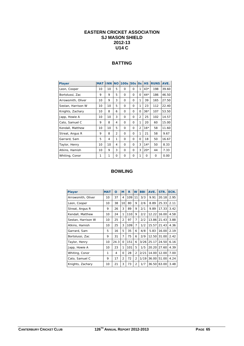#### **EASTERN CRICKET ASSOCIATION SJ MASON SHIELD 2012-13 U14 C**

## **BATTING**

| <b>Player</b>      | <b>MAT</b> | <b>INN</b>   | <b>NO</b>      | <b>100s</b> | <b>50s</b> | <b>Os</b>      | <b>HS</b> | <b>RUNS</b> | AVE.  |
|--------------------|------------|--------------|----------------|-------------|------------|----------------|-----------|-------------|-------|
| Leon, Cooper       | 10         | 10           | 5              | $\Omega$    | $\Omega$   | 1              | $43*$     | 198         | 39.60 |
| Bortolussi, Zac    | 9          | 9            | 5              | $\Omega$    | $\Omega$   | $\Omega$       | $44*$     | 186         | 46.50 |
| Arrowsmith, Oliver | 10         | 9            | 3              | $\Omega$    | O          | 1              | 39        | 165         | 27.50 |
| Sestan, Harrison W | 10         | 10           | 5              | $\Omega$    | $\Omega$   | 1              | 23        | 112         | 22.40 |
| Knights, Zachary   | 10         | 8            | 6              | $\Omega$    | $\Omega$   | $\Omega$       | $36*$     | 107         | 53.50 |
| Japp, Howie A      | 10         | 10           | 3              | $\Omega$    | O          | $\overline{2}$ | 25        | 102         | 14.57 |
| Cato, Samuel C     | 9          | 8            | 4              | $\Omega$    | $\Omega$   | 1              | 20        | 60          | 15.00 |
| Kendall, Matthew   | 10         | 10           | 5              | $\Omega$    | $\Omega$   | $\overline{2}$ | $16*$     | 58          | 11.60 |
| Streat, Angus R    | 9          | 8            | $\overline{2}$ | $\Omega$    | $\Omega$   | 1              | 21        | 58          | 9.67  |
| Garrard, Sam       | 5          | 4            | 1              | $\Omega$    | $\Omega$   | 0              | 18        | 50          | 16.67 |
| Taylor, Henry      | 10         | 10           | $\overline{4}$ | $\Omega$    | $\Omega$   | 3              | $14*$     | 50          | 8.33  |
| Atkins, Hamish     | 10         | 9            | 3              | $\Omega$    | O          | 3              | $20*$     | 44          | 7.33  |
| Whiting, Conor     | 1          | $\mathbf{1}$ | $\Omega$       | $\Omega$    | $\Omega$   | 1              | $\Omega$  | $\Omega$    | 0.00  |

| <b>Player</b>      | <b>MAT</b> | O    | M              | R   | W              | <b>BBI</b> | AVE.  | STR.  | ECN. |
|--------------------|------------|------|----------------|-----|----------------|------------|-------|-------|------|
| Arrowsmith, Oliver | 10         | 37   | 4              | 109 | 11             | 3/3        | 9.91  | 20.18 | 2.95 |
| Leon, Cooper       | 10         | 38   | 10             | 80  | 9              | 2/6        | 8.89  | 25.33 | 2.11 |
| Streat, Angus R    | 9          | 26   | 3              | 89  | 9              | 2/1        | 9.89  | 17.33 | 3.42 |
| Kendall, Matthew   | 10         | 24   | 1              | 110 | 9              | 2/2        | 12.22 | 16.00 | 4.58 |
| Sestan, Harrison W | 10         | 25   | 2              | 97  | 7              | 2/2        | 13.86 | 21.43 | 3.88 |
| Atkins, Hamish     | 10         | 25   | 3              | 109 | 7              | 1/2        | 15.57 | 21.43 | 4.36 |
| Garrard, Sam       | 5          | 16   | 5              | 35  | 6              | 4/8        | 5.83  | 16.00 | 2.19 |
| Bortolussi, Zac    | 9          | 31   | 7              | 75  | 6              | 2/9        | 12.50 | 31.00 | 2.42 |
| Taylor, Henry      | 10         | 24.3 | $\Omega$       | 151 | 6              | 3/26       | 25.17 | 24.50 | 6.16 |
| Japp, Howie A      | 10         | 23   | 1              | 101 | 5              | 1/5        | 20.20 | 27.60 | 4.39 |
| Whiting, Conor     | 1          | 4    | $\Omega$       | 28  | $\overline{2}$ | 2/21       | 14.00 | 12.00 | 7.00 |
| Cato, Samuel C     | 9          | 17   | $\overline{2}$ | 72  | $\overline{2}$ | 1/19       | 36.00 | 51.00 | 4.24 |
| Knights, Zachary   | 10         | 21   | 3              | 73  | $\overline{2}$ | 1/7        | 36.50 | 63.00 | 3.48 |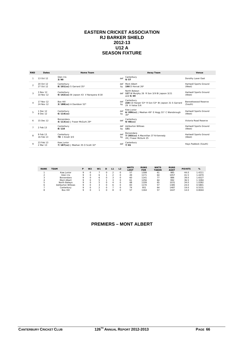#### **EASTERN CRICKET ASSOCIATION RJ BARKER SHIELD 2012-13 U12 A SEASON FIXTURE**

| <b>RND</b>     | Dates                  | <b>Home Team</b>                                     |           | Away Team                                                                          | Venue                            |
|----------------|------------------------|------------------------------------------------------|-----------|------------------------------------------------------------------------------------|----------------------------------|
|                | 13 Oct 12              | Glen Iris<br>3/90                                    | def       | Canterbury<br>9/57                                                                 | Dorothy Laver East               |
| $\mathfrak{p}$ | 20 Oct 12<br>27 Oct 12 | Canterbury<br>8/101(cc) S Garrard 35*                | def<br>bv | Mont Albert<br>190 D Horvat 26*                                                    | Hartwell Sports Ground<br>(West) |
| 3              | 3 Nov 12<br>10 Nov 12  | Canterbury<br>9/142(cc) BI Jepson 43 V Narayana 4/18 |           | North Balwyn<br>def 127 W Murphy 26 R Son 3/9 BI Jepson 3/21<br>and $5/49$         | Hartwell Sports Ground<br>(West) |
|                | 17 Nov 12<br>24 Nov 12 | <b>Box Hill</b><br>3/188(cc) A Davidson 52*          | def<br>by | Canterbury<br>228 CD Harper 53* R Son 53* BI Jepson 31 S Garrard<br>29 A Vatsa 5/6 | Bennettswood Reserve<br>(South)  |
|                | 1 Dec 12<br>8 Dec 12   | Canterbury<br>$6/114$ (cc)                           | def<br>by | Kew Junior<br>6/209(cc) J Meehan 49* E Hogg 31* C Wansbrough<br>$30*$              | Hartwell Sports Ground<br>(West) |
| 6              | 15 Dec 12              | Boroondara<br>4/113(cc) J Fraser McGurk 29*          | def       | Canterbury<br>$9/40$ (cc)                                                          | Victoria Road Reserve            |
|                | 2 Feb 13               | Canterbury<br>8/110                                  | def<br>by | <b>Ashburton Willows</b><br>131                                                    | Hartwell Sports Ground<br>(West) |
|                | 9 Feb 13<br>16 Feb 13  | Canterbury<br><b>78</b> C Knott 3/0                  | def<br>by | Boroondara<br>7/203(cc) A Macmillan 37 N Kennedy<br>28 J Fraser McGurk 25          | Hartwell Sports Ground<br>(West) |
| $\mathsf o$    | 23 Feb 13<br>2 Mar 13  | Kew Junior<br>7/187(cc) J Meehan 35 O Scott 32*      | def       | Canterbury<br>7/81                                                                 | Hays Paddock (South)             |

| <b>RANK</b> | <b>TEAM</b>              | P | W <sub>2</sub> | W <sub>1</sub> | D |   | L <sub>2</sub> | <b>WKTS</b><br>LOST | <b>RUNS</b><br><b>FOR</b> | <b>WKTS</b><br><b>TAKEN</b> | <b>RUNS</b><br><b>AGST</b> | <b>POINTS</b> | %      |
|-------------|--------------------------|---|----------------|----------------|---|---|----------------|---------------------|---------------------------|-----------------------------|----------------------------|---------------|--------|
|             | Kew Junior               |   |                |                |   |   |                | 57                  | 1308                      | 61                          | 985                        | 44.0          | 1.4211 |
|             | Glen Iris                |   |                |                |   |   |                | 49                  | 1171                      | 64                          | 1057                       | 41.5          | 1.4470 |
|             | Boroondara               | o |                |                |   |   |                | 60                  | 1141                      | 77                          | 886                        | 39.0          | 1.6527 |
| 4           | Mont Albert              | o |                |                |   |   |                | 61                  | 1256                      | 64                          | 992                        | 36.5          | 1.3284 |
| ь           | North Balwyn             | o |                |                |   | Δ |                | 68                  | 1109                      | 65                          | 1031                       | 34.0          | 1.0282 |
| 6           | <b>Ashburton Willows</b> | o |                |                |   | ь |                | 83                  | 1170                      | 57                          | 1385                       | 24.0          | 0.5801 |
|             | Canterbury               | o |                |                |   |   |                | 74                  | 951                       | 64                          | 1487                       | 19.0          | 0.5531 |
| 8           | Box Hill                 |   |                |                |   | 8 |                | 57                  | 1164                      | 57                          | 1447                       | 14.0          | 0.8044 |

## **PREMIERS – MONT ALBERT**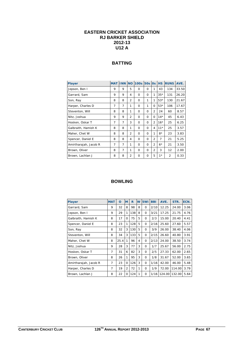## **EASTERN CRICKET ASSOCIATION RJ BARKER SHIELD 2012-13 U12 A**

## **BATTING**

| <b>Player</b>         | <b>MAT</b>     | <b>INN</b> | <b>NO</b>      | <b>100s</b> | <b>50s</b> | $\overline{\text{Os}}$ | <b>HS</b> | <b>RUNS</b>    | AVE.  |
|-----------------------|----------------|------------|----------------|-------------|------------|------------------------|-----------|----------------|-------|
| Jepson, Ben I         | 9              | 9          | 5              | $\Omega$    | 0          | 1                      | 43        | 134            | 33.50 |
| Garrard, Sam          | 9              | 9          | 4              | $\Omega$    | 0          | 1                      | $35*$     | 131            | 26.20 |
| Son, Ray              | 8              | 8          | $\overline{2}$ | $\Omega$    | 1          | 1                      | $53*$     | 130            | 21.67 |
| Harper, Charles D     | 7              | 7          | 1              | $\Omega$    | 1          | $\Omega$               | $53*$     | 106            | 17.67 |
| Steventon, Will       | 8              | 8          | 1              | 0           | $\Omega$   | $\overline{2}$         | 24        | 60             | 8.57  |
| Nitz, Joshua          | 9              | 9          | $\overline{2}$ | $\Omega$    | $\Omega$   | $\Omega$               | $14*$     | 45             | 6.43  |
| Hosken, Oskar T       | $\overline{7}$ | 7          | 3              | $\Omega$    | $\Omega$   | $\overline{2}$         | $16*$     | 25             | 6.25  |
| Galbraith, Hamish K   | 8              | 8          | 1              | $\Omega$    | $\Omega$   | 4                      | $11*$     | 25             | 3.57  |
| Maher, Chet W         | 8              | 8          | $\overline{2}$ | $\Omega$    | $\Omega$   | 1                      | $8*$      | 23             | 3.83  |
| Spencer, Daniel E     | 8              | 8          | 4              | $\Omega$    | 0          | $\overline{2}$         | 7         | 21             | 5.25  |
| Amirtharajah, Jacob R | 7              | 7          | 1              | $\Omega$    | $\Omega$   | $\overline{2}$         | $6*$      | 21             | 3.50  |
| Brown, Oliver         | 8              | 7          | 1              | $\Omega$    | 0          | $\overline{2}$         | 3         | 12             | 2.00  |
| Brown, Lachlan J      | 8              | 8          | $\overline{2}$ | $\Omega$    | 0          | 5                      | $1*$      | $\overline{2}$ | 0.33  |

| <b>Player</b>         | <b>MAT</b> | O    | M              | R   | W | 5Wi      | <b>BBI</b> | AVE.   | STR.   | ECN. |
|-----------------------|------------|------|----------------|-----|---|----------|------------|--------|--------|------|
| Garrard, Sam          | 9          | 32   | 8              | 98  | 8 | $\Omega$ | 2/10       | 12.25  | 24.00  | 3.06 |
| Jepson, Ben I         | 9          | 29   | $\mathbf{1}$   | 138 | 8 | 0        | 3/21       | 17.25  | 21.75  | 4.76 |
| Galbraith, Hamish K   | 8          | 17   | 0              | 75  | 5 | $\Omega$ | 2/3        | 15.00  | 20.40  | 4.41 |
| Spencer, Daniel E     | 8          | 23   | 1              | 128 | 5 | $\Omega$ | 2/16       | 25.60  | 27.60  | 5.57 |
| Son, Ray              | 8          | 32   | 3              | 130 | 5 | $\Omega$ | 3/9        | 26.00  | 38.40  | 4.06 |
| Steventon, Will       | 8          | 34   | 3              | 133 | 5 | $\Omega$ | 2/15       | 26.60  | 40.80  | 3.91 |
| Maher, Chet W         | 8          | 25.4 | 1              | 96  | 4 | 0        | 2/13       | 24.00  | 38.50  | 3.74 |
| Nitz, Joshua          | 9          | 28   | 3              | 77  | 3 | $\Omega$ | 1/7        | 25.67  | 56.00  | 2.75 |
| Hosken, Oskar T       | 7          | 31   | 6              | 82  | 3 | 0        | 2/5        | 27.33  | 62.00  | 2.65 |
| Brown, Oliver         | 8          | 26   | 1              | 95  | 3 | $\Omega$ | 1/8        | 31.67  | 52.00  | 3.65 |
| Amirtharajah, Jacob R | 7          | 23   | $\Omega$       | 126 | 3 | 0        | 1/16       | 42.00  | 46.00  | 5.48 |
| Harper, Charles D     | 7          | 19   | $\overline{2}$ | 72  | 1 | $\Omega$ | 1/9        | 72.00  | 114.00 | 3.79 |
| Brown, Lachlan J      | 8          | 22   | $\Omega$       | 124 | 1 | 0        | 1/16       | 124.00 | 132.00 | 5.64 |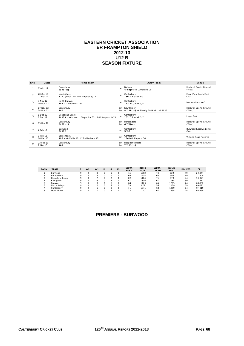#### **EASTERN CRICKET ASSOCIATION ER FRAMPTON SHIELD 2012-13 U12 B SEASON FIXTURE**

| <b>RND</b>     | <b>Dates</b>           | <b>Home Team</b>                                                     |           | Away Team                                            | Venue                                |
|----------------|------------------------|----------------------------------------------------------------------|-----------|------------------------------------------------------|--------------------------------------|
|                | 13 Oct 12              | Canterbury<br>$2/99$ (cc)                                            | def       | Balwyn<br>4/83(cc) R Lumpreiks 25                    | Hartwell Sports Ground<br>(West)     |
| $\mathfrak{p}$ | 20 Oct 12<br>27 Oct 12 | Mont Albert<br>171 J Julien 26* BW Simpson 5/14                      | def       | Canterbury<br>156 C Bettiol 3/9                      | Elgar Park South East<br>Oval        |
| $\mathbf{z}$   | 3 Nov 12<br>10 Nov 12  | North Balwyn<br>149 A De Martinis 28*                                | def       | Canterbury<br><b>123 AC Jones 3/4</b>                | Macleay Park No 2                    |
|                | 17 Nov 12<br>24 Nov 12 | Canterbury<br>140                                                    | def<br>bv | Kew Junior<br>8/218(cc) W Sheedy 29 H Mitchelhill 25 | Hartwell Sports Ground<br>(West)     |
| 5              | 1 Dec 12<br>8 Dec 12   | Deepdene Bears<br>9/139 H Wild 40* L Fitzpatrick 32* BW Simpson 4/15 | def       | Canterbury<br>102 T Rasdell 3/7                      | Leigh Park                           |
| 6              | 15 Dec 12              | Canterbury<br>$5/67$ (cc)                                            | def<br>bv | Boroondara<br>$6/70$ (cc)                            | Hartwell Sports Ground<br>(West)     |
|                | 2 Feb 13               | <b>Burwood</b><br>5/112                                              | def       | Canterbury<br>5/92                                   | <b>Burwood Reserve Lower</b><br>Oval |
| 8              | 9 Feb 13<br>16 Feb 13  | Boroondara<br>196 M Guiffrida 42* D Tuddenham 33*                    | def       | Canterbury<br>154 BW Simpson 36                      | Victoria Road Reserve                |
| $\circ$        | 23 Feb 13<br>2 Mar 13  | Canterbury<br>108                                                    | def<br>bv | Deepdene Bears<br>$7/121$ (cc)                       | Hartwell Sports Ground<br>(West)     |

| <b>RANK</b> | <b>TEAM</b>    | D | W <sub>2</sub> | W <sub>1</sub> | D | L <sub>1</sub> | L <sub>2</sub> | <b>WKTS</b><br>LOST | <b>RUNS</b><br><b>FOR</b> | <b>WKTS</b><br><b>TAKEN</b> | <b>RUNS</b><br><b>AGST</b> | <b>POINTS</b> | %      |
|-------------|----------------|---|----------------|----------------|---|----------------|----------------|---------------------|---------------------------|-----------------------------|----------------------------|---------------|--------|
|             | <b>Burwood</b> |   |                | 8              |   |                |                | 45                  | 1302                      | 74                          | 822                        | 49            | 2.6047 |
|             | Boroondara     |   |                | 8              |   |                |                | 66                  | 1234                      | 68                          | 993                        | 49            | 1.2804 |
|             | Deepdene Bears |   |                |                |   |                |                | 62                  | 1104                      | 71                          | 978                        | 44            | 1.2927 |
|             | Kew Junior     |   |                | 6              |   |                |                | 67                  | 1336                      | 61                          | 1085                       | 39            | 1.1211 |
|             | Balwyn         |   |                |                |   | e              |                | 68                  | 1126                      | 65                          | 1205                       | 24            | 0.8932 |
|             | North Balwyn   |   |                |                |   |                |                | 78                  | 972                       | 56                          | 1159                       | 19            | 0.6021 |
|             | Canterbury     |   |                |                |   | я              |                | 71                  | 1041                      | 68                          | 1259                       | 14            | 0.7919 |
|             | Mont Albert    |   |                |                |   | 8              |                | 73                  | 720                       | 67                          | 1334                       | 14            | 0.4954 |

## **PREMIERS - BURWOOD**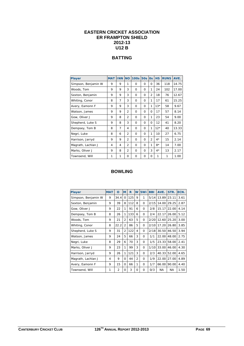## **EASTERN CRICKET ASSOCIATION ER FRAMPTON SHIELD 2012-13 U12 B**

## **BATTING**

| <b>Player</b>       | <b>MAT</b> | <b>INN NO</b>  |                | <b>100s</b> | <b>50s 0s</b> |                | <b>HS</b> | <b>RUNS</b> | AVE.  |
|---------------------|------------|----------------|----------------|-------------|---------------|----------------|-----------|-------------|-------|
| Simpson, Benjamin W | 9          | 9              | 1              | $\Omega$    | $\Omega$      | 0              | 36        | 118         | 14.75 |
| Woods, Tom          | 9          | 9              | 3              | 0           | $\Omega$      | 1              | 24        | 102         | 17.00 |
| Sexton, Benjamin    | 9          | 9              | 3              | $\Omega$    | $\Omega$      | $\overline{2}$ | 18        | 76          | 12.67 |
| Whiting, Conor      | 8          | 7              | 3              | 0           | $\Omega$      | 1              | 17        | 61          | 15.25 |
| Avery, Eamonn F     | 9          | 9              | 3              | $\Omega$    | $\Omega$      | 1              | $13*$     | 58          | 9.67  |
| Watson, James       | 9          | 9              | $\overline{2}$ | $\Omega$    | $\Omega$      | $\Omega$       | 17        | 57          | 8.14  |
| Gow, Oliver J       | 9          | 8              | $\overline{2}$ | $\Omega$    | $\Omega$      | 1              | 23        | 54          | 9.00  |
| Shepherd, Luke S    | 9          | 8              | 3              | $\Omega$    | $\Omega$      | $\Omega$       | 12        | 41          | 8.20  |
| Dempsey, Tom B      | 8          | 7              | 4              | $\Omega$    | $\Omega$      | 1              | $12*$     | 40          | 13.33 |
| Negri, Luke         | 8          | 6              | $\overline{2}$ | 0           | $\Omega$      | 1              | 10        | 27          | 6.75  |
| Harrison, Jarryd    | 9          | 9              | $\overline{2}$ | $\Omega$    | $\Omega$      | $\overline{2}$ | $4*$      | 15          | 2.14  |
| Magrath, Lachlan J  | 4          | $\overline{4}$ | 2              | 0           | $\Omega$      | 1              | $8*$      | 14          | 7.00  |
| Marks, Oliver J     | 9          | 8              | $\overline{2}$ | 0           | $\Omega$      | 3              | $4*$      | 13          | 2.17  |
| Townsend, Will      | 1          | 1              | $\Omega$       | $\Omega$    | $\Omega$      | $\Omega$       | 1         | 1           | 1.00  |

| <b>Player</b>       | <b>MAT</b> | O              | M              | R   | W              | 5Wi      | <b>BBI</b> | AVE.      | STR.      | ECN. |
|---------------------|------------|----------------|----------------|-----|----------------|----------|------------|-----------|-----------|------|
| Simpson, Benjamin W | 9          | 34.4           | $\Omega$       | 125 | 9              | 1        | 5/14       | 13.89     | 23.11     | 3.61 |
| Sexton, Benjamin    | 9          | 39             | 8              | 112 | 8              | $\Omega$ | 2/15       | 14.00     | 29.25     | 2.87 |
| Gow, Oliver J       | 9          | 22             | 1              | 91  | 6              | $\Omega$ | 2/8        | 15.17     | 22.00     | 4.14 |
| Dempsey, Tom B      | 8          | 26             | 1              | 133 | 6              | $\Omega$ | 2/4        | 22.17     | 26.00     | 5.12 |
| Woods, Tom          | 9          | 21             | $\overline{2}$ | 63  | 5              | $\Omega$ | 2/20       | 12.60     | 25.20     | 3.00 |
| Whiting, Conor      | 8          | 22.2           | $\overline{2}$ | 86  | 5              | $\Omega$ | 2/10       | 17.20     | 26.80     | 3.85 |
| Shepherd, Luke S    | 9          | 31             | $\overline{2}$ | 122 | 4              | $\Omega$ | 2/18       | 30.50     | 46.50     | 3.94 |
| Watson, James       | 9          | 24             | 5              | 66  | 3              | $\Omega$ | 1/1        | 22.00     | 48.00     | 2.75 |
| Negri, Luke         | 8          | 29             | 6              | 70  | 3              | $\Omega$ | 1/5        | 23.33     | 58.00     | 2.41 |
| Marks, Oliver J     | 9          | 23             | 1              | 99  | 3              | $\Omega$ | 1/10       | 33.00     | 46.00     | 4.30 |
| Harrison, Jarryd    | 9          | 26             | 1              | 121 | 3              | $\Omega$ | 2/3        | 40.33     | 52.00     | 4.65 |
| Magrath, Lachlan J  | 4          | 9              | 0              | 44  | $\overline{2}$ | $\Omega$ | 1/9        | 22.00     | 27.00     | 4.89 |
| Avery, Eamonn F     | 9          | 15             | 0              | 66  | 1              | $\Omega$ | 1/7        | 66.00     | 90.00     | 4.40 |
| Townsend, Will      | 1          | $\overline{2}$ | 0              | 3   | $\Omega$       | $\Omega$ | O/3        | <b>NA</b> | <b>NA</b> | 1.50 |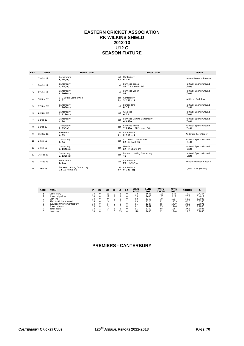#### **EASTERN CRICKET ASSOCIATION RK WILKINS SHIELD 2012-13 U12 C SEASON FIXTURE**

| <b>RND</b>     | <b>Dates</b> | Home Team                                           |     | <b>Away Team</b>                                 | Venue                            |
|----------------|--------------|-----------------------------------------------------|-----|--------------------------------------------------|----------------------------------|
| 1              | 13 Oct 12    | Boroondara<br>$8/96$ (cc)                           | by  | def Canterbury<br>6/134                          | Howard Dawson Reserve            |
| $\mathfrak{D}$ | 20 Oct 12    | Canterbury<br>$4/95$ (cc)                           | def | Burwood green<br>58 T Steventon 3/2              | Hartwell Sports Ground<br>(East) |
| 3              | 27 Oct 12    | Canterbury<br>$6/101$ (cc)                          | def | Burwood yellow<br>91                             | Hartwell Sports Ground<br>(East) |
| $\overline{4}$ | 10 Nov 12    | STC South Camberwell<br>6/81                        | by  | def Canterbury<br>$3/181$ (cc)                   | Nettleton Park Fast              |
| 5              | 17 Nov 12    | Canterbury<br>$5/103$ (cc)                          | def | Boroondara<br>8/58                               | Hartwell Sports Ground<br>(East) |
| 6              | 24 Nov 12    | Canterbury<br>$3/119$ (cc)                          | def | Glen Iris<br>6/70                                | Hartwell Sports Ground<br>(East) |
| $\overline{7}$ | 1 Dec 12     | Canterbury<br>4/94                                  | def | <b>Burwood Uniting Canterbury</b><br>$6/65$ (cc) | Hartwell Sports Ground<br>(East) |
| 8              | 8 Dec 12     | Canterbury<br>$8/93$ (cc)                           | def | Burwood green<br>7/83(cc) M Forwood 3/0          | Hartwell Sports Ground<br>(East) |
| 9              | 15 Dec 12    | Hawthorn<br>4/69                                    | by  | def Canterbury<br>$2/118$ (cc)                   | Anderson Park Upper              |
| 10             | 2 Feb 13     | Canterbury<br>7/94                                  | def | STC South Camberwell<br>27 AL Scott 3/2          | Hartwell Sports Ground<br>(East) |
| 11             | 9 Feb 13     | Canterbury<br>$3/164$ (cc)                          | def | Hawthorn<br>27 JM Sharp 3/4                      | Hartwell Sports Ground<br>(East) |
| 12             | 16 Feb 13    | Canterbury<br>$3/136$ (cc)                          | def | <b>Burwood Uniting Canterbury</b><br>45          | Hartwell Sports Ground<br>(East) |
| 13             | 23 Feb 13    | Boroondara<br>5/110                                 | def | Canterbury<br><b>94</b> F Fwart 3/4              | Howard Dawson Reserve            |
| 14             | 2 Mar 13     | <b>Burwood Uniting Canterbury</b><br>72 AF Hume 3/5 | def | Canterbury<br>by 8/120(cc)                       | Lynden Park (Lower)              |

| <b>RANK</b> | <b>TEAM</b>                       | Р  | W <sub>2</sub> | W <sub>1</sub> | D | L1      | L <sub>2</sub> | <b>WKTS</b><br>LOST | <b>RUNS</b><br><b>FOR</b> | <b>WKTS</b><br><b>TAKEN</b> | <b>RUNS</b><br><b>AGST</b> | <b>POINTS</b> | %      |
|-------------|-----------------------------------|----|----------------|----------------|---|---------|----------------|---------------------|---------------------------|-----------------------------|----------------------------|---------------|--------|
|             | Canterbury                        | 14 |                |                |   |         |                | 72                  | 1646                      | 101                         | 952                        | 79.0          | 2.4254 |
|             | Burwood yellow                    | 14 |                |                |   |         |                | 55                  | 1606                      | 108                         | 927                        | 76.5          | 3.4019 |
| 3           | Glen Iris                         | 14 |                | $\circ$        |   | 5       |                | 63                  | 1360                      | 78                          | 1217                       | 58.0          | 1.3836 |
| 4           | STC South Camberwell              | 14 | $\Omega$       | ь              |   | 8       |                | 93                  | 1225                      | 81                          | 1453                       | 40.0          | 0.7343 |
| 5           | <b>Burwood Uniting Canterbury</b> | 14 | $\Omega$       | 5              |   | $\circ$ |                | 95                  | 1227                      | 65                          | 1430                       | 39.0          | 0.5871 |
| 6           | Burwood areen                     | 13 |                |                |   | 8       |                | 61                  | 1081                      | 83                          | 1146                       | 38.0          | 1.2835 |
|             | <b>Boroondara</b>                 | 13 |                |                |   | 8       |                | 91                  | 1160                      | 68                          | 1267                       | 37.5          | 0.6841 |
| 8           | Hawthorn                          | 14 |                |                |   |         |                | 116                 | 1035                      | 62                          | 1948                       | 19.0          | 0.2840 |

## **PREMIERS - CANTERBURY**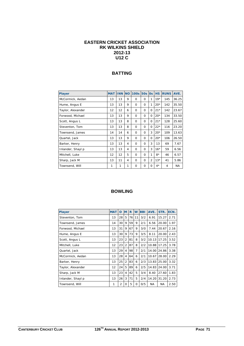## **EASTERN CRICKET ASSOCIATION RK WILKINS SHIELD 2012-13 U12 C**

## **BATTING**

| <b>Player</b>     | <b>MAT</b> | <b>INN NO</b> |   | <b>100s</b> | <b>50s</b> | <b>Os</b>      | <b>HS</b> | <b>RUNS</b> | AVE.  |
|-------------------|------------|---------------|---|-------------|------------|----------------|-----------|-------------|-------|
| McCormick, Aedan  | 13         | 13            | 9 | $\Omega$    | $\Omega$   | 1              | $19*$     | 145         | 36.25 |
| Hume, Angus E     | 13         | 13            | 9 | $\Omega$    | $\Omega$   | 1              | $20*$     | 142         | 35.50 |
| Taylor, Alexander | 12         | 12            | 6 | $\Omega$    | 0          | $\Omega$       | $21*$     | 142         | 23.67 |
| Forwood, Michael  | 13         | 13            | 9 | $\Omega$    | 0          | 0              | $20*$     | 134         | 33.50 |
| Scott, Angus L    | 13         | 13            | 8 | $\Omega$    | $\Omega$   | 0              | $21*$     | 128         | 25.60 |
| Steventon, Tom    | 13         | 13            | 8 | $\Omega$    | $\Omega$   | 0              | $22*$     | 116         | 23.20 |
| Townsend, James   | 14         | 14            | 6 | $\Omega$    | $\Omega$   | 3              | $20*$     | 109         | 13.63 |
| Quartel, Jack     | 13         | 13            | 9 | $\Omega$    | $\Omega$   | $\Omega$       | $20*$     | 106         | 26.50 |
| Barker, Henry     | 13         | 13            | 4 | $\Omega$    | $\Omega$   | 3              | 13        | 69          | 7.67  |
| Inlander, Shayl p | 13         | 13            | 4 | $\Omega$    | $\Omega$   | 3              | $16*$     | 59          | 6.56  |
| Mitchell, Luke    | 12         | 12            | 5 | $\Omega$    | $\Omega$   | 1              | $8*$      | 46          | 6.57  |
| Sharp, Jack M     | 13         | 11            | 4 | $\Omega$    | $\Omega$   | $\overline{2}$ | $13*$     | 41          | 5.86  |
| Townsend, Will    | 1          | 1             | 1 | $\Omega$    | $\Omega$   | 0              | $4^*$     | 4           | NA.   |

| <b>Player</b>     | <b>MAT</b> | O              | M              | R  | W              | <b>BBI</b> | AVE.  | STR.      | ECN. |
|-------------------|------------|----------------|----------------|----|----------------|------------|-------|-----------|------|
| Steventon, Tom    | 13         | 28             | 5              | 76 | 11             | 3/2        | 6.91  | 15.27     | 2.71 |
| Townsend, James   | 14         | 30             | 9              | 59 | 9              | 2/1        | 6.56  | 20.00     | 1.97 |
| Forwood, Michael  | 13         | 31             | 9              | 67 | 9              | 3/0        | 7.44  | 20.67     | 2.16 |
| Hume, Angus E     | 13         | 30             | 9              | 73 | 9              | 3/5        | 8.11  | 20.00     | 2.43 |
| Scott, Angus L    | 13         | 23             | $\overline{2}$ | 81 | 8              | 3/2        | 10.13 | 17.25     | 3.52 |
| Mitchell, Luke    | 12         | 23             | $\overline{2}$ | 87 | 8              | 2/2        | 10.88 | 17.25     | 3.78 |
| Quartel, Jack     | 13         | 29             | 4              | 98 | $\overline{7}$ | 2/1        | 14.00 | 24.86     | 3.38 |
| McCormick, Aedan  | 13         | 28             | 4              | 64 | 6              | 2/1        | 10.67 | 28.00     | 2.29 |
| Barker, Henry     | 13         | 25             | $\overline{2}$ | 83 | 6              | 2/3        | 13.83 | 25.00     | 3.32 |
| Taylor, Alexander | 12         | 24             | 5              | 89 | 6              | 2/5        | 14.83 | 24.00     | 3.71 |
| Sharp, Jack M     | 13         | 23             | 4              | 42 | 5              | 3/4        | 8.40  | 27.60     | 1.83 |
| Inlander, Shayl p | 13         | 26             | 3              | 71 | 5              | 2/4        | 14.20 | 31.20     | 2.73 |
| Townsend, Will    | 1          | $\overline{2}$ | O              | 5  | 0              | 0/5        | NA    | <b>NA</b> | 2.50 |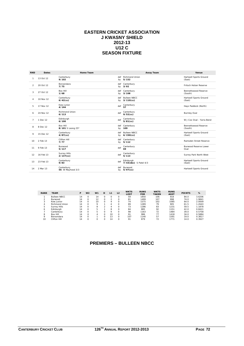#### **EASTERN CRICKET ASSOCIATION J KWASNY SHIELD 2012-13 U12 C SEASON FIXTURE**

| <b>RND</b>     | <b>Dates</b> | <b>Home Team</b>                     |           | Away Team                           | Venue                                |
|----------------|--------------|--------------------------------------|-----------|-------------------------------------|--------------------------------------|
|                | 13 Oct 12    | Canterbury<br>9/102                  | def<br>by | Richmond Union<br>5/152             | Hartwell Sports Ground<br>(East)     |
| $\overline{2}$ | 20 Oct 12    | Boroondara<br>7/75                   | by        | def Canterbury<br>3/92              | <b>Fritsch Holzer Reserve</b>        |
| 3              | 27 Oct 12    | <b>Box Hill</b><br>1/68              | by        | def Canterbury<br>3/108             | Bennettswood Reserve<br>(South)      |
| $\overline{4}$ | 10 Nov 12    | Canterbury<br>$6/42$ (cc)            | def       | <b>Bulleen NBCC</b><br>by 3/110(cc) | Hartwell Sports Ground<br>(East)     |
| 5              | 17 Nov 12    | Kew Junior<br>4/144                  | def       | Canterbury<br>57                    | Hays Paddock (North)                 |
| 6              | 24 Nov 12    | Richmond Union<br>6/113              | def       | Canterbury<br>$9/52$ (cc)           | <b>Burnley Oval</b>                  |
| $\overline{7}$ | 1 Dec 12     | Edinburgh<br>6/100                   | def       | Canterbury<br>$5/81$ (cc)           | W.J.Cox Oval - Yarra Bend            |
| 8              | 8 Dec 12     | <b>Box Hill</b><br>8/101 S Leong 25* | def<br>by | Canterbury<br>109                   | Bennettswood Reserve<br>(South)      |
| 9              | 15 Dec 12    | Canterbury<br>$4/87$ (cc)            | def<br>by | <b>Bulleen NBCC</b><br>$6/150$ (cc) | Hartwell Sports Ground<br>(East)     |
| 10             | 2 Feb 13     | Clifton Hill<br>7/77                 |           | def Canterbury<br>by 5/112          | Ramsden Street Reserve               |
| 11             | 9 Feb 13     | Burwood<br>5/117                     | def       | Canterbury<br>69                    | <b>Burwood Reserve Lower</b><br>Oval |
| 12             | 16 Feb 13    | <b>Surrey Hills</b><br>$2/137$ (cc)  | def       | Canterbury<br>5/113                 | Surrey Park North West               |
| 13             | 23 Feb 13    | Canterbury<br>9/83                   | def       | Edinburgh<br>7/43(dec) S Patel 4/3  | Hartwell Sports Ground<br>(East)     |
| 14             | 2 Mar 13     | Canterbury<br>56 W Mayhood 3/3       | def       | Burwood<br>by 5/97(cc)              | Hartwell Sports Ground               |

| <b>RANK</b> | <b>TEAM</b>       | P  | W <sub>2</sub> | W <sub>1</sub> | D        | L <sub>1</sub> | L <sub>2</sub> | <b>WKTS</b><br><b>LOST</b> | <b>RUNS</b><br><b>FOR</b> | <b>WKTS</b><br><b>TAKEN</b> | <b>RUNS</b><br><b>AGST</b> | <b>POINTS</b> | %      |
|-------------|-------------------|----|----------------|----------------|----------|----------------|----------------|----------------------------|---------------------------|-----------------------------|----------------------------|---------------|--------|
|             | Bulleen NBCC      | 14 |                | 14             | $\Omega$ |                | $\Omega$       | 59                         | 1850                      | 106                         | 918                        | 84.0          | 3.6206 |
|             | Burwood           | 14 |                | 12             | $\Omega$ |                | $\Omega$       | 81                         | 1499                      | 107                         | 998                        | 74.0          | 1.9841 |
|             | Kew Junior        | 14 |                | 10             | $\Omega$ | 4              | $\Omega$       | 74                         | 1575                      | 102                         | 1085                       | 64.0          | 2.0009 |
| 4           | Richmond Union    | 14 |                | $\circ$        |          | 4              | $\Omega$       | 89                         | 1289                      | 79                          | 905                        | 61.5          | 1.2643 |
| 5           | Surrey Hills      | 14 | $\Omega$       | 8              | ◠        | 4              | $\Omega$       | 73                         | 1286                      | 83                          | 1231                       | 59.5          | 1.1878 |
| 6           | Edinburgh         | 14 | $\Omega$       | 5              |          | 8              | $\Omega$       | 84                         | 885                       | 92                          | 1151                       | 42.0          | 0.8421 |
|             | Canterbury        | 14 | $\Omega$       | 5              |          | Q              | $\Omega$       | 98                         | 1163                      | 72                          | 1484                       | 39.0          | 0.5758 |
| 8           | Box Hill          | 14 | $\Omega$       |                |          | 10             | $\Omega$       | 91                         | 986                       | 77                          | 1418                       | 34.0          | 0.5884 |
| $\circ$     | <b>Boroondara</b> | 14 | $\Omega$       |                |          | 13             | $\Omega$       | 107                        | 1140                      | 57                          | 1591                       | 19.0          | 0.3817 |
| 10          | Clifton Hill      | 14 |                |                |          | 14             | O              | 91                         | 879                       | 72                          | 1771                       | 14.0          | 0.3927 |

## **PREMIERS – BULLEEN NBCC**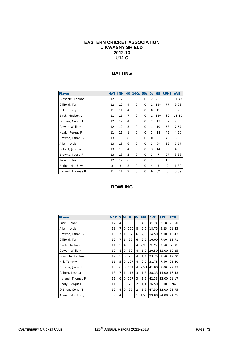#### **EASTERN CRICKET ASSOCIATION J KWASNY SHIELD 2012-13 U12 C**

#### **BATTING**

| <b>Player</b>     | <b>MAT</b> | <b>INN</b> | <b>NO</b>      | <b>100s</b> | <b>50s</b> | <b>Os</b>      | <b>HS</b> | <b>RUNS</b> | AVE.  |
|-------------------|------------|------------|----------------|-------------|------------|----------------|-----------|-------------|-------|
| Glaspole, Raphael | 12         | 12         | 5              | $\Omega$    | $\Omega$   | $\overline{2}$ | $20*$     | 80          | 11.43 |
| Clifford, Tom     | 12         | 12         | 4              | $\Omega$    | $\Omega$   | $\overline{2}$ | $15*$     | 77          | 9.63  |
| Hill, Tommy       | 11         | 11         | 4              | $\Omega$    | $\Omega$   | $\Omega$       | 15        | 65          | 9.29  |
| Birch, Hudson L   | 11         | 11         | $\overline{7}$ | $\Omega$    | $\Omega$   | 1              | $13*$     | 62          | 15.50 |
| O'Brien, Conor T  | 12         | 12         | 4              | $\Omega$    | $\Omega$   | $\overline{2}$ | 13        | 59          | 7.38  |
| Gower, William    | 12         | 12         | 5              | $\Omega$    | $\Omega$   | 1              | 19        | 53          | 7.57  |
| Healy, Fergus F   | 11         | 11         | 1              | $\Omega$    | $\Omega$   | 3              | 18        | 45          | 4.50  |
| Browne, Ethan G   | 13         | 13         | 8              | $\Omega$    | $\Omega$   | $\Omega$       | 9*        | 43          | 8.60  |
| Allen, Jordan     | 13         | 13         | 6              | $\Omega$    | $\Omega$   | 3              | $6*$      | 39          | 5.57  |
| Gilbert, Joshua   | 13         | 13         | 4              | $\Omega$    | $\Omega$   | 3              | 14        | 39          | 4.33  |
| Browne, Jacob F   | 13         | 13         | 5              | $\Omega$    | $\Omega$   | 3              | 7         | 27          | 3.38  |
| Patel, Shlok      | 12         | 12         | 6              | 0           | $\Omega$   | $\overline{2}$ | 5         | 18          | 3.00  |
| Atkins, Matthew J | 8          | 8          | 3              | $\Omega$    | $\Omega$   | 4              | 5         | 9           | 1.80  |
| Ireland, Thomas R | 11         | 11         | $\overline{2}$ | $\Omega$    | $\Omega$   | 6              | $3*$      | 8           | 0.89  |

## **BOWLING**

| <b>Player</b>     | <b>MAT</b> | $\mathbf{o}$ | M        | R   | W              | <b>BBI</b> | AVE.  | STR.  | ECN.  |
|-------------------|------------|--------------|----------|-----|----------------|------------|-------|-------|-------|
| Patel, Shlok      | 12         | 4            | $\Omega$ | 90  | 11             | 4/3        | 8.18  | 2.18  | 22.50 |
| Allen, Jordan     | 13         | 7            | $\Omega$ | 150 | 8              | 2/5        | 18.75 | 5.25  | 21.43 |
| Browne, Ethan G   | 13         | 7            | 1        | 87  | 6              | 2/3        | 14.50 | 7.00  | 12.43 |
| Clifford, Tom     | 12         | 7            | 1        | 96  | 6              | 2/5        | 16.00 | 7.00  | 13.71 |
| Birch, Hudson L   | 11         | 5            | 4        | 39  | 4              | 2/13       | 9.75  | 7.50  | 7.80  |
| Gower, William    | 12         | 8            | $\Omega$ | 82  | 4              | 1/0        | 20.50 | 12.00 | 10.25 |
| Glaspole, Raphael | 12         | 5            | $\Omega$ | 95  | 4              | 1/4        | 23.75 | 7.50  | 19.00 |
| Hill, Tommy       | 11         | 5            | $\Omega$ | 127 | 4              | 2/7        | 31.75 | 7.50  | 25.40 |
| Browne, Jacob F   | 13         | 6            | 0        | 164 | 4              | 2/21       | 41.00 | 9.00  | 27.33 |
| Gilbert, Joshua   | 13         | 7            | 1        | 115 | 3              | 1/8        | 38.33 | 14.00 | 16.43 |
| Ireland, Thomas R | 11         | 6            | $\Omega$ | 127 | 3              | 1/6        | 42.33 | 12.00 | 21.17 |
| Healy, Fergus F   | 11         |              | $\Omega$ | 73  | $\overline{2}$ | 1/4        | 36.50 | 0.00  | NA    |
| O'Brien, Conor T  | 12         | 4            | 0        | 95  | $\overline{2}$ | 1/9        | 47.50 | 12.00 | 23.75 |
| Atkins, Matthew J | 8          | 4            | $\Omega$ | 99  | 1              | 1/20       | 99.00 | 24.00 | 24.75 |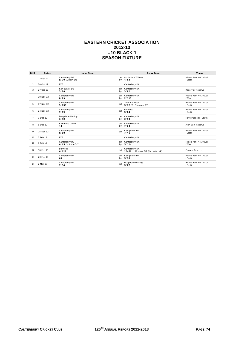#### **EASTERN CRICKET ASSOCIATION 2012-13 U10 BLACK 1 SEASON FIXTURE**

| <b>RND</b>     | <b>Dates</b> | Home Team                         |           | <b>Away Team</b>                                    | Venue                           |
|----------------|--------------|-----------------------------------|-----------|-----------------------------------------------------|---------------------------------|
|                | 13 Oct 12    | Canterbury DA<br>9/70 A Hain 3/5  | def<br>by | <b>Ashburton Willows</b><br>4/83                    | Hislop Park No 1 Oval<br>(East) |
| 2              | 20 Oct 12    | <b>BYE</b>                        |           | Canterbury DA                                       |                                 |
| 3              | 27 Oct 12    | Kew Junior DB<br>3/78             | def<br>by | Canterbury DA<br>3/82                               | Reservoir Reserve               |
| 4              | 10 Nov 12    | Canterbury DB<br>8/79             | def<br>by | Canterbury DA<br>2/113                              | Hislop Park No 3 Oval<br>(West) |
| 5              | 17 Nov 12    | Canterbury DA<br>5/133            | def       | <b>Trinity Willison</b><br>5/72 WJ Stamper 3/5      | Hislop Park No 1 Oval<br>(East) |
| 6              | 24 Nov 12    | Canterbury DA<br>7/89             | def       | Burwood<br>5/84                                     | Hislop Park No 1 Oval<br>(East) |
| $\overline{7}$ | 1 Dec 12     | Deepdene Uniting<br>3/42          | def<br>by | Canterbury DA<br>3/98                               | Hays Paddock (South)            |
| 8              | 8 Dec 12     | <b>Richmond Union</b><br>44       | def<br>by | Canterbury DA<br>7/94                               | Alan Bain Reserve               |
| 9              | 15 Dec 12    | Canterbury DA<br>8/58             | def       | Kew Junior DA<br>7/41                               | Hislop Park No 1 Oval<br>(East) |
| 10             | 2 Feb 13     | <b>BYE</b>                        |           | Canterbury DA                                       |                                 |
| 11             | 9 Feb 13     | Canterbury DB<br>6/65 S Stone 3/7 | def<br>by | Canterbury DA<br>5/124                              | Hislop Park No 3 Oval<br>(West) |
| 12             | 16 Feb 13    | Burwood<br>6/129                  | def       | Canterbury DA<br>10/60 H Mounas 3/9 (inc hat-trick) | Cooper Reserve                  |
| 13             | 23 Feb 13    | Canterbury DA<br>65               | def<br>by | Kew Junior DA<br>5/78                               | Hislop Park No 1 Oval<br>(East) |
| 14             | 2 Mar 13     | Canterbury DA<br>7/94             | def       | Deepdene Uniting<br>5/87                            | Hislop Park No 1 Oval<br>(East) |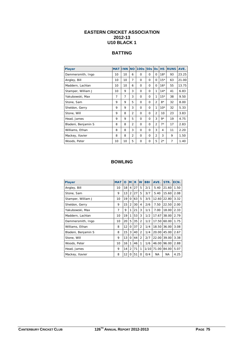#### **EASTERN CRICKET ASSOCIATION 2012-13 U10 BLACK 1**

## **BATTING**

| <b>Player</b>       | <b>MAT</b> | <b>INN NO</b>  |                | <b>100s</b> | <b>50s</b> | <b>Os</b>      | <b>HS</b> | <b>RUNS</b>    | AVE.  |
|---------------------|------------|----------------|----------------|-------------|------------|----------------|-----------|----------------|-------|
| Dammersmith, Ingo   | 10         | 10             | 6              | 0           | $\Omega$   | $\Omega$       | $18*$     | 93             | 23.25 |
| Angley, Bill        | 10         | 10             | 7              | $\Omega$    | $\Omega$   | $\Omega$       | $15*$     | 63             | 21.00 |
| Maddern, Lachlan    | 10         | 10             | 6              | 0           | $\Omega$   | $\Omega$       | $16*$     | 55             | 13.75 |
| Stamper, William J  | 10         | 9              | 3              | $\Omega$    | $\Omega$   | 1              | $14*$     | 41             | 6.83  |
| Yakubowski, Max     | 7          | $\overline{7}$ | 3              | $\Omega$    | $\Omega$   | 1              | $15*$     | 38             | 9.50  |
| Stone, Sam          | 9          | 9              | 5              | $\Omega$    | $\Omega$   | $\overline{2}$ | $8*$      | 32             | 8.00  |
| Sheldon, Gerry      | 9          | 9              | 3              | $\Omega$    | $\Omega$   | 1              | $10*$     | 32             | 5.33  |
| Stone, Will         | 9          | 8              | $\overline{2}$ | $\Omega$    | $\Omega$   | $\overline{2}$ | 10        | 23             | 3.83  |
| Head, James         | 9          | 9              | 5              | $\Omega$    | $\Omega$   | 3              | $9*$      | 19             | 4.75  |
| Bladeni, Benjamin S | 8          | 8              | $\overline{2}$ | $\Omega$    | $\Omega$   | $\overline{2}$ | $7*$      | 17             | 2.83  |
| Williams, Ethan     | 8          | 8              | 3              | $\Omega$    | $\Omega$   | 3              | 4         | 11             | 2.20  |
| Mackey, Xavier      | 8          | 8              | $\overline{2}$ | $\Omega$    | $\Omega$   | $\overline{2}$ | 3         | 9              | 1.50  |
| Woods, Peter        | 10         | 10             | 5              | $\Omega$    | $\Omega$   | 5              | $2^*$     | $\overline{7}$ | 1.40  |

## **BOWLING**

| <b>Player</b>       | <b>MAT</b> | $\mathbf{o}$ | M              | $\overline{\mathbf{R}}$ | W              | <b>BBI</b> | AVE.      | STR.  | ECN. |
|---------------------|------------|--------------|----------------|-------------------------|----------------|------------|-----------|-------|------|
| Angley, Bill        | 10         | 18           | 4              | 27                      | 5              | 2/1        | 5.40      | 21.60 | 1.50 |
| Stone, Sam          | 9          | 13           | $\overline{2}$ | 27                      | 5              | 3/7        | 5.40      | 15.60 | 2.08 |
| Stamper, William J  | 10         | 19           | 0              | 63                      | 5              | 3/5        | 12.60     | 22.80 | 3.32 |
| Sheldon, Gerry      | 9          | 15           | $\overline{2}$ | 30                      | 4              | 2/6        | 7.50      | 22.50 | 2.00 |
| Yakubowski, Max     | 7          | 9            | 1              | 21                      | 3              | 1/1        | 7.00      | 18.00 | 2.33 |
| Maddern, Lachlan    | 10         | 19           | 1              | 53                      | 3              | 1/2        | 17.67     | 38.00 | 2.79 |
| Dammersmith, Ingo   | 10         | 20           | 5              | 35                      | 2              | 1/2        | 17.50     | 60.00 | 1.75 |
| Williams, Ethan     | 8          | 12           | 0              | 37                      | $\overline{2}$ | 1/4        | 18.50     | 36.00 | 3.08 |
| Bladeni, Benjamin S | 8          | 15           | 3              | 40                      | $\overline{2}$ | 1/4        | 20.00     | 45.00 | 2.67 |
| Stone, Will         | 9          | 13           | $\Omega$       | 44                      | $\overline{2}$ | 2/7        | 22.00     | 39.00 | 3.38 |
| Woods, Peter        | 10         | 16           | 1              | 46                      | 1              | 1/6        | 46.00     | 96.00 | 2.88 |
| Head, James         | 9          | 14           | 2              | 71                      | 1              | 1/10       | 71.00     | 84.00 | 5.07 |
| Mackey, Xavier      | 8          | 12           | $\Omega$       | 51                      | 0              | 0/4        | <b>NA</b> | ΝA    | 4.25 |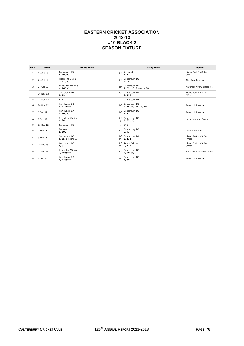#### **EASTERN CRICKET ASSOCIATION 2012-13 U10 BLACK 2 SEASON FIXTURE**

| <b>RND</b>     | <b>Dates</b> | Home Team                                |           | <b>Away Team</b>                      | Venue                           |
|----------------|--------------|------------------------------------------|-----------|---------------------------------------|---------------------------------|
|                | 13 Oct 12    | Canterbury DB<br>$5/99$ (cc)             | def       | Burwood<br>5/87                       | Hislop Park No 3 Oval<br>(West) |
| $\mathfrak{p}$ | 20 Oct 12    | <b>Richmond Union</b><br>$1/81$ (cc)     | def       | Canterbury DB<br>4/68                 | Alan Bain Reserve               |
| 3              | 27 Oct 12    | <b>Ashburton Willows</b><br>$4/96$ (cc)  | def       | Canterbury DB<br>9/65(cc) S Nehme 3/6 | Markham Avenue Reserve          |
| 4              | 10 Nov 12    | Canterbury DB<br>8/79                    | by        | def Canterbury DA<br>2/113            | Hislop Park No 3 Oval<br>(West) |
| 5              | 17 Nov 12    | <b>BYE</b>                               |           | Canterbury DB                         |                                 |
| 6              | 24 Nov 12    | Kew Junior DB<br>$3/112$ (cc)            | def       | Canterbury DB<br>7/56(cc) W Troy 3/1  | <b>Reservoir Reserve</b>        |
| $\overline{7}$ | 1 Dec 12     | Kew Junior DA<br>$2/90$ (cc)             | def       | Canterbury DB<br>7/73                 | <b>Reservoir Reserve</b>        |
| 8              | 8 Dec 12     | Deepdene Uniting<br>4/84                 | by        | def Canterbury DB<br>$4/85$ (cc)      | Hays Paddock (South)            |
| 9              | 15 Dec 12    | Canterbury DB                            | $\vee$    | <b>BYE</b>                            |                                 |
| 10             | 2 Feb 13     | Burwood<br>5/103                         | def       | Canterbury DB<br>9/73                 | Cooper Reserve                  |
| 11             | 9 Feb 13     | Canterbury DB<br>6/65 S Stone 3/7        | by        | def Canterbury DA<br>5/124            | Hislop Park No 3 Oval<br>(West) |
| 12             | 16 Feb 13    | Canterbury DB<br>5/91                    | def<br>by | <b>Trinity Willison</b><br>2/112      | Hislop Park No 3 Oval<br>(West) |
| 13             | 23 Feb 13    | <b>Ashburton Willows</b><br>$2/155$ (cc) | def       | Canterbury DB<br>$7/90$ (cc)          | Markham Avenue Reserve          |
| 14             | 2 Mar 13     | Kew Junior DB<br>$4/129$ (cc)            | def       | Canterbury DB<br>6/59                 | <b>Reservoir Reserve</b>        |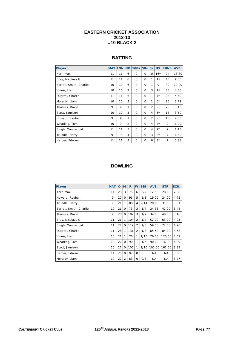#### **EASTERN CRICKET ASSOCIATION 2012-13 U10 BLACK 2**

## **BATTING**

| <b>Player</b>          | <b>MAT INN</b> |    |                | NO 100s 50s 0s |          |          | <b>HS</b> | <b>RUNS</b>    | AVE.  |
|------------------------|----------------|----|----------------|----------------|----------|----------|-----------|----------------|-------|
| Kerr, Max              | 11             | 11 | 6              | $\Omega$       | 0        | $\Omega$ | $16*$     | 94             | 18.80 |
| Bray, Nicolaas G       | 11             | 11 | 6              | $\Omega$       | $\Omega$ | 1        | 11        | 45             | 9.00  |
| Barratt-Smith, Charlie | 10             | 10 | 6              | $\Omega$       | $\Omega$ | 1        | 9         | 40             | 10.00 |
| Visser, Liam           | 10             | 10 | $\overline{2}$ | $\Omega$       | $\Omega$ | 3        | 11        | 35             | 4.38  |
| Quartel, Charlie       | 11             | 11 | 6              | $\Omega$       | 0        | 1        | $7*$      | 28             | 5.60  |
| Morarty, Liam          | 10             | 10 | 3              | $\Omega$       | $\Omega$ | 1        | $6*$      | 26             | 3.71  |
| Thomas, David          | 9              | 9  | 1              | $\Omega$       | $\Omega$ | 2        | 6         | 25             | 3.13  |
| Scott, Jamison         | 10             | 10 | 5              | $\Omega$       | $\Omega$ | 4        | $6*$      | 18             | 3.60  |
| Howard, Reuben         | 9              | 9  | 1              | $\Omega$       | $\Omega$ | 2        | 6         | 16             | 2.00  |
| Whatling, Tom          | 10             | 9  | $\overline{2}$ | $\Omega$       | $\Omega$ | 4        | $4*$      | 9              | 1.29  |
| Singh, Manhar pal      | 11             | 11 | 3              | $\Omega$       | $\Omega$ | 4        | $2^*$     | 9              | 1.13  |
| Trundle, Harry         | 9              | 9  | 4              | $\Omega$       | $\Omega$ | 3        | $2^*$     | $\overline{7}$ | 1.40  |
| Harper, Edward         | 11             | 11 | 3              | $\Omega$       | $\Omega$ | 6        | $3*$      | $\overline{7}$ | 0.88  |

### **BOWLING**

| <b>Player</b>          | <b>MAT</b> | O  | <b>M</b>       | $\mathsf{R}$ | W              | <b>BBI</b> | AVE.      | STR.      | ECN. |
|------------------------|------------|----|----------------|--------------|----------------|------------|-----------|-----------|------|
| Kerr, Max              | 11         | 28 | 3              | 75           | 6              | 2/2        | 12.50     | 28.00     | 2.68 |
| Howard, Reuben         | 9          | 20 | $\Omega$       | 95           | 5              | 2/8        | 19.00     | 24.00     | 4.75 |
| Trundle, Harry         | 9          | 21 | 1              | 80           | 4              | 2/14       | 20.00     | 31.50     | 3.81 |
| Barratt-Smith, Charlie | 10         | 21 | $\Omega$       | 73           | 3              | 1/7        | 24.33     | 42.00     | 3.48 |
| Thomas, David          | 9          | 20 | 0              | 102          | 3              | 1/7        | 34.00     | 40.00     | 5.10 |
| Bray, Nicolaas G       | 11         | 21 | 1              | 104          | $\overline{2}$ | 1/7        | 52.00     | 63.00     | 4.95 |
| Singh, Manhar pal      | 11         | 24 | $\Omega$       | 119          | $\overline{2}$ | 1/3        | 59.50     | 72.00     | 4.96 |
| Quartel, Charlie       | 11         | 28 | 1              | 131          | 2              | 1/8        | 65.50     | 84.00     | 4.68 |
| Visser, Liam           | 10         | 21 | 1              | 76           | 1              | 1/15       | 76.00     | 126.00    | 3.62 |
| Whatling, Tom          | 10         | 22 | 0              | 90           | 1              | 1/6        | 90.00     | 132.00    | 4.09 |
| Scott, Jamison         | 10         | 27 | $\Omega$       | 105          | 1              | 1/16       | 105.00    | 162.00    | 3.89 |
| Harper, Edward         | 11         | 25 | $\Omega$       | 97           | 0              |            | <b>NA</b> | <b>NA</b> | 3.88 |
| Morarty, Liam          | 10         | 22 | $\overline{2}$ | 83           | 0              | 0/8        | <b>NA</b> | <b>NA</b> | 3.77 |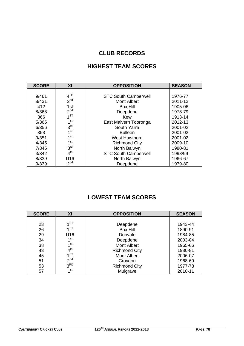# **CLUB RECORDS**

# **HIGHEST TEAM SCORES**

| <b>SCORE</b> | XI              | <b>OPPOSITION</b>           | <b>SEASON</b> |
|--------------|-----------------|-----------------------------|---------------|
|              |                 |                             |               |
| 9/461        | 4 <sup>TH</sup> | <b>STC South Camberwell</b> | 1976-77       |
| 8/431        | 2 <sup>nd</sup> | <b>Mont Albert</b>          | 2011-12       |
| 412          | 1st             | Box Hill                    | 1905-06       |
| 8/368        | 2 <sup>nd</sup> | Deepdene                    | 1978-79       |
| 366          | 1 <sup>ST</sup> | Kew                         | 1913-14       |
| 5/365        | 1 <sup>st</sup> | East Malvern Tooronga       | 2012-13       |
| 6/356        | 3 <sup>rd</sup> | South Yarra                 | 2001-02       |
| 353          | 1 <sup>st</sup> | <b>Bulleen</b>              | 2001-02       |
| 9/351        | 1 <sup>st</sup> | West Hawthorn               | 2001-02       |
| 4/345        | 1 <sup>st</sup> | <b>Richmond City</b>        | 2009-10       |
| 7/345        | 3 <sup>rd</sup> | North Balwyn                | 1980-81       |
| 3/342        | 4 <sup>th</sup> | <b>STC South Camberwell</b> | 1998/99       |
| 8/339        | U16             | North Balwyn                | 1966-67       |
| 9/339        | 2 <sup>nd</sup> | Deepdene                    | 1979-80       |

# **LOWEST TEAM SCORES**

| <b>SCORE</b> | XI              | <b>OPPOSITION</b>    | <b>SEASON</b> |
|--------------|-----------------|----------------------|---------------|
|              |                 |                      |               |
| 23           | 4ST             | Deepdene             | 1943-44       |
| 26           | 4ST             | <b>Box Hill</b>      | 1890-91       |
| 29           | U <sub>16</sub> | Donvale              | 1984-85       |
| 34           | 1 <sup>st</sup> | Deepdene             | 2003-04       |
| 38           | 1 <sup>st</sup> | <b>Mont Albert</b>   | 1965-66       |
| 43           | 4 <sup>th</sup> | <b>Richmond City</b> | 1980-81       |
| 45           | 1 <sup>ST</sup> | <b>Mont Albert</b>   | 2006-07       |
| 51           | 2 <sup>nd</sup> | Croydon              | 1968-69       |
| 53           | 3 <sup>RD</sup> | <b>Richmond City</b> | 1977-78       |
| 57           | 1 <sup>st</sup> | Mulgrave             | 2010-11       |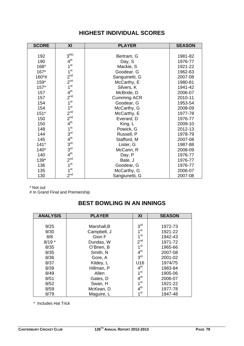| <b>SCORE</b> | XI              | <b>PLAYER</b>      | <b>SEASON</b> |
|--------------|-----------------|--------------------|---------------|
|              |                 |                    |               |
| 192          | 3 <sup>RD</sup> | Bertram, G         | 1981-82       |
| 190          | 4 <sup>th</sup> | Day, S             | 1976-77       |
| 168*         | 1 <sup>st</sup> | Mackie, S          | 1921-22       |
| 167*         | 1 <sup>st</sup> | Goodear. G         | 1962-63       |
| 160*#        | 2 <sup>nd</sup> | Sanguinetti, G     | 2007-08       |
| 159*         | 2 <sup>nd</sup> | McCarthy, E        | 1980-81       |
| $157*$       | 1 <sup>st</sup> | Silvers, K         | 1941-42       |
| 157          | 4 <sup>th</sup> | McBride, D         | 2006-07       |
| 157          | 2 <sup>nd</sup> | <b>Cumming ACR</b> | 2010-11       |
| 154          | 1 <sup>st</sup> | Goodear, G         | 1953-54       |
| 154          | 1 <sup>st</sup> | McCarthy, G        | 2008-09       |
| $151*$       | 2 <sup>nd</sup> | McCarthy, E        | 1977-78       |
| 150          | 2 <sup>nd</sup> | Everard, D         | 1976-77       |
| 150          | 4 <sup>th</sup> | King. L            | 2009-10       |
| 148          | 1 <sup>st</sup> | Powick, G          | 2012-13       |
| 144          | 3 <sup>rd</sup> | Russell, P         | 1978-79       |
| 145          | 4 <sup>th</sup> | Stafford, M        | 2007-08       |
| $141*$       | 3 <sup>rd</sup> | Lister, G          | 1987-88       |
| $140*$       | 3 <sup>rd</sup> | McCann, R          | 2008-09       |
| 140          | 4 <sup>th</sup> | Day, P             | 1976-77       |
| 139*         | 2 <sup>nd</sup> | Bate, J            | 1976-77       |
| 136          | 1 <sup>st</sup> | Goodear, G         | 1976-77       |
| 135          | 1 <sup>st</sup> | McCarthy, G        | 2006-07       |
| 130          | 2 <sup>nd</sup> | Sangiunetti, G     | 2007-08       |

# **HIGHEST INDIVIDUAL SCORES**

\* Not out

# In Grand Final and Premiership

# **BEST BOWLING IN AN INNINGS**

| <b>ANALYSIS</b> | <b>PLAYER</b> | XI              | <b>SEASON</b> |
|-----------------|---------------|-----------------|---------------|
|                 |               |                 |               |
| 9/25            | Marshall, B   | 3 <sup>rd</sup> | 1972-73       |
| 9/30            | Campbell, J   | 1 <sup>st</sup> | 1921-22       |
| 8/8             | Gion F        | 1 <sup>st</sup> | 1942-43       |
| $8/19*$         | Dundas, W     | 2 <sup>nd</sup> | 1971-72       |
| 8/35            | O'Brien, B    | 1 <sup>st</sup> | 1965-66       |
| 8/35            | Smith, N      | 4 <sup>th</sup> | 2007-08       |
| 8/36            | Gore, A       | 3 <sup>rd</sup> | 2001-02       |
| 8/37            | Kildey, L     | U16             | 1974/75       |
| 8/39            | Hillman, P    | 4 <sup>th</sup> | 1983-84       |
| 8/49            | Allen         | 1 <sup>st</sup> | 1905-06       |
| 8/51            | Gates, D      | 4 <sup>th</sup> | 2006-07       |
| 8/52            | Swan, H       | 1 <sup>st</sup> | 1921-22       |
| 8/59            | McKean, D     | 4 <sup>th</sup> | 1977-78       |
| 8/79            | Maguire, L    | 1 <sup>st</sup> | 1947-48       |

\* Includes Hat Trick